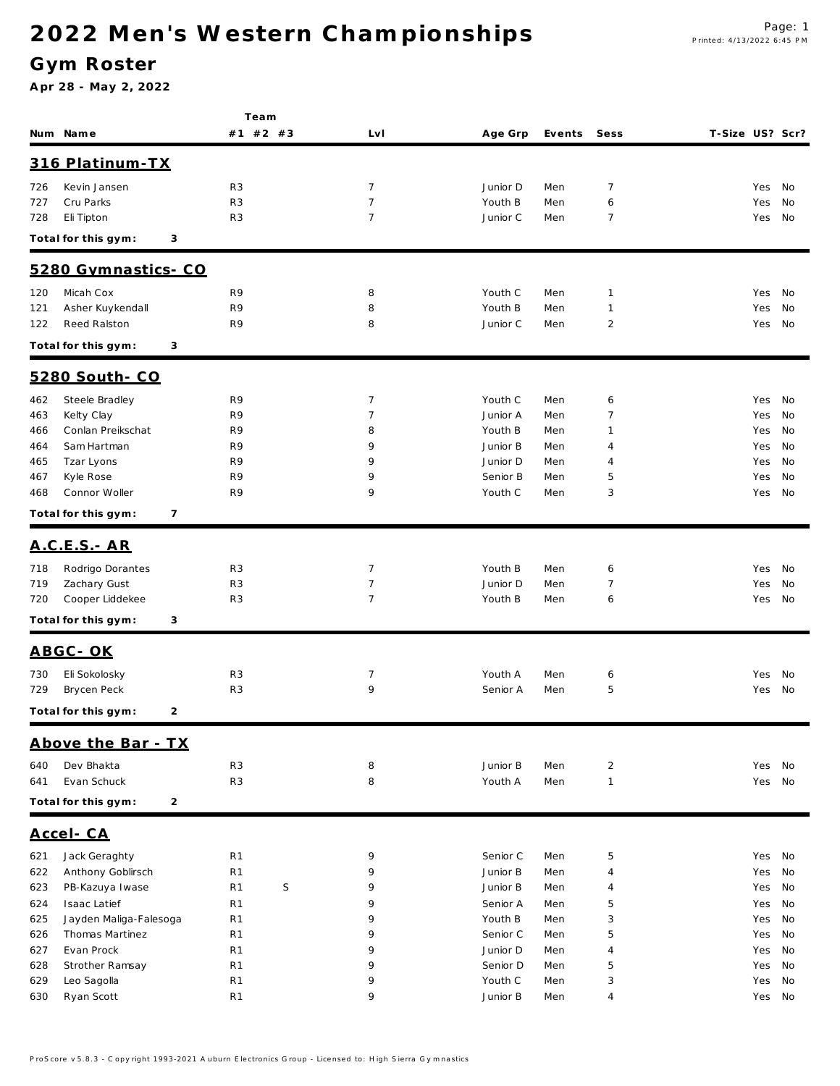### **G ym Roster**

|            |                                  | Team                             |                                  |                     |            |                |                 |            |          |
|------------|----------------------------------|----------------------------------|----------------------------------|---------------------|------------|----------------|-----------------|------------|----------|
|            | Num Name                         | #1 #2 #3                         | Lv I                             | Age Grp             | Events     | Sess           | T-Size US? Scr? |            |          |
|            | 316 Platinum-TX                  |                                  |                                  |                     |            |                |                 |            |          |
| 726        | Kevin Jansen                     | R <sub>3</sub>                   | 7                                | Junior D            | Men        | $\overline{7}$ |                 | Yes No     |          |
| 727        | Cru Parks                        | R <sub>3</sub>                   | $\overline{7}$                   | Youth B             | Men        | 6              |                 | Yes        | No       |
| 728        | Eli Tipton                       | R <sub>3</sub>                   | $\overline{7}$                   | Junior C            | Men        | 7              |                 | Yes No     |          |
|            | Total for this gym:              | 3                                |                                  |                     |            |                |                 |            |          |
|            | 5280 Gymnastics-CO               |                                  |                                  |                     |            |                |                 |            |          |
| 120        | Micah Cox                        | R9                               | 8                                | Youth C             | Men        | $\mathbf{1}$   |                 | Yes No     |          |
| 121        | Asher Kuykendall                 | R9                               | 8                                | Youth B             | Men        | $\mathbf{1}$   |                 | Yes        | No       |
| 122        | <b>Reed Ralston</b>              | R9                               | 8                                | Junior C            | Men        | 2              |                 | Yes        | No       |
|            | Total for this gym:              | 3                                |                                  |                     |            |                |                 |            |          |
|            | 5280 South- CO                   |                                  |                                  |                     |            |                |                 |            |          |
| 462        | Steele Bradley                   | R9                               | 7                                | Youth C             | Men        | 6              |                 | Yes No     |          |
| 463        | Kelty Clay                       | R9                               | $\overline{7}$                   | Junior A            | Men        | 7              |                 | Yes        | No       |
| 466        | Conlan Preikschat                | R9                               | 8                                | Youth B             | Men        | 1              |                 | Yes        | No       |
| 464        | Sam Hartman                      | R9                               | 9                                | Junior B            | Men        | 4              |                 | Yes        | No       |
| 465        | Tzar Lyons                       | R9                               | 9                                | Junior D            | Men        | 4              |                 | Yes        | No       |
| 467        | Kyle Rose                        | R9                               | 9                                | Senior B            | Men        | 5              |                 | Yes        | No       |
| 468        | Connor Woller                    | R9                               | 9                                | Youth C             | Men        | 3              |                 | Yes        | No       |
|            | Total for this gym:              | $\overline{7}$                   |                                  |                     |            |                |                 |            |          |
|            | <u>A.C.E.S. - AR</u>             |                                  |                                  |                     |            |                |                 |            |          |
|            |                                  |                                  |                                  |                     |            |                |                 |            |          |
| 718<br>719 | Rodrigo Dorantes<br>Zachary Gust | R <sub>3</sub><br>R <sub>3</sub> | $\overline{7}$<br>$\overline{7}$ | Youth B<br>Junior D | Men<br>Men | 6<br>7         |                 | Yes        | No<br>No |
| 720        | Cooper Liddekee                  | R <sub>3</sub>                   | $\overline{7}$                   | Youth B             | Men        | 6              |                 | Yes<br>Yes | No       |
|            |                                  |                                  |                                  |                     |            |                |                 |            |          |
|            | Total for this gym:<br>3         |                                  |                                  |                     |            |                |                 |            |          |
|            | ABGC-OK                          |                                  |                                  |                     |            |                |                 |            |          |
| 730        | Eli Sokolosky                    | R <sub>3</sub>                   | 7                                | Youth A             | Men        | 6              |                 | Yes        | No       |
| 729        | Brycen Peck                      | R <sub>3</sub>                   | 9                                | Senior A            | Men        | 5              |                 | Yes        | No       |
|            | Total for this gym:              | 2                                |                                  |                     |            |                |                 |            |          |
|            | Above the Bar - TX               |                                  |                                  |                     |            |                |                 |            |          |
| 640        | Dev Bhakta                       | R <sub>3</sub>                   | 8                                | Junior B            | Men        | $\overline{2}$ |                 | Yes        | No       |
| 641        | Evan Schuck                      | R <sub>3</sub>                   | 8                                | Youth A             | Men        | $\mathbf{1}$   |                 | Yes No     |          |
|            | Total for this gym:              | 2                                |                                  |                     |            |                |                 |            |          |
|            | Accel-CA                         |                                  |                                  |                     |            |                |                 |            |          |
| 621        | Jack Geraghty                    | R <sub>1</sub>                   | 9                                | Senior C            | Men        | 5              |                 | Yes No     |          |
| 622        | Anthony Goblirsch                | R <sub>1</sub>                   | 9                                | Junior B            | Men        | 4              |                 | Yes        | No       |
| 623        | PB-Kazuya Iwase                  | R <sub>1</sub>                   | S<br>9                           | Junior B            | Men        | 4              |                 | Yes        | No       |
| 624        | Isaac Latief                     | R <sub>1</sub>                   | 9                                | Senior A            | Men        | 5              |                 | Yes        | No       |
| 625        | Jayden Maliga-Falesoga           | R <sub>1</sub>                   | 9                                | Youth B             | Men        | 3              |                 | Yes        | No       |
| 626        | Thomas Martinez                  | R <sub>1</sub>                   | 9                                | Senior C            | Men        | 5              |                 | Yes        | No       |
| 627        | Evan Prock                       | R <sub>1</sub>                   | 9                                | Junior D            | Men        | 4              |                 | Yes        | No       |
| 628        | Strother Ramsay                  | R <sub>1</sub>                   | 9                                | Senior D            | Men        | 5              |                 | Yes        | No       |
| 629        | Leo Sagolla                      | R <sub>1</sub>                   | 9                                | Youth C             | Men        | 3              |                 | Yes        | No       |
| 630        | Ryan Scott                       | R <sub>1</sub>                   | 9                                | Junior B            | Men        | 4              |                 | Yes No     |          |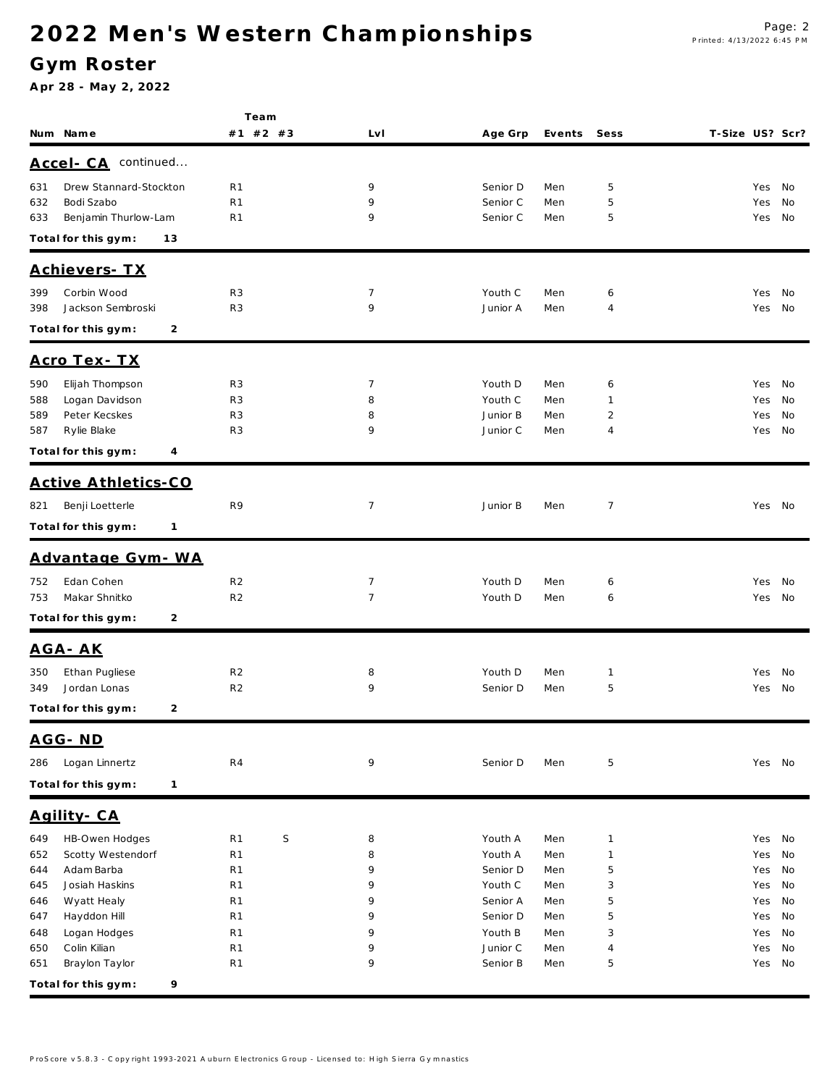### **G ym Roster**

|                                       | Team              |                |          |        |                |                 |        |      |
|---------------------------------------|-------------------|----------------|----------|--------|----------------|-----------------|--------|------|
| Num Name                              | #1 #2 #3          | LvI            | Age Grp  | Events | Sess           | T-Size US? Scr? |        |      |
| Accel- CA continued                   |                   |                |          |        |                |                 |        |      |
| Drew Stannard-Stockton<br>631         | R <sub>1</sub>    | 9              | Senior D | Men    | 5              |                 | Yes    | - No |
| Bodi Szabo<br>632                     | R <sub>1</sub>    | 9              | Senior C | Men    | 5              |                 | Yes    | No   |
| Benjamin Thurlow-Lam<br>633           | R <sub>1</sub>    | 9              | Senior C | Men    | 5              |                 | Yes    | No   |
| Total for this gym:<br>13             |                   |                |          |        |                |                 |        |      |
| Achievers- TX                         |                   |                |          |        |                |                 |        |      |
| 399<br>Corbin Wood                    | R <sub>3</sub>    | 7              | Youth C  | Men    | 6              |                 | Yes    | No.  |
| 398<br>Jackson Sembroski              | R <sub>3</sub>    | 9              | Junior A | Men    | 4              |                 | Yes    | No   |
| $\overline{2}$<br>Total for this gym: |                   |                |          |        |                |                 |        |      |
| <u>Acro Tex - TX</u>                  |                   |                |          |        |                |                 |        |      |
| Elijah Thompson<br>590                | R <sub>3</sub>    | 7              | Youth D  | Men    | 6              |                 | Yes No |      |
| Logan Davidson<br>588                 | R <sub>3</sub>    | 8              | Youth C  | Men    | 1              |                 | Yes    | No   |
| Peter Kecskes<br>589                  | R <sub>3</sub>    | 8              | Junior B | Men    | $\overline{c}$ |                 | Yes    | No   |
| Rylie Blake<br>587                    | R <sub>3</sub>    | 9              | Junior C | Men    | 4              |                 | Yes No |      |
| Total for this gym:<br>4              |                   |                |          |        |                |                 |        |      |
| Active Athletics-CO                   |                   |                |          |        |                |                 |        |      |
| Benji Loetterle<br>821                | R9                | 7              | Junior B | Men    | 7              |                 | Yes No |      |
| Total for this gym:<br>$\mathbf{1}$   |                   |                |          |        |                |                 |        |      |
|                                       |                   |                |          |        |                |                 |        |      |
| Advantage Gym - WA                    |                   |                |          |        |                |                 |        |      |
| Edan Cohen<br>752                     | R <sub>2</sub>    | $\overline{7}$ | Youth D  | Men    | 6              |                 | Yes    | No   |
| Makar Shnitko<br>753                  | R <sub>2</sub>    | $\overline{7}$ | Youth D  | Men    | 6              |                 | Yes No |      |
| Total for this gym:<br>2              |                   |                |          |        |                |                 |        |      |
| AGA-AK                                |                   |                |          |        |                |                 |        |      |
| Ethan Pugliese<br>350                 | R <sub>2</sub>    | 8              | Youth D  | Men    | 1              |                 | Yes    | No   |
| Jordan Lonas<br>349                   | R <sub>2</sub>    | 9              | Senior D | Men    | 5              |                 | Yes No |      |
| $\overline{2}$<br>Total for this gym: |                   |                |          |        |                |                 |        |      |
| AGG-ND                                |                   |                |          |        |                |                 |        |      |
| Logan Linnertz<br>286                 | R4                | 9              | Senior D | Men    | 5              |                 | Yes No |      |
| Total for this gym:<br>$\mathbf{1}$   |                   |                |          |        |                |                 |        |      |
| Agility-CA                            |                   |                |          |        |                |                 |        |      |
| HB-Owen Hodges<br>649                 | $\mathsf S$<br>R1 | 8              | Youth A  | Men    | $\mathbf{1}$   |                 | Yes    | No   |
| 652<br>Scotty Westendorf              | R <sub>1</sub>    | 8              | Youth A  | Men    | $\mathbf{1}$   |                 | Yes    | No   |
| 644<br>Adam Barba                     | R1                | 9              | Senior D | Men    | 5              |                 | Yes    | No   |
| Josiah Haskins<br>645                 | R <sub>1</sub>    | 9              | Youth C  | Men    | 3              |                 | Yes    | No   |
| Wyatt Healy<br>646                    | R <sub>1</sub>    | 9              | Senior A | Men    | 5              |                 | Yes    | No   |
| Hayddon Hill<br>647                   | R <sub>1</sub>    | 9              | Senior D | Men    | 5              |                 | Yes    | No   |
| Logan Hodges<br>648                   | R <sub>1</sub>    | 9              | Youth B  | Men    | 3              |                 | Yes    | No   |
| Colin Kilian<br>650                   | R <sub>1</sub>    | 9              | Junior C | Men    | 4              |                 | Yes    | No   |
| Braylon Taylor<br>651                 | R <sub>1</sub>    | 9              | Senior B | Men    | 5              |                 | Yes No |      |
| Total for this gym:<br>9              |                   |                |          |        |                |                 |        |      |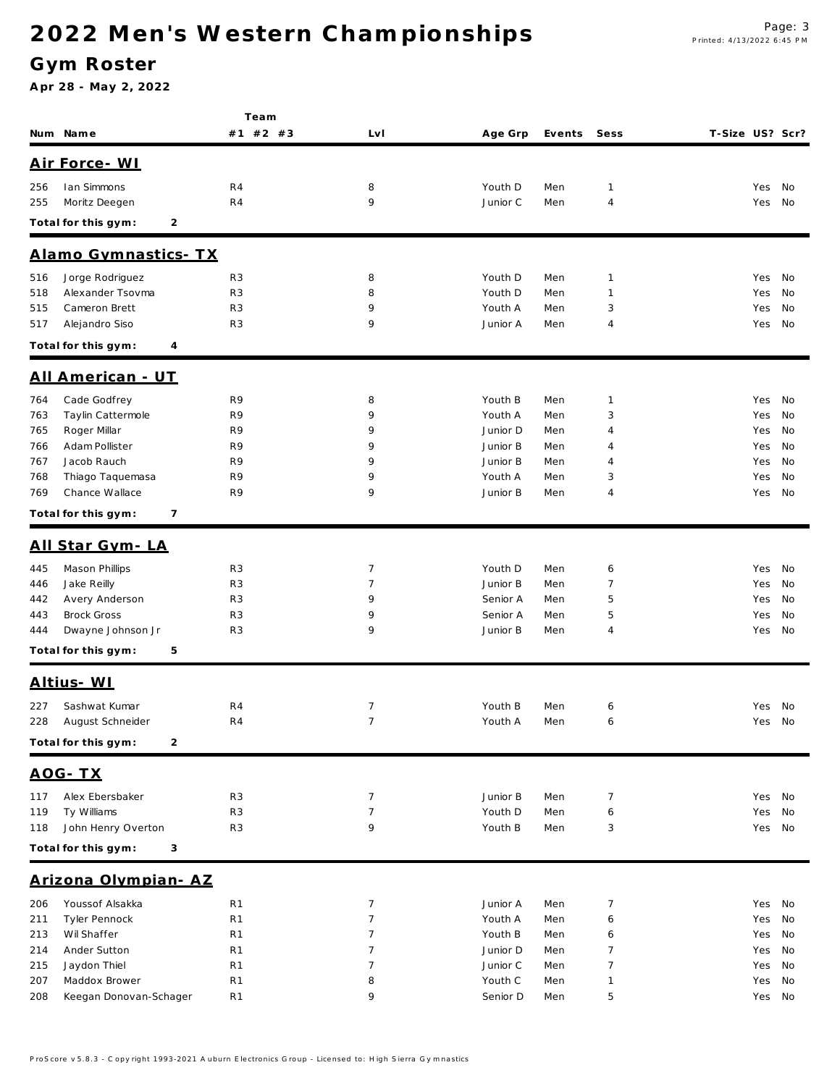### **G ym Roster**

|     |                                       | Team           |                 |          |        |                |                 |        |    |
|-----|---------------------------------------|----------------|-----------------|----------|--------|----------------|-----------------|--------|----|
|     | Num Name                              | #1 #2 #3       | LvI             | Age Grp  | Events | Sess           | T-Size US? Scr? |        |    |
|     | Air Force - WI                        |                |                 |          |        |                |                 |        |    |
| 256 | Ian Simmons                           | R4             | 8               | Youth D  | Men    | $\mathbf{1}$   |                 | Yes    | No |
| 255 | Moritz Deegen                         | R <sub>4</sub> | 9               | Junior C | Men    | 4              |                 | Yes    | No |
|     | Total for this gym:<br>2              |                |                 |          |        |                |                 |        |    |
|     |                                       |                |                 |          |        |                |                 |        |    |
|     | Alamo Gymnastics- TX                  |                |                 |          |        |                |                 |        |    |
| 516 | Jorge Rodriguez                       | R <sub>3</sub> | 8               | Youth D  | Men    | $\mathbf{1}$   |                 | Yes    | No |
| 518 | Alexander Tsovma                      | R <sub>3</sub> | 8               | Youth D  | Men    | 1              |                 | Yes    | No |
| 515 | Cameron Brett                         | R <sub>3</sub> | 9               | Youth A  | Men    | 3              |                 | Yes    | No |
| 517 | Alejandro Siso                        | R <sub>3</sub> | 9               | Junior A | Men    | 4              |                 | Yes    | No |
|     | Total for this gym:<br>4              |                |                 |          |        |                |                 |        |    |
|     | <u> All American - UT</u>             |                |                 |          |        |                |                 |        |    |
| 764 | Cade Godfrey                          | R9             | 8               | Youth B  | Men    | 1              |                 | Yes    | No |
| 763 | Taylin Cattermole                     | R9             | 9               | Youth A  | Men    | 3              |                 | Yes    | No |
| 765 | Roger Millar                          | R9             | 9               | Junior D | Men    | 4              |                 | Yes    | No |
| 766 | Adam Pollister                        | R9             | 9               | Junior B | Men    | 4              |                 | Yes    | No |
| 767 | Jacob Rauch                           | R9             | 9               | Junior B | Men    | 4              |                 | Yes    | No |
| 768 | Thiago Taquemasa                      | R9             | 9               | Youth A  | Men    | 3              |                 | Yes    | No |
| 769 | Chance Wallace                        | R9             | 9               | Junior B | Men    | 4              |                 | Yes    | No |
|     | $\overline{7}$<br>Total for this gym: |                |                 |          |        |                |                 |        |    |
|     | All Star Gym-LA                       |                |                 |          |        |                |                 |        |    |
| 445 | Mason Phillips                        | R <sub>3</sub> | 7               | Youth D  | Men    | 6              |                 | Yes    | No |
| 446 | Jake Reilly                           | R <sub>3</sub> | $\overline{7}$  | Junior B | Men    | 7              |                 | Yes    | No |
| 442 | Avery Anderson                        | R <sub>3</sub> | 9               | Senior A | Men    | 5              |                 | Yes    | No |
| 443 | <b>Brock Gross</b>                    | R <sub>3</sub> | 9               | Senior A | Men    | 5              |                 | Yes    | No |
| 444 | Dwayne Johnson Jr                     | R3             | 9               | Junior B | Men    | 4              |                 | Yes    | No |
|     | Total for this gym:<br>5              |                |                 |          |        |                |                 |        |    |
|     | <u>Altius-WI</u>                      |                |                 |          |        |                |                 |        |    |
| 227 | Sashwat Kumar                         | R <sub>4</sub> | 7               | Youth B  | Men    | 6              |                 | Yes    | No |
| 228 | August Schneider                      | R <sub>4</sub> | $\overline{7}$  | Youth A  | Men    | 6              |                 | Yes    | No |
|     | Total for this gym:<br>2              |                |                 |          |        |                |                 |        |    |
|     | <u> AOG - TX</u>                      |                |                 |          |        |                |                 |        |    |
| 117 | Alex Ebersbaker                       | R <sub>3</sub> | $\overline{7}$  | Junior B | Men    | $\overline{7}$ |                 | Yes No |    |
| 119 | Ty Williams                           | R <sub>3</sub> | $\overline{7}$  | Youth D  | Men    | 6              |                 | Yes    | No |
| 118 | John Henry Overton                    | R3             | 9               | Youth B  | Men    | 3              |                 | Yes    | No |
|     | Total for this gym:<br>3              |                |                 |          |        |                |                 |        |    |
|     | Arizona Olympian-AZ                   |                |                 |          |        |                |                 |        |    |
| 206 | Youssof Alsakka                       | R <sub>1</sub> | $\overline{7}$  | Junior A | Men    | $\overline{7}$ |                 | Yes    | No |
| 211 | Tyler Pennock                         | R <sub>1</sub> | $\overline{7}$  | Youth A  | Men    | 6              |                 | Yes    | No |
| 213 | Wil Shaffer                           | R <sub>1</sub> | $7\phantom{.0}$ | Youth B  | Men    | 6              |                 | Yes    | No |
| 214 | Ander Sutton                          | R <sub>1</sub> | $\overline{7}$  | Junior D | Men    | 7              |                 | Yes    | No |
| 215 | Jaydon Thiel                          | R <sub>1</sub> | $\overline{7}$  | Junior C | Men    | 7              |                 | Yes    | No |
| 207 | Maddox Brower                         | R <sub>1</sub> | 8               | Youth C  | Men    | 1              |                 | Yes    | No |
| 208 | Keegan Donovan-Schager                | R1             | 9               | Senior D | Men    | 5              |                 | Yes No |    |
|     |                                       |                |                 |          |        |                |                 |        |    |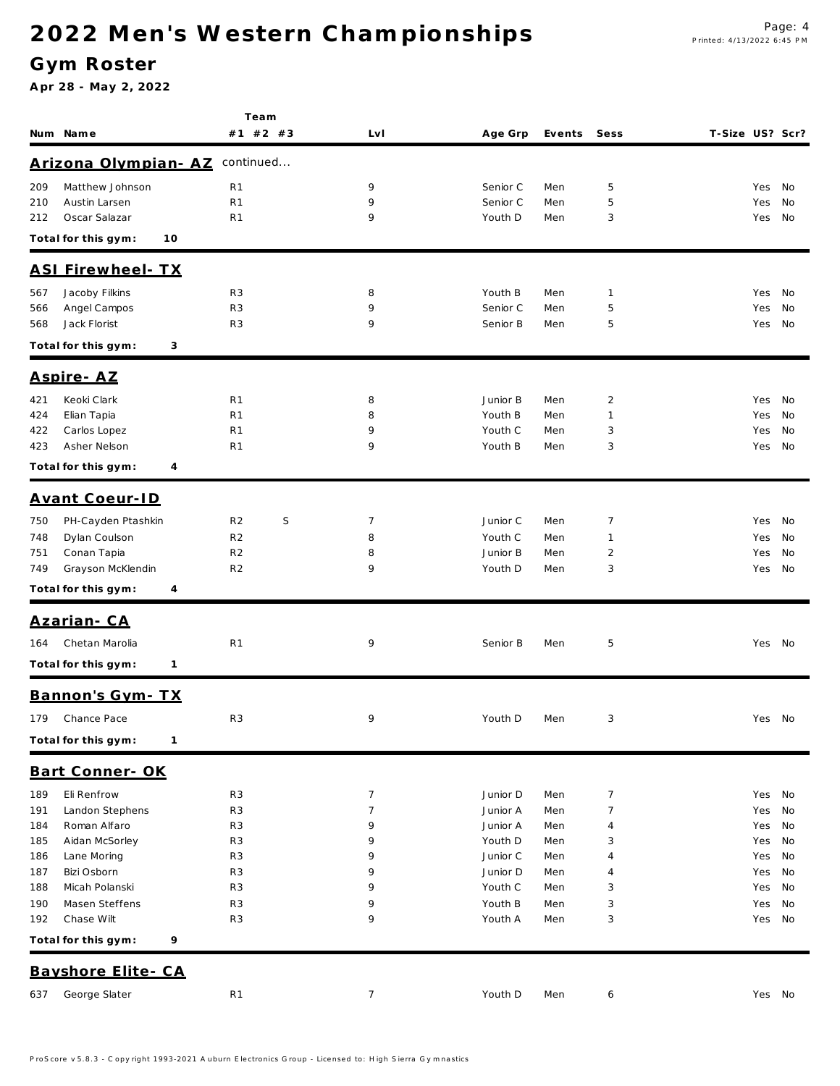**Te a m**

### **G ym Roster**

|     | Num Name                            | #1 #2 #3            | Lv I           | Age Grp  | Events | Sess           | T-Size US? Scr? |            |      |
|-----|-------------------------------------|---------------------|----------------|----------|--------|----------------|-----------------|------------|------|
|     | <u> Arizona Olympian - AZ</u>       | continued           |                |          |        |                |                 |            |      |
| 209 | Matthew Johnson                     | R <sub>1</sub>      | 9              | Senior C | Men    | 5              |                 | Yes        | No.  |
| 210 | Austin Larsen                       | R <sub>1</sub>      | 9              | Senior C | Men    | 5              |                 | Yes        | No   |
| 212 | Oscar Salazar                       | R <sub>1</sub>      | 9              | Youth D  | Men    | 3              |                 | Yes        | No   |
|     | Total for this gym:<br>10           |                     |                |          |        |                |                 |            |      |
|     |                                     |                     |                |          |        |                |                 |            |      |
|     | <b>ASI Firewheel- TX</b>            |                     |                |          |        |                |                 |            |      |
| 567 | Jacoby Filkins                      | R <sub>3</sub>      | 8              | Youth B  | Men    | 1              |                 | Yes        | No   |
| 566 | Angel Campos                        | R <sub>3</sub>      | 9              | Senior C | Men    | 5              |                 | Yes        | No   |
| 568 | Jack Florist                        | R <sub>3</sub>      | 9              | Senior B | Men    | 5              |                 | Yes        | - No |
|     | Total for this gym:<br>3            |                     |                |          |        |                |                 |            |      |
|     | <u> Aspire-AZ</u>                   |                     |                |          |        |                |                 |            |      |
| 421 | Keoki Clark                         | R <sub>1</sub>      | 8              | Junior B | Men    | $\overline{2}$ |                 | Yes        | No   |
| 424 | Elian Tapia                         | R <sub>1</sub>      | 8              | Youth B  | Men    | 1              |                 | Yes        | No   |
| 422 | Carlos Lopez                        | R <sub>1</sub>      | 9              | Youth C  | Men    | 3              |                 | Yes        | No   |
| 423 | Asher Nelson                        | R <sub>1</sub>      | 9              | Youth B  | Men    | 3              |                 | Yes No     |      |
|     | Total for this gym:<br>4            |                     |                |          |        |                |                 |            |      |
|     | Avant Coeur-ID                      |                     |                |          |        |                |                 |            |      |
| 750 | PH-Cayden Ptashkin                  | R <sub>2</sub><br>S | 7              | Junior C | Men    | 7              |                 | Yes        | - No |
| 748 | Dylan Coulson                       | R <sub>2</sub>      | 8              | Youth C  | Men    | 1              |                 |            | No   |
| 751 | Conan Tapia                         | R <sub>2</sub>      | 8              | Junior B | Men    | 2              |                 | Yes<br>Yes | No   |
| 749 | Grayson McKlendin                   | R <sub>2</sub>      | 9              | Youth D  | Men    | 3              |                 | Yes        | No   |
|     |                                     |                     |                |          |        |                |                 |            |      |
|     | Total for this gym:<br>4            |                     |                |          |        |                |                 |            |      |
|     | <u> Azarian- CA</u>                 |                     |                |          |        |                |                 |            |      |
| 164 | Chetan Marolia                      | R <sub>1</sub>      | 9              | Senior B | Men    | 5              |                 | Yes No     |      |
|     | Total for this gym:<br>$\mathbf{1}$ |                     |                |          |        |                |                 |            |      |
|     | Bannon's Gym-TX                     |                     |                |          |        |                |                 |            |      |
| 179 | Chance Pace                         | R <sub>3</sub>      | 9              | Youth D  | Men    | 3              |                 | Yes No     |      |
|     | Total for this gym: 1               |                     |                |          |        |                |                 |            |      |
|     | Bart Conner- OK                     |                     |                |          |        |                |                 |            |      |
| 189 | Eli Renfrow                         | R <sub>3</sub>      | $\overline{7}$ | Junior D | Men    | $\overline{7}$ |                 | Yes No     |      |
| 191 | Landon Stephens                     | R <sub>3</sub>      | $\overline{7}$ | Junior A | Men    | 7              |                 | Yes        | No   |
| 184 | Roman Alfaro                        | R <sub>3</sub>      | 9              | Junior A | Men    | 4              |                 | Yes        | No   |
| 185 | Aidan McSorley                      | R <sub>3</sub>      | 9              | Youth D  | Men    | 3              |                 | Yes        | No   |
| 186 | Lane Moring                         | R <sub>3</sub>      | 9              | Junior C | Men    | 4              |                 | Yes        | No   |
| 187 | Bizi Osborn                         | R <sub>3</sub>      | 9              | Junior D | Men    | 4              |                 | Yes        | No   |
| 188 | Micah Polanski                      | R <sub>3</sub>      | 9              | Youth C  | Men    | 3              |                 | Yes        | No   |
| 190 | Masen Steffens                      | R <sub>3</sub>      | 9              | Youth B  | Men    | 3              |                 | Yes        | No   |
| 192 | Chase Wilt                          | R <sub>3</sub>      | 9              | Youth A  | Men    | 3              |                 | Yes No     |      |
|     | Total for this gym:<br>9            |                     |                |          |        |                |                 |            |      |
|     | Bayshore Elite - CA                 |                     |                |          |        |                |                 |            |      |
| 637 | George Slater                       | R <sub>1</sub>      | $\overline{7}$ | Youth D  | Men    | 6              |                 | Yes No     |      |
|     |                                     |                     |                |          |        |                |                 |            |      |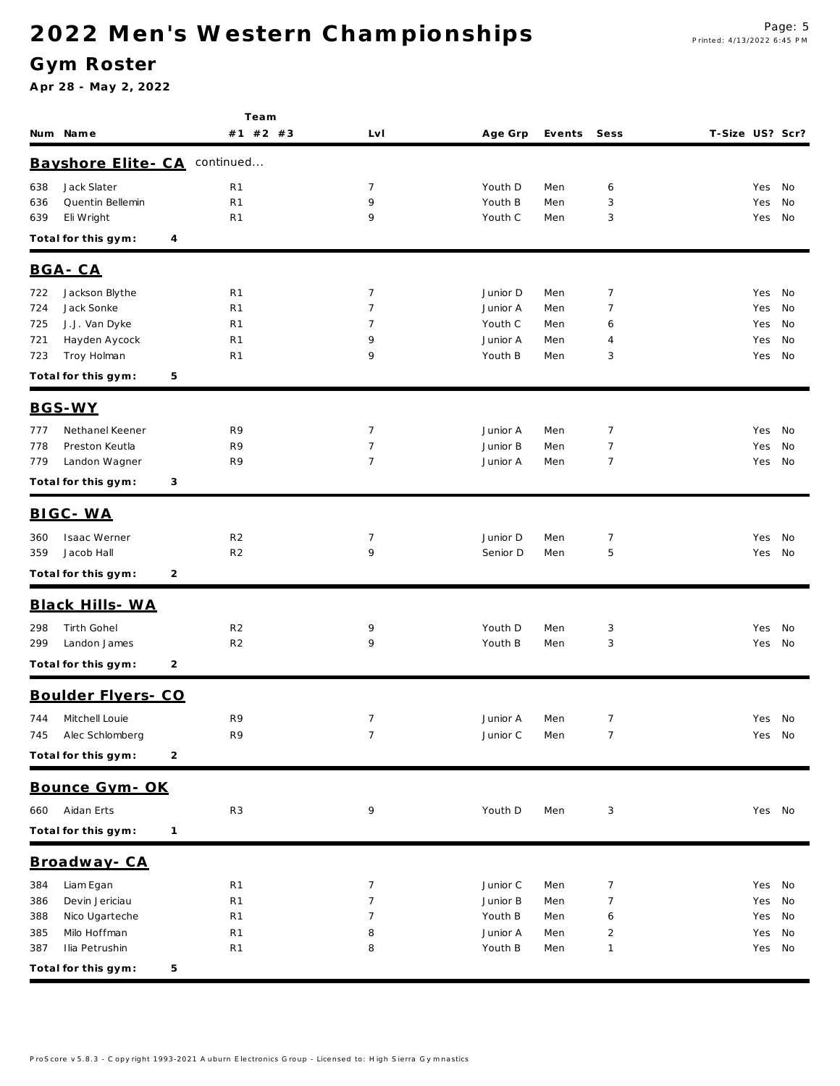### **G ym Roster**

|            |                                |                | Team                             |                |                     |            |                |                 |               |    |
|------------|--------------------------------|----------------|----------------------------------|----------------|---------------------|------------|----------------|-----------------|---------------|----|
|            | Num Name                       |                | #1 #2 #3                         | Lv I           | Age Grp             | Events     | Sess           | T-Size US? Scr? |               |    |
|            | Bayshore Elite - CA            |                | continued                        |                |                     |            |                |                 |               |    |
| 638        | Jack Slater                    |                | R1                               | 7              | Youth D             | Men        | 6              |                 | Yes           | No |
| 636        | Quentin Bellemin               |                | R <sub>1</sub>                   | 9              | Youth B             | Men        | 3              |                 | Yes           | No |
| 639        | Eli Wright                     |                | R <sub>1</sub>                   | 9              | Youth C             | Men        | 3              |                 | Yes           | No |
|            | Total for this gym:            | 4              |                                  |                |                     |            |                |                 |               |    |
|            | BGA-CA                         |                |                                  |                |                     |            |                |                 |               |    |
| 722        | Jackson Blythe                 |                | R <sub>1</sub>                   | 7              | Junior D            | Men        | $\overline{7}$ |                 | Yes           | No |
| 724        | Jack Sonke                     |                | R <sub>1</sub>                   | $\overline{7}$ | Junior A            | Men        | 7              |                 | Yes           | No |
| 725        | J.J. Van Dyke                  |                | R <sub>1</sub>                   | 7              | Youth C             | Men        | 6              |                 | Yes           | No |
| 721        | Hayden Aycock                  |                | R <sub>1</sub>                   | 9              | Junior A            | Men        | 4              |                 | Yes           | No |
| 723        | Troy Holman                    |                | R <sub>1</sub>                   | 9              | Youth B             | Men        | 3              |                 | Yes           | No |
|            | Total for this gym:            | 5              |                                  |                |                     |            |                |                 |               |    |
|            | BGS-WY                         |                |                                  |                |                     |            |                |                 |               |    |
| 777        | Nethanel Keener                |                | R9                               | 7              | Junior A            | Men        | $\overline{7}$ |                 | Yes           | No |
| 778        | Preston Keutla                 |                | R9                               | $\overline{7}$ | Junior B            | Men        | $\overline{7}$ |                 | Yes           | No |
| 779        | Landon Wagner                  |                | R9                               | $\overline{7}$ | Junior A            | Men        | $\overline{7}$ |                 | Yes           | No |
|            | Total for this gym:            | 3              |                                  |                |                     |            |                |                 |               |    |
|            | BIGC - WA                      |                |                                  |                |                     |            |                |                 |               |    |
| 360        | Isaac Werner                   |                | R <sub>2</sub>                   | 7              | Junior D            | Men        | $\overline{7}$ |                 | Yes           | No |
| 359        | Jacob Hall                     |                | R <sub>2</sub>                   | 9              | Senior D            | Men        | 5              |                 | Yes           | No |
|            | Total for this gym:            | $\overline{2}$ |                                  |                |                     |            |                |                 |               |    |
|            | Black Hills- WA                |                |                                  |                |                     |            |                |                 |               |    |
| 298        | Tirth Gohel                    |                | R <sub>2</sub>                   | 9              | Youth D             | Men        | 3              |                 | Yes           | No |
| 299        | Landon James                   |                | R <sub>2</sub>                   | 9              | Youth B             | Men        | 3              |                 | Yes No        |    |
|            | Total for this gym:            | 2              |                                  |                |                     |            |                |                 |               |    |
|            | Boulder Flyers- CO             |                |                                  |                |                     |            |                |                 |               |    |
| 744        | Mitchell Louie                 |                | R9                               | $\overline{7}$ | Junior A            | Men        | $\overline{7}$ |                 | Yes No        |    |
| 745        | Alec Schlomberg                |                | R9                               | $\overline{7}$ | Junior C            | Men        | $\overline{7}$ |                 | Yes No        |    |
|            | Total for this gym:            | $\overline{c}$ |                                  |                |                     |            |                |                 |               |    |
|            | Bounce Gym-OK                  |                |                                  |                |                     |            |                |                 |               |    |
| 660        | Aidan Erts                     |                | R <sub>3</sub>                   | 9              | Youth D             | Men        | 3              |                 | Yes No        |    |
|            |                                |                |                                  |                |                     |            |                |                 |               |    |
|            | Total for this gym:            | $\mathbf{1}$   |                                  |                |                     |            |                |                 |               |    |
|            | Broadway-CA                    |                |                                  |                |                     |            |                |                 |               |    |
| 384        | Liam Egan                      |                | R <sub>1</sub>                   | 7              | Junior C            | Men        | 7              |                 | Yes No        |    |
| 386        | Devin Jericiau                 |                | R <sub>1</sub>                   | $\overline{7}$ | Junior B            | Men        | 7              |                 | Yes           | No |
| 388        | Nico Ugarteche<br>Milo Hoffman |                | R <sub>1</sub><br>R <sub>1</sub> | 7<br>8         | Youth B<br>Junior A | Men        | 6<br>2         |                 | Yes           | No |
| 385<br>387 | Ilia Petrushin                 |                | R <sub>1</sub>                   | 8              | Youth B             | Men<br>Men | 1              |                 | Yes<br>Yes No | No |
|            |                                |                |                                  |                |                     |            |                |                 |               |    |
|            | Total for this gym:            | 5              |                                  |                |                     |            |                |                 |               |    |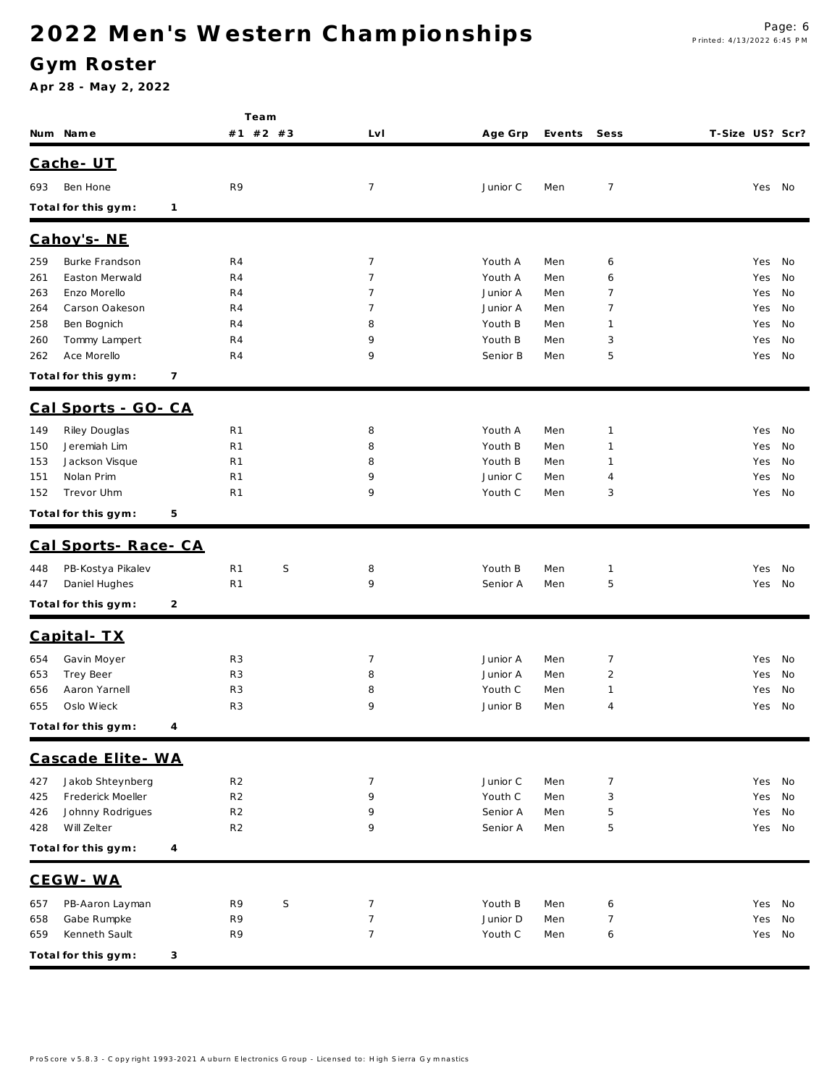#### **G ym Roster**

|            |                          |   | Team                             |         |                |                     |            |                |                 |            |          |  |  |
|------------|--------------------------|---|----------------------------------|---------|----------------|---------------------|------------|----------------|-----------------|------------|----------|--|--|
|            | Num Name                 |   | #1 #2 #3                         |         | Lv I           | Age Grp             | Events     | Sess           | T-Size US? Scr? |            |          |  |  |
|            | Cache-UT                 |   |                                  |         |                |                     |            |                |                 |            |          |  |  |
| 693        | Ben Hone                 |   | R9                               |         | $\overline{7}$ | Junior C            | Men        | $\overline{7}$ |                 | Yes No     |          |  |  |
|            | Total for this gym:      | 1 |                                  |         |                |                     |            |                |                 |            |          |  |  |
|            | Cahoy's-NE               |   |                                  |         |                |                     |            |                |                 |            |          |  |  |
| 259        | Burke Frandson           |   | R <sub>4</sub>                   |         | $\overline{7}$ | Youth A             | Men        | 6              |                 | Yes        | No       |  |  |
| 261        | Easton Merwald           |   | R <sub>4</sub>                   |         | $\overline{7}$ | Youth A             | Men        | 6              |                 | Yes        | No       |  |  |
| 263        | Enzo Morello             |   | R4                               |         | $\overline{7}$ | Junior A            | Men        | 7              |                 | Yes        | No       |  |  |
| 264        | Carson Oakeson           |   | R4                               |         | 7              | Junior A            | Men        | 7              |                 | Yes        | No       |  |  |
| 258        | Ben Bognich              |   | R4                               |         | 8              | Youth B             | Men        | 1              |                 | Yes        | No       |  |  |
| 260        | Tommy Lampert            |   | R4                               |         | 9              | Youth B             | Men        | 3              |                 | Yes        | No       |  |  |
| 262        | Ace Morello              |   | R4                               |         | 9              | Senior B            | Men        | 5              |                 | Yes        | No       |  |  |
|            | Total for this gym:      | 7 |                                  |         |                |                     |            |                |                 |            |          |  |  |
|            | Cal Sports - GO-CA       |   |                                  |         |                |                     |            |                |                 |            |          |  |  |
| 149        | Riley Douglas            |   | R <sub>1</sub>                   |         | 8              | Youth A             | Men        | $\mathbf{1}$   |                 | Yes        | No       |  |  |
| 150        | Jeremiah Lim             |   | R <sub>1</sub>                   |         | 8              | Youth B             | Men        | $\mathbf{1}$   |                 | Yes        | No       |  |  |
| 153        | Jackson Visque           |   | R <sub>1</sub>                   |         | 8              | Youth B             | Men        | $\mathbf{1}$   |                 | Yes        | No       |  |  |
| 151<br>152 | Nolan Prim<br>Trevor Uhm |   | R <sub>1</sub><br>R <sub>1</sub> |         | 9<br>9         | Junior C<br>Youth C | Men<br>Men | 4<br>3         |                 | Yes<br>Yes | No<br>No |  |  |
|            |                          | 5 |                                  |         |                |                     |            |                |                 |            |          |  |  |
|            | Total for this gym:      |   |                                  |         |                |                     |            |                |                 |            |          |  |  |
|            | Cal Sports-Race-CA       |   |                                  |         |                |                     |            |                |                 |            |          |  |  |
| 448        | PB-Kostya Pikalev        |   | R <sub>1</sub>                   | $\sf S$ | 8              | Youth B             | Men        | $\mathbf{1}$   |                 | Yes        | No       |  |  |
| 447        | Daniel Hughes            |   | R <sub>1</sub>                   |         | 9              | Senior A            | Men        | 5              |                 | Yes        | No       |  |  |
|            | Total for this gym:      | 2 |                                  |         |                |                     |            |                |                 |            |          |  |  |
|            | Capital-TX               |   |                                  |         |                |                     |            |                |                 |            |          |  |  |
| 654        | Gavin Moyer              |   | R <sub>3</sub>                   |         | $\overline{7}$ | Junior A            | Men        | $\overline{7}$ |                 | Yes        | No       |  |  |
| 653        | Trey Beer                |   | R <sub>3</sub>                   |         | 8              | Junior A            | Men        | $\overline{2}$ |                 | Yes        | No       |  |  |
| 656        | Aaron Yarnell            |   | R <sub>3</sub>                   |         | 8              | Youth C             | Men        | $\mathbf{1}$   |                 | Yes        | No       |  |  |
| 655        | Oslo Wieck               |   | R <sub>3</sub>                   |         | 9              | Junior B            | Men        | 4              |                 | Yes        | No       |  |  |
|            | Total for this gym:      | 4 |                                  |         |                |                     |            |                |                 |            |          |  |  |
|            | Cascade Elite - WA       |   |                                  |         |                |                     |            |                |                 |            |          |  |  |
| 427        | Jakob Shteynberg         |   | R <sub>2</sub>                   |         | $\overline{7}$ | Junior C            | Men        | $\overline{7}$ |                 | Yes        | No       |  |  |
| 425        | Frederick Moeller        |   | R <sub>2</sub>                   |         | 9              | Youth C             | Men        | 3              |                 | Yes        | No       |  |  |
| 426        | Johnny Rodrigues         |   | R <sub>2</sub>                   |         | 9              | Senior A            | Men        | 5              |                 | Yes        | No       |  |  |
| 428        | Will Zelter              |   | R <sub>2</sub>                   |         | 9              | Senior A            | Men        | 5              |                 | Yes        | No       |  |  |
|            | Total for this gym:      | 4 |                                  |         |                |                     |            |                |                 |            |          |  |  |
|            | CEGW-WA                  |   |                                  |         |                |                     |            |                |                 |            |          |  |  |
| 657        | PB-Aaron Layman          |   | R9                               | S       | $\overline{7}$ | Youth B             | Men        | 6              |                 | Yes        | No       |  |  |
| 658        | Gabe Rumpke              |   | R9                               |         | $\overline{7}$ | Junior D            | Men        | $\overline{7}$ |                 | Yes        | No       |  |  |
| 659        | Kenneth Sault            |   | R9                               |         | $\overline{7}$ | Youth C             | Men        | 6              |                 | Yes        | No       |  |  |
|            | Total for this gym:      | 3 |                                  |         |                |                     |            |                |                 |            |          |  |  |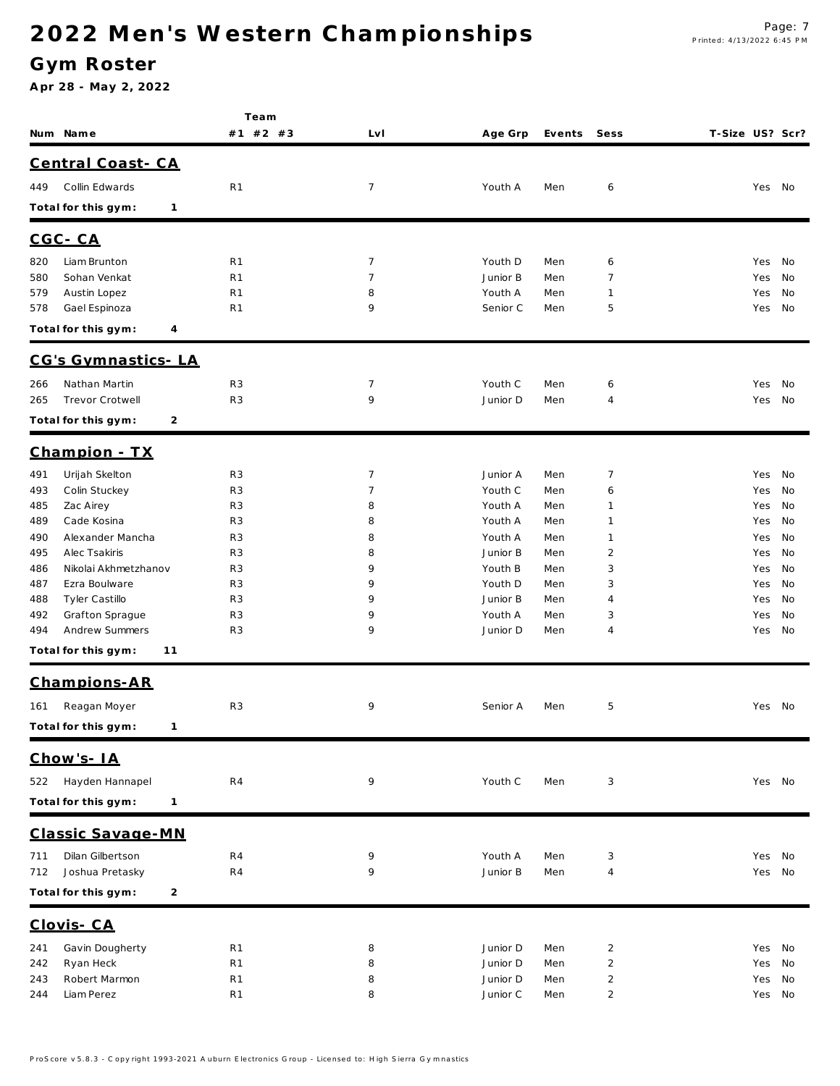#### **G ym Roster**

|                                               | Team                             |                     |                     |            |                     |                        |
|-----------------------------------------------|----------------------------------|---------------------|---------------------|------------|---------------------|------------------------|
| Num Name                                      | #1 #2 #3                         | Lv I                | Age Grp             | Events     | Sess                | T-Size US? Scr?        |
| Central Coast-CA                              |                                  |                     |                     |            |                     |                        |
|                                               |                                  |                     |                     |            |                     |                        |
| Collin Edwards<br>449                         | R <sub>1</sub>                   | $\overline{7}$      | Youth A             | Men        | 6                   | Yes No                 |
| Total for this gym:<br>$\mathbf{1}$           |                                  |                     |                     |            |                     |                        |
| $CGC - CA$                                    |                                  |                     |                     |            |                     |                        |
| Liam Brunton<br>820                           | R <sub>1</sub>                   | $\overline{7}$      | Youth D             | Men        | 6                   | No<br>Yes              |
| Sohan Venkat<br>580                           | R <sub>1</sub>                   | $\overline{7}$      | Junior B            | Men        | 7                   | No<br>Yes              |
| Austin Lopez<br>579                           | R <sub>1</sub>                   | 8                   | Youth A             | Men        | $\mathbf{1}$        | Yes<br>No              |
| Gael Espinoza<br>578                          | R <sub>1</sub>                   | 9                   | Senior C            | Men        | 5                   | No<br>Yes              |
| Total for this gym:<br>4                      |                                  |                     |                     |            |                     |                        |
| CG's Gymnastics-LA                            |                                  |                     |                     |            |                     |                        |
| Nathan Martin<br>266                          | R <sub>3</sub>                   | 7                   | Youth C             | Men        | 6                   | Yes<br>No              |
| Trevor Crotwell<br>265                        | R <sub>3</sub>                   | 9                   | Junior D            | Men        | $\overline{4}$      | Yes<br>No              |
| Total for this gym:<br>2                      |                                  |                     |                     |            |                     |                        |
| Champion - TX                                 |                                  |                     |                     |            |                     |                        |
|                                               |                                  |                     |                     |            |                     |                        |
| Urijah Skelton<br>491<br>Colin Stuckey<br>493 | R <sub>3</sub><br>R <sub>3</sub> | $\overline{7}$<br>7 | Junior A<br>Youth C | Men<br>Men | $\overline{7}$<br>6 | Yes<br>No<br>Yes<br>No |
| 485<br>Zac Airey                              | R <sub>3</sub>                   | 8                   | Youth A             | Men        | $\mathbf{1}$        | Yes<br>No              |
| Cade Kosina<br>489                            | R <sub>3</sub>                   | 8                   | Youth A             | Men        | $\mathbf{1}$        | Yes<br>No              |
| Alexander Mancha<br>490                       | R <sub>3</sub>                   | 8                   | Youth A             | Men        | $\mathbf{1}$        | No<br>Yes              |
| 495<br>Alec Tsakiris                          | R <sub>3</sub>                   | 8                   | Junior B            | Men        | $\overline{2}$      | No<br>Yes              |
| Nikolai Akhmetzhanov<br>486                   | R <sub>3</sub>                   | 9                   | Youth B             | Men        | 3                   | Yes<br>No              |
| 487<br>Ezra Boulware                          | R <sub>3</sub>                   | 9                   | Youth D             | Men        | 3                   | No<br>Yes              |
| Tyler Castillo<br>488                         | R <sub>3</sub>                   | 9                   | Junior B            | Men        | $\overline{4}$      | No<br>Yes              |
| Grafton Sprague<br>492                        | R <sub>3</sub>                   | 9                   | Youth A             | Men        | 3                   | No<br>Yes              |
| Andrew Summers<br>494                         | R <sub>3</sub>                   | 9                   | Junior D            | Men        | 4                   | Yes<br>No              |
| Total for this gym:<br>11                     |                                  |                     |                     |            |                     |                        |
| Champions-AR                                  |                                  |                     |                     |            |                     |                        |
| Reagan Moyer<br>161                           | R <sub>3</sub>                   | 9                   | Senior A            | Men        | 5                   | Yes No                 |
| Total for this gym:<br>1                      |                                  |                     |                     |            |                     |                        |
| Chow's-IA                                     |                                  |                     |                     |            |                     |                        |
|                                               |                                  |                     |                     |            |                     |                        |
| Hayden Hannapel<br>522                        | R4                               | 9                   | Youth C             | Men        | 3                   | Yes No                 |
| Total for this gym:<br>$\mathbf{1}$           |                                  |                     |                     |            |                     |                        |
| Classic Savage-MN                             |                                  |                     |                     |            |                     |                        |
| Dilan Gilbertson<br>711                       | R4                               | 9                   | Youth A             | Men        | 3                   | Yes No                 |
| Joshua Pretasky<br>712                        | R <sub>4</sub>                   | 9                   | Junior B            | Men        | $\overline{4}$      | Yes No                 |
| Total for this gym:<br>2                      |                                  |                     |                     |            |                     |                        |
| Clovis-CA                                     |                                  |                     |                     |            |                     |                        |
| Gavin Dougherty<br>241                        | R <sub>1</sub>                   | 8                   | Junior D            | Men        | $\overline{2}$      | No<br>Yes              |
| Ryan Heck<br>242                              | R <sub>1</sub>                   | 8                   | Junior D            | Men        | $\overline{2}$      | No<br>Yes              |
| Robert Marmon<br>243                          | R <sub>1</sub>                   | 8                   | Junior D            | Men        | $\overline{2}$      | No<br>Yes              |
| Liam Perez<br>244                             | R <sub>1</sub>                   | 8                   | Junior C            | Men        | $\overline{2}$      | Yes No                 |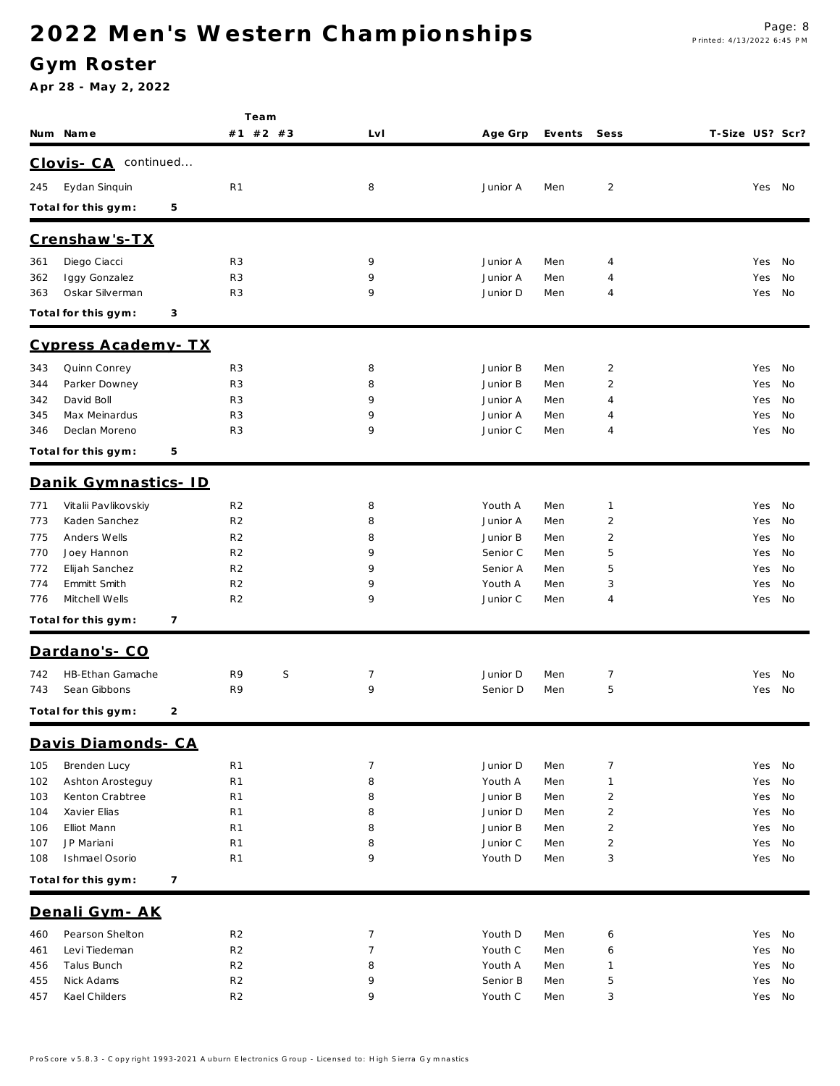### **G ym Roster**

|            | Num Name                              | Team<br>#1 #2 #3                 | LvI            | Age Grp              | Events     | Sess                             | T-Size US? Scr? |            |          |
|------------|---------------------------------------|----------------------------------|----------------|----------------------|------------|----------------------------------|-----------------|------------|----------|
|            | continued                             |                                  |                |                      |            |                                  |                 |            |          |
|            | Clovis-CA                             |                                  |                |                      |            |                                  |                 |            |          |
| 245        | Eydan Sinquin                         | R <sub>1</sub>                   | 8              | Junior A             | Men        | $\overline{2}$                   |                 | Yes        | No       |
|            | Total for this gym:                   | 5                                |                |                      |            |                                  |                 |            |          |
|            | Crenshaw's-TX                         |                                  |                |                      |            |                                  |                 |            |          |
| 361        | Diego Ciacci                          | R <sub>3</sub>                   | 9              | Junior A             | Men        | $\overline{4}$                   |                 | Yes        | No       |
| 362        | Iggy Gonzalez                         | R <sub>3</sub>                   | 9              | Junior A             | Men        | $\overline{4}$                   |                 | Yes        | No       |
| 363        | Oskar Silverman                       | R <sub>3</sub>                   | 9              | Junior D             | Men        | 4                                |                 | Yes        | No       |
|            | Total for this gym:                   | 3                                |                |                      |            |                                  |                 |            |          |
|            | Cypress Academy-TX                    |                                  |                |                      |            |                                  |                 |            |          |
| 343        | Quinn Conrey                          | R <sub>3</sub>                   | 8              | Junior B             | Men        | $\overline{2}$                   |                 | Yes        | No       |
| 344        | Parker Downey                         | R <sub>3</sub>                   | 8              | Junior B             | Men        | $\overline{2}$                   |                 | Yes        | No       |
| 342        | David Boll                            | R <sub>3</sub>                   | 9              | Junior A             | Men        | $\overline{4}$                   |                 | Yes        | No       |
| 345        | Max Meinardus                         | R <sub>3</sub>                   | 9              | Junior A             | Men        | 4                                |                 | Yes        | No       |
| 346        | Declan Moreno                         | R <sub>3</sub>                   | 9              | Junior C             | Men        | 4                                |                 | Yes        | No       |
|            | Total for this gym:                   | 5                                |                |                      |            |                                  |                 |            |          |
|            | Danik Gymnastics- ID                  |                                  |                |                      |            |                                  |                 |            |          |
| 771        | Vitalii Pavlikovskiy                  | R <sub>2</sub>                   | 8              | Youth A              | Men        | $\mathbf{1}$                     |                 | Yes        | No       |
| 773        | Kaden Sanchez                         | R <sub>2</sub>                   | 8              | Junior A             | Men        | $\overline{2}$                   |                 | Yes        | No       |
| 775        | Anders Wells                          | R <sub>2</sub>                   | 8              | Junior B             | Men        | $\overline{c}$                   |                 | Yes        | No       |
| 770        | Joey Hannon                           | R <sub>2</sub>                   | 9              | Senior C             | Men        | 5                                |                 | Yes        | No       |
| 772        | Elijah Sanchez                        | R <sub>2</sub>                   | 9<br>9         | Senior A             | Men        | 5                                |                 | Yes        | No       |
| 774<br>776 | Emmitt Smith<br>Mitchell Wells        | R <sub>2</sub><br>R <sub>2</sub> | 9              | Youth A<br>Junior C  | Men<br>Men | 3<br>4                           |                 | Yes<br>Yes | No<br>No |
|            | Total for this gym:                   | 7                                |                |                      |            |                                  |                 |            |          |
|            | Dardano's-CO                          |                                  |                |                      |            |                                  |                 |            |          |
|            |                                       |                                  |                |                      |            |                                  |                 |            |          |
| 742<br>743 | HB-Ethan Gamache<br>Sean Gibbons      | S<br>R9<br>R9                    | 7<br>9         | Junior D<br>Senior D | Men<br>Men | $\overline{7}$<br>5              |                 | Yes<br>Yes | No<br>No |
|            |                                       |                                  |                |                      |            |                                  |                 |            |          |
|            | Total for this gym:                   | 2                                |                |                      |            |                                  |                 |            |          |
|            | Davis Diamonds- CA                    |                                  |                |                      |            |                                  |                 |            |          |
| 105        | Brenden Lucy                          | R <sub>1</sub>                   | $\overline{7}$ | Junior D             | Men        | $\overline{7}$                   |                 | Yes        | No       |
| 102        | Ashton Arosteguy                      | R <sub>1</sub>                   | 8              | Youth A              | Men        | $\mathbf{1}$                     |                 | Yes        | No       |
| 103<br>104 | Kenton Crabtree<br>Xavier Elias       | R <sub>1</sub><br>R <sub>1</sub> | 8<br>8         | Junior B<br>Junior D | Men<br>Men | $\overline{2}$<br>$\overline{2}$ |                 | Yes<br>Yes | No<br>No |
| 106        | Elliot Mann                           | R <sub>1</sub>                   | 8              | Junior B             | Men        | $\sqrt{2}$                       |                 | Yes        | No       |
| 107        | JP Mariani                            | R <sub>1</sub>                   | 8              | Junior C             | Men        | $\overline{2}$                   |                 | Yes        | No       |
| 108        | Ishmael Osorio                        | R <sub>1</sub>                   | 9              | Youth D              | Men        | 3                                |                 | Yes        | No       |
|            | Total for this gym:<br>$\overline{7}$ |                                  |                |                      |            |                                  |                 |            |          |
|            | Denali Gym-AK                         |                                  |                |                      |            |                                  |                 |            |          |
| 460        | Pearson Shelton                       | R <sub>2</sub>                   | 7              | Youth D              | Men        | 6                                |                 | Yes        | No       |
| 461        | Levi Tiedeman                         | R <sub>2</sub>                   | 7              | Youth C              | Men        | 6                                |                 | Yes        | No       |
| 456        | Talus Bunch                           | R <sub>2</sub>                   | 8              | Youth A              | Men        | $\mathbf{1}$                     |                 | Yes        | No       |
| 455        | Nick Adams                            | R <sub>2</sub>                   | 9              | Senior B             | Men        | $\sqrt{5}$                       |                 | Yes        | No       |
| 457        | Kael Childers                         | R <sub>2</sub>                   | 9              | Youth C              | Men        | 3                                |                 | Yes        | No       |
|            |                                       |                                  |                |                      |            |                                  |                 |            |          |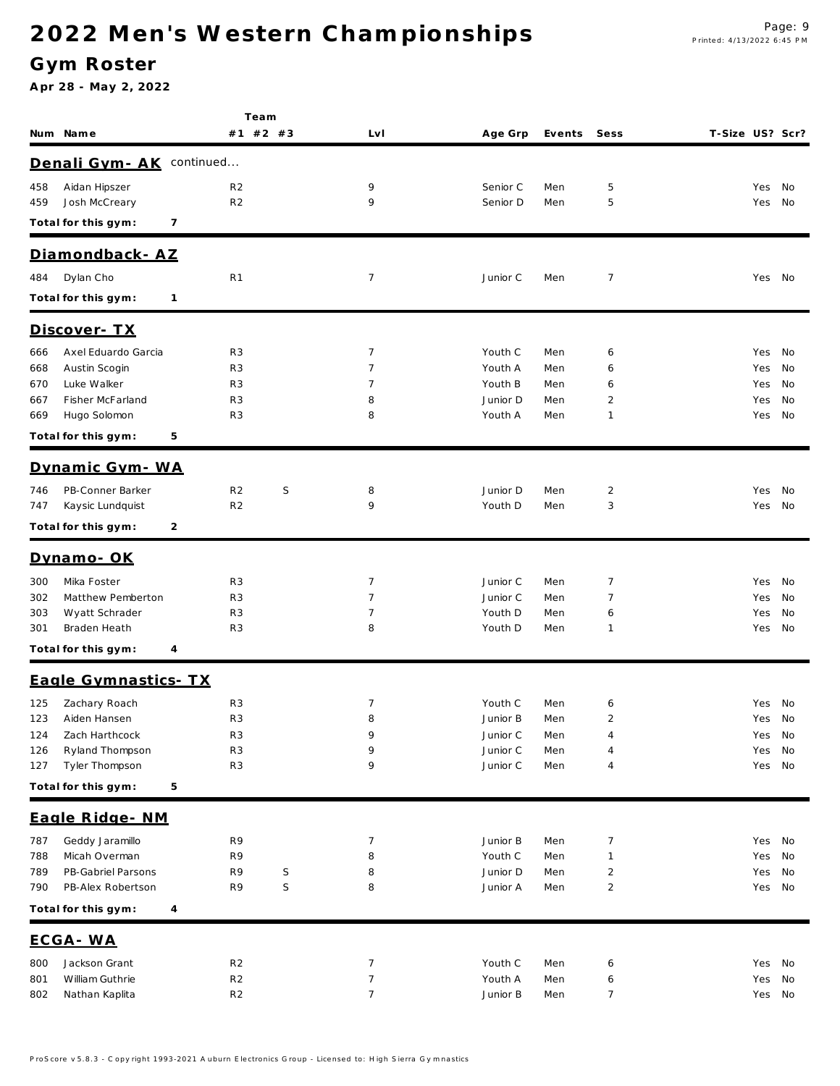### **G ym Roster**

|            | Num Name                          | Team<br>#1 #2 #3                 |             | LvI            | Age Grp              | Events     | Sess           | T-Size US? Scr? |            |          |
|------------|-----------------------------------|----------------------------------|-------------|----------------|----------------------|------------|----------------|-----------------|------------|----------|
|            | Denali Gym - AK                   | continued                        |             |                |                      |            |                |                 |            |          |
|            |                                   |                                  |             |                |                      |            |                |                 |            |          |
| 458<br>459 | Aidan Hipszer<br>Josh McCreary    | R <sub>2</sub><br>R <sub>2</sub> |             | 9<br>9         | Senior C<br>Senior D | Men<br>Men | 5<br>5         |                 | Yes<br>Yes | No<br>No |
|            | Total for this gym:<br>7          |                                  |             |                |                      |            |                |                 |            |          |
|            | Diamondback - AZ                  |                                  |             |                |                      |            |                |                 |            |          |
| 484        | Dylan Cho                         | R <sub>1</sub>                   |             | 7              | Junior C             | Men        | $\overline{7}$ |                 | Yes No     |          |
|            | Total for this gym:<br>1          |                                  |             |                |                      |            |                |                 |            |          |
|            | <u> Discover- TX</u>              |                                  |             |                |                      |            |                |                 |            |          |
| 666        | Axel Eduardo Garcia               | R <sub>3</sub>                   |             | $\overline{7}$ | Youth C              | Men        | 6              |                 | Yes        | No       |
| 668        | Austin Scogin                     | R <sub>3</sub>                   |             | 7              | Youth A              | Men        | 6              |                 | Yes        | No       |
| 670        | Luke Walker                       | R <sub>3</sub>                   |             | 7              | Youth B              | Men        | 6              |                 | Yes        | No       |
| 667        | Fisher McFarland                  | R <sub>3</sub>                   |             | 8              | Junior D             | Men        | 2              |                 | Yes        | No       |
| 669        | Hugo Solomon                      | R <sub>3</sub>                   |             | 8              | Youth A              | Men        | $\mathbf{1}$   |                 | Yes        | No       |
|            | Total for this gym:<br>5          |                                  |             |                |                      |            |                |                 |            |          |
|            | Dynamic Gym - WA                  |                                  |             |                |                      |            |                |                 |            |          |
| 746        | PB-Conner Barker                  | R <sub>2</sub>                   | S           | 8              | Junior D             | Men        | $\overline{2}$ |                 | Yes        | No       |
| 747        | Kaysic Lundquist                  | R <sub>2</sub>                   |             | 9              | Youth D              | Men        | 3              |                 | Yes        | No       |
|            | Total for this gym:<br>2          |                                  |             |                |                      |            |                |                 |            |          |
|            | Dynamo-OK                         |                                  |             |                |                      |            |                |                 |            |          |
| 300        | Mika Foster                       | R <sub>3</sub>                   |             | 7              | Junior C             | Men        | $\overline{7}$ |                 | Yes        | No       |
| 302        | Matthew Pemberton                 | R <sub>3</sub>                   |             | $\overline{7}$ | Junior C             | Men        | 7              |                 | Yes        | No       |
| 303        | Wyatt Schrader                    | R <sub>3</sub>                   |             | 7              | Youth D              | Men        | 6              |                 | Yes        | No       |
| 301        | Braden Heath                      | R <sub>3</sub>                   |             | 8              | Youth D              | Men        | $\mathbf{1}$   |                 | Yes        | No       |
|            | Total for this gym:<br>4          |                                  |             |                |                      |            |                |                 |            |          |
|            | Eagle Gymnastics- TX              |                                  |             |                |                      |            |                |                 |            |          |
| 125        | Zachary Roach                     | R <sub>3</sub>                   |             | 7              | Youth C              | Men        | 6              |                 | Yes        | No       |
| 123        | Aiden Hansen                      | R <sub>3</sub>                   |             | 8              | Junior B             | Men        | 2              |                 | Yes        | No       |
| 124<br>126 | Zach Harthcock<br>Ryland Thompson | R <sub>3</sub><br>R <sub>3</sub> |             | 9<br>9         | Junior C<br>Junior C | Men<br>Men | 4<br>4         |                 | Yes<br>Yes | No<br>No |
| 127        | Tyler Thompson                    | R <sub>3</sub>                   |             | 9              | Junior C             | Men        | 4              |                 | Yes        | No       |
|            | Total for this gym:<br>5          |                                  |             |                |                      |            |                |                 |            |          |
|            | Eagle Ridge - NM                  |                                  |             |                |                      |            |                |                 |            |          |
| 787        | Geddy Jaramillo                   | R9                               |             | 7              | Junior B             | Men        | $\overline{7}$ |                 | Yes        | No       |
| 788        | Micah Overman                     | R9                               |             | 8              | Youth C              | Men        | $\mathbf{1}$   |                 | Yes        | No       |
| 789        | PB-Gabriel Parsons                | R9                               | $\mathsf S$ | 8              | Junior D             | Men        | $\overline{2}$ |                 | Yes        | No       |
| 790        | PB-Alex Robertson                 | R9                               | $\mathsf S$ | 8              | Junior A             | Men        | $\overline{2}$ |                 | Yes        | No       |
|            | Total for this gym:<br>4          |                                  |             |                |                      |            |                |                 |            |          |
|            | ECGA-WA                           |                                  |             |                |                      |            |                |                 |            |          |
| 800        | Jackson Grant                     | R <sub>2</sub>                   |             | 7              | Youth C              | Men        | 6              |                 | Yes        | No       |
| 801        | William Guthrie                   | R <sub>2</sub>                   |             | 7              | Youth A              | Men        | 6              |                 | Yes        | No       |
| 802        | Nathan Kaplita                    | R <sub>2</sub>                   |             | $\overline{7}$ | Junior B             | Men        | $\overline{7}$ |                 | Yes        | No       |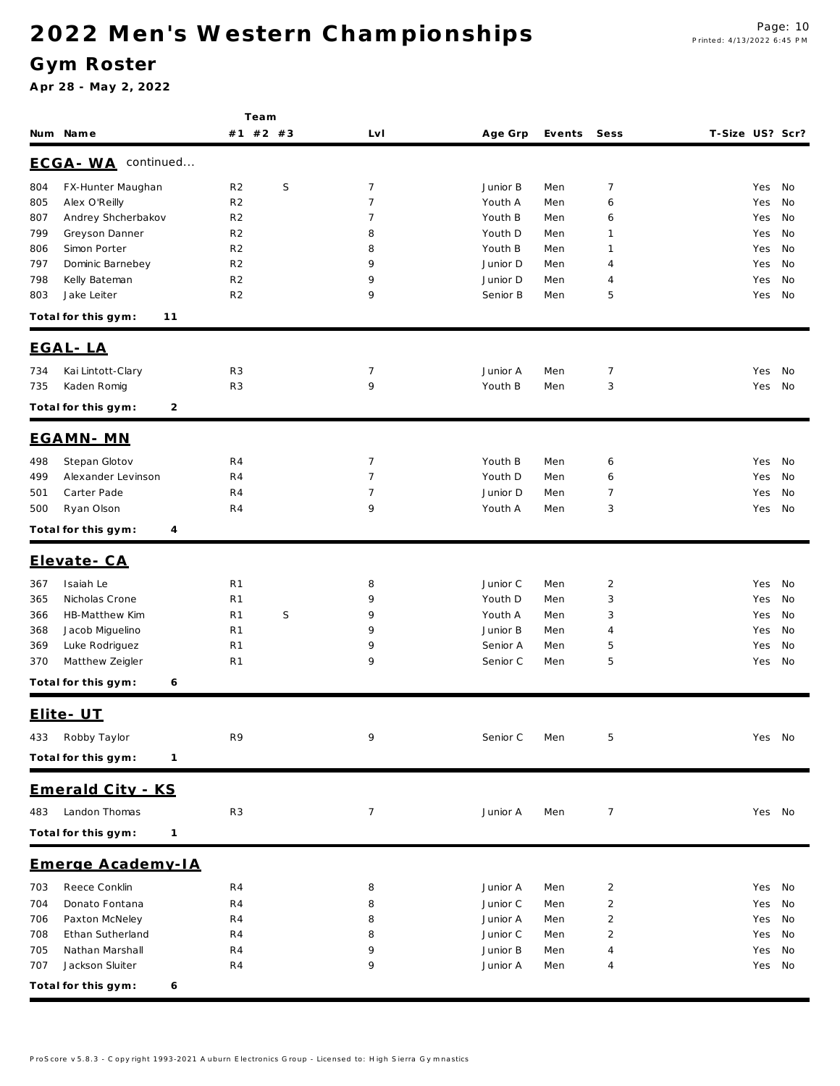### **G ym Roster**

|            |                                     |                                  | Team        |                |                     |            |                |                        |
|------------|-------------------------------------|----------------------------------|-------------|----------------|---------------------|------------|----------------|------------------------|
|            | Num Name                            |                                  | #1 #2 #3    | Lv I           | Age Grp             | Events     | Sess           | T-Size US? Scr?        |
|            | ECGA-WA continued                   |                                  |             |                |                     |            |                |                        |
| 804        | FX-Hunter Maughan                   | R <sub>2</sub>                   | S           | $\overline{7}$ | Junior B            | Men        | 7              | Yes<br>No              |
| 805        | Alex O'Reilly                       | R <sub>2</sub>                   |             | $\overline{7}$ | Youth A             | Men        | 6              | No<br>Yes              |
| 807        | Andrey Shcherbakov                  | R <sub>2</sub>                   |             | 7              | Youth B             | Men        | 6              | No<br>Yes              |
| 799        | Greyson Danner                      | R <sub>2</sub>                   |             | 8              | Youth D             | Men        | 1              | No<br>Yes              |
| 806        | Simon Porter                        | R <sub>2</sub>                   |             | 8              | Youth B             | Men        | 1              | No<br>Yes              |
| 797        | Dominic Barnebey                    | R <sub>2</sub>                   |             | 9              | Junior D            | Men        | 4              | Yes<br>No              |
| 798        | Kelly Bateman                       | R <sub>2</sub>                   |             | 9              | Junior D            | Men        | 4              | No<br>Yes              |
| 803        | Jake Leiter                         | R <sub>2</sub>                   |             | 9              | Senior B            | Men        | 5              | No<br>Yes              |
|            | Total for this gym:<br>11           |                                  |             |                |                     |            |                |                        |
|            | EGAL-LA                             |                                  |             |                |                     |            |                |                        |
| 734        | Kai Lintott-Clary                   | R <sub>3</sub>                   |             | $\overline{7}$ | Junior A            | Men        | $\overline{7}$ | Yes<br>No              |
| 735        | Kaden Romig                         | R <sub>3</sub>                   |             | 9              | Youth B             | Men        | 3              | Yes<br>No              |
|            | Total for this gym:<br>2            |                                  |             |                |                     |            |                |                        |
|            | EGAMN-MN                            |                                  |             |                |                     |            |                |                        |
| 498        | Stepan Glotov                       | R <sub>4</sub>                   |             | $\overline{7}$ | Youth B             | Men        | 6              | No<br>Yes              |
| 499        | Alexander Levinson                  | R <sub>4</sub>                   |             | $\overline{7}$ | Youth D             | Men        | 6              | No<br>Yes              |
| 501        | Carter Pade                         | R <sub>4</sub>                   |             | $\overline{7}$ | Junior D            | Men        | 7              | No<br>Yes              |
| 500        | Ryan Olson                          | R4                               |             | 9              | Youth A             | Men        | 3              | No<br>Yes              |
|            | Total for this gym:<br>4            |                                  |             |                |                     |            |                |                        |
|            | Elevate-CA                          |                                  |             |                |                     |            |                |                        |
|            |                                     |                                  |             |                |                     |            |                |                        |
| 367        | Isaiah Le                           | R <sub>1</sub>                   |             | 8              | Junior C            | Men        | $\overline{2}$ | Yes<br>No              |
| 365        | Nicholas Crone                      | R <sub>1</sub>                   |             | 9<br>9         | Youth D             | Men        | 3              | Yes<br>No              |
| 366<br>368 | HB-Matthew Kim<br>Jacob Miguelino   | R <sub>1</sub><br>R <sub>1</sub> | $\mathsf S$ | 9              | Youth A<br>Junior B | Men<br>Men | 3<br>4         | No<br>Yes<br>Yes<br>No |
| 369        | Luke Rodriguez                      | R <sub>1</sub>                   |             | 9              | Senior A            | Men        | 5              | No<br>Yes              |
| 370        | Matthew Zeigler                     | R <sub>1</sub>                   |             | 9              | Senior C            | Men        | 5              | No<br>Yes              |
|            | Total for this gym:<br>6            |                                  |             |                |                     |            |                |                        |
|            |                                     |                                  |             |                |                     |            |                |                        |
|            | Elite - UT                          |                                  |             |                |                     |            |                |                        |
| 433        | Robby Taylor                        | R9                               |             | 9              | Senior C            | Men        | 5              | Yes No                 |
|            | Total for this gym:<br>$\mathbf{1}$ |                                  |             |                |                     |            |                |                        |
|            | Emerald City - KS                   |                                  |             |                |                     |            |                |                        |
| 483        | Landon Thomas                       | R <sub>3</sub>                   |             | $\overline{7}$ | Junior A            | Men        | 7              | Yes No                 |
|            | Total for this gym:<br>$\mathbf{1}$ |                                  |             |                |                     |            |                |                        |
|            | Emerge Academy-IA                   |                                  |             |                |                     |            |                |                        |
| 703        | Reece Conklin                       | R4                               |             | 8              | Junior A            | Men        | $\overline{2}$ | Yes<br>No              |
| 704        | Donato Fontana                      | R4                               |             | 8              | Junior C            | Men        | $\overline{c}$ | Yes<br>No              |
| 706        | Paxton McNeley                      | R4                               |             | 8              | Junior A            | Men        | 2              | Yes<br>No              |
| 708        | Ethan Sutherland                    | R4                               |             | 8              | Junior C            | Men        | $\overline{2}$ | Yes<br>No              |
| 705        | Nathan Marshall                     | R4                               |             | 9              | Junior B            | Men        | 4              | Yes<br>No              |
| 707        | Jackson Sluiter                     | R4                               |             | 9              | Junior A            | Men        | 4              | Yes No                 |
|            | Total for this gym:<br>6            |                                  |             |                |                     |            |                |                        |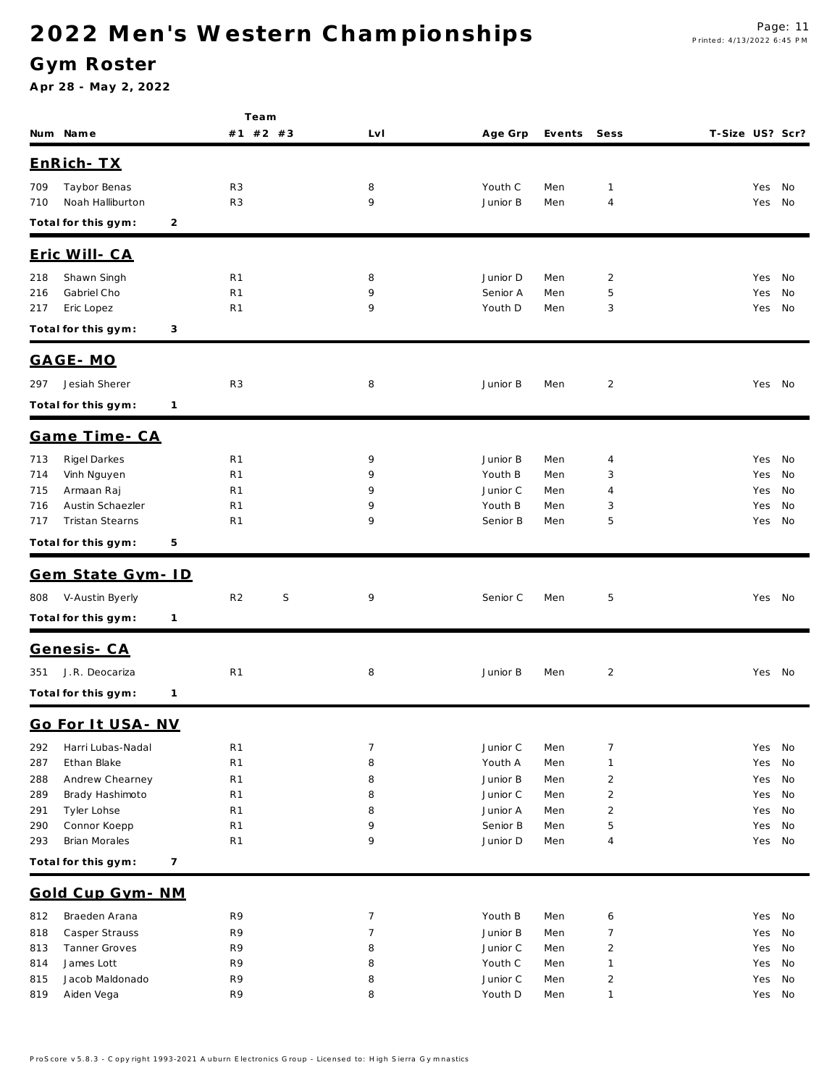### **G ym Roster**

|            |                      |              | Team                             |        |                     |            |                |                 |            |          |
|------------|----------------------|--------------|----------------------------------|--------|---------------------|------------|----------------|-----------------|------------|----------|
|            | Num Name             |              | #1 #2 #3                         | LvI    | Age Grp             | Events     | Sess           | T-Size US? Scr? |            |          |
|            | EnRich- TX           |              |                                  |        |                     |            |                |                 |            |          |
|            |                      |              |                                  |        |                     |            |                |                 |            |          |
| 709        | Taybor Benas         |              | R <sub>3</sub>                   | 8<br>9 | Youth C             | Men        | 1              |                 | Yes        | No       |
| 710        | Noah Halliburton     |              | R <sub>3</sub>                   |        | Junior B            | Men        | 4              |                 | Yes        | No       |
|            | Total for this gym:  | 2            |                                  |        |                     |            |                |                 |            |          |
|            | Eric Will- CA        |              |                                  |        |                     |            |                |                 |            |          |
| 218        | Shawn Singh          |              | R <sub>1</sub>                   | 8      | Junior D            | Men        | $\overline{2}$ |                 | Yes        | No       |
| 216        | Gabriel Cho          |              | R <sub>1</sub>                   | 9      | Senior A            | Men        | 5              |                 | Yes        | No       |
| 217        | Eric Lopez           |              | R <sub>1</sub>                   | 9      | Youth D             | Men        | 3              |                 | Yes        | No       |
|            | Total for this gym:  | 3            |                                  |        |                     |            |                |                 |            |          |
|            | GAGE-MO              |              |                                  |        |                     |            |                |                 |            |          |
| 297        | Jesiah Sherer        |              | R <sub>3</sub>                   | 8      | Junior B            | Men        | $\overline{2}$ |                 | Yes No     |          |
|            | Total for this gym:  | $\mathbf{1}$ |                                  |        |                     |            |                |                 |            |          |
|            | Game Time - CA       |              |                                  |        |                     |            |                |                 |            |          |
|            | Rigel Darkes         |              |                                  | 9      |                     |            |                |                 |            |          |
| 713<br>714 | Vinh Nguyen          |              | R <sub>1</sub><br>R <sub>1</sub> | 9      | Junior B<br>Youth B | Men<br>Men | 4<br>3         |                 | Yes<br>Yes | No<br>No |
| 715        | Armaan Raj           |              | R <sub>1</sub>                   | 9      | Junior C            | Men        | 4              |                 | Yes        | No       |
| 716        | Austin Schaezler     |              | R <sub>1</sub>                   | 9      | Youth B             | Men        | 3              |                 | Yes        | No       |
| 717        | Tristan Stearns      |              | R <sub>1</sub>                   | 9      | Senior B            | Men        | 5              |                 | Yes        | No       |
|            | Total for this gym:  | 5            |                                  |        |                     |            |                |                 |            |          |
|            | Gem State Gym-ID     |              |                                  |        |                     |            |                |                 |            |          |
| 808        | V-Austin Byerly      |              | R <sub>2</sub><br>S              | 9      | Senior C            | Men        | 5              |                 | Yes No     |          |
|            | Total for this gym:  | $\mathbf{1}$ |                                  |        |                     |            |                |                 |            |          |
|            |                      |              |                                  |        |                     |            |                |                 |            |          |
|            | <u>Genesis- CA</u>   |              |                                  |        |                     |            |                |                 |            |          |
| 351        | J.R. Deocariza       |              | R <sub>1</sub>                   | 8      | Junior B            | Men        | $\overline{c}$ |                 | Yes No     |          |
|            | Total for this gym:  | 1            |                                  |        |                     |            |                |                 |            |          |
|            | Go For It USA - NV   |              |                                  |        |                     |            |                |                 |            |          |
| 292        | Harri Lubas-Nadal    |              | R <sub>1</sub>                   | 7      | Junior C            | Men        | $\overline{7}$ |                 | Yes        | No       |
| 287        | Ethan Blake          |              | R <sub>1</sub>                   | 8      | Youth A             | Men        | $\mathbf{1}$   |                 | Yes        | No       |
| 288        | Andrew Chearney      |              | R <sub>1</sub>                   | 8      | Junior B            | Men        | $\overline{2}$ |                 | Yes        | No       |
| 289        | Brady Hashimoto      |              | R <sub>1</sub>                   | 8      | Junior C            | Men        | $\overline{c}$ |                 | Yes        | No       |
| 291        | Tyler Lohse          |              | R <sub>1</sub>                   | 8      | Junior A            | Men        | $\overline{2}$ |                 | Yes        | No       |
| 290        | Connor Koepp         |              | R <sub>1</sub>                   | 9      | Senior B            | Men        | 5              |                 | Yes        | No       |
| 293        | Brian Morales        |              | R <sub>1</sub>                   | 9      | Junior D            | Men        | $\overline{4}$ |                 | Yes        | No       |
|            | Total for this gym:  | 7            |                                  |        |                     |            |                |                 |            |          |
|            | Gold Cup Gym - NM    |              |                                  |        |                     |            |                |                 |            |          |
| 812        | Braeden Arana        |              | R9                               | 7      | Youth B             | Men        | 6              |                 | Yes        | No       |
| 818        | Casper Strauss       |              | R9                               | 7      | Junior B            | Men        | $\overline{7}$ |                 | Yes        | No       |
| 813        | <b>Tanner Groves</b> |              | R9                               | 8      | Junior C            | Men        | $\overline{2}$ |                 | Yes        | No       |
| 814        | James Lott           |              | R9                               | 8      | Youth C             | Men        | $\mathbf{1}$   |                 | Yes        | No       |
| 815        | Jacob Maldonado      |              | R9<br>R9                         | 8<br>8 | Junior C<br>Youth D | Men        | $\overline{2}$ |                 | Yes        | No       |
| 819        | Aiden Vega           |              |                                  |        |                     | Men        | $\mathbf{1}$   |                 | Yes        | No       |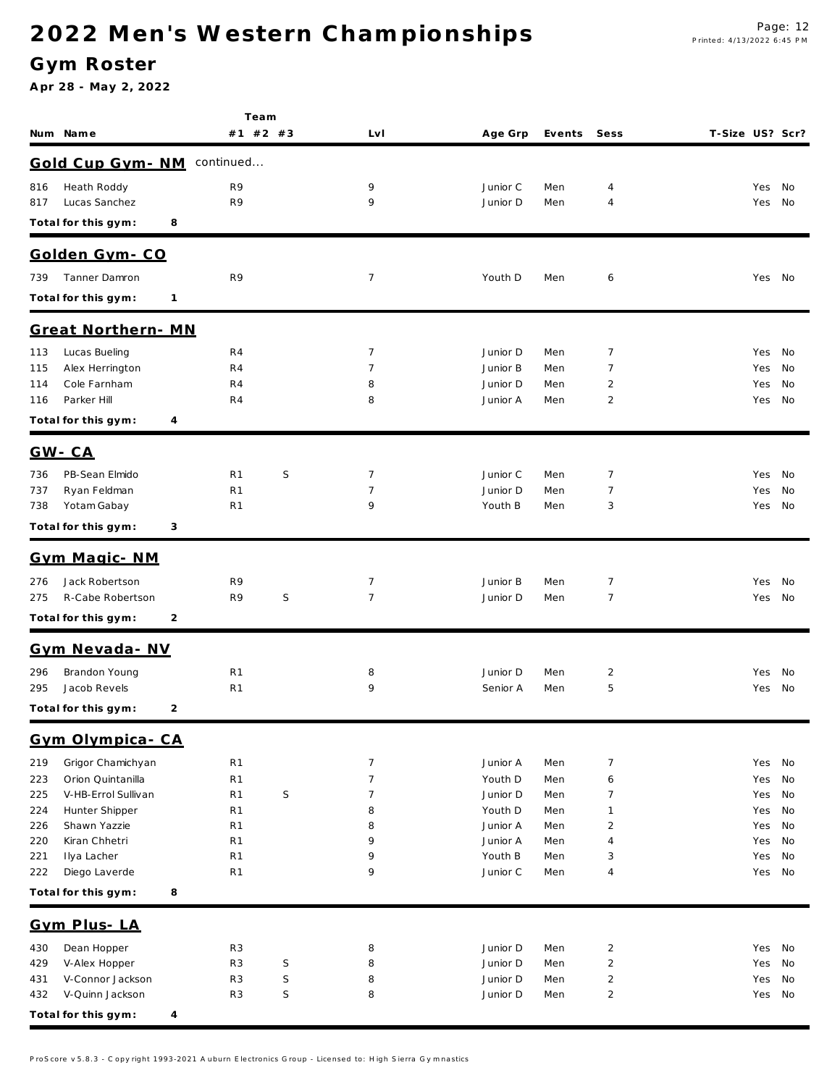**Te a m**

### **G ym Roster**

| Gold Cup Gym - NM continued                                                                                                                                                                |            |          |
|--------------------------------------------------------------------------------------------------------------------------------------------------------------------------------------------|------------|----------|
| Heath Roddy<br>R9<br>9<br>Junior C<br>816<br>Men<br>4                                                                                                                                      | Yes        | No       |
| Lucas Sanchez<br>R9<br>9<br>817<br>Junior D<br>Men<br>4                                                                                                                                    | Yes        | No       |
| Total for this gym:<br>8                                                                                                                                                                   |            |          |
| Golden Gym-CO                                                                                                                                                                              |            |          |
| <b>Tanner Damron</b><br>R9<br>$\overline{7}$<br>739<br>Youth D<br>Men<br>6                                                                                                                 |            | Yes No   |
| Total for this gym:<br>1                                                                                                                                                                   |            |          |
|                                                                                                                                                                                            |            |          |
| Great Northern-MN                                                                                                                                                                          |            |          |
| Lucas Bueling<br>7<br>7<br>R4<br>Junior D<br>113<br>Men                                                                                                                                    |            | Yes No   |
| $\overline{7}$<br>Alex Herrington<br>7<br>R4<br>Junior B<br>Men<br>115                                                                                                                     | Yes        | No       |
| Cole Farnham<br>8<br>$\overline{2}$<br>R4<br>Junior D<br>114<br>Men<br>Parker Hill<br>R4<br>8<br>2<br>116<br>Junior A<br>Men                                                               | Yes<br>Yes | No<br>No |
| Total for this gym:<br>4                                                                                                                                                                   |            |          |
|                                                                                                                                                                                            |            |          |
| $GW - CA$                                                                                                                                                                                  |            |          |
| PB-Sean Elmido<br>S<br>7<br>7<br>R1<br>Junior C<br>736<br>Men                                                                                                                              | Yes        | No       |
| $\overline{7}$<br>7<br>Ryan Feldman<br>R1<br>Junior D<br>Men<br>737<br>Yotam Gabay<br>9<br>738<br>R1<br>Youth B<br>3<br>Men                                                                | Yes<br>Yes | No<br>No |
|                                                                                                                                                                                            |            |          |
| Total for this gym:<br>3                                                                                                                                                                   |            |          |
| Gym Magic- NM                                                                                                                                                                              |            |          |
| Jack Robertson<br>7<br>7<br>R9<br>Junior B<br>276<br>Men                                                                                                                                   | Yes        | No       |
| $\mathsf S$<br>$\overline{7}$<br>7<br>275<br>R-Cabe Robertson<br>R9<br>Junior D<br>Men                                                                                                     | Yes        | No       |
| Total for this gym:<br>2                                                                                                                                                                   |            |          |
| Gym Nevada - NV                                                                                                                                                                            |            |          |
| Brandon Young<br>$\overline{c}$<br>R1<br>8<br>Junior D<br>296<br>Men                                                                                                                       | Yes        | No       |
| Jacob Revels<br>9<br>5<br>295<br>R1<br>Senior A<br>Men                                                                                                                                     |            | Yes No   |
| Total for this gym:<br>2                                                                                                                                                                   |            |          |
| Gym Olympica - CA                                                                                                                                                                          |            |          |
| 219<br>Grigor Chamichyan<br>R <sub>1</sub><br>7<br>Junior A<br>7<br>Men                                                                                                                    | Yes        | No       |
| Orion Quintanilla<br>$\overline{7}$<br>223<br>R <sub>1</sub><br>Youth D<br>Men<br>6                                                                                                        | Yes        | No       |
| S<br>$\overline{7}$<br>V-HB-Errol Sullivan<br>R <sub>1</sub><br>Junior D<br>7<br>225<br>Men                                                                                                | Yes        | No       |
| 224<br>Hunter Shipper<br>R <sub>1</sub><br>8<br>Youth D<br>Men<br>1                                                                                                                        | Yes        | No       |
| Shawn Yazzie<br>Junior A<br>226<br>R1<br>8<br>Men<br>2                                                                                                                                     | Yes        | No       |
| Kiran Chhetri<br>220<br>R <sub>1</sub><br>9<br>Junior A<br>Men<br>4                                                                                                                        | Yes        | No       |
| Ilya Lacher<br>9<br>Youth B<br>221<br>R1<br>Men<br>3<br>9<br>Diego Laverde<br>R <sub>1</sub><br>Junior C<br>222<br>Men<br>4                                                                | Yes<br>Yes | No<br>No |
| Total for this gym:<br>8                                                                                                                                                                   |            |          |
|                                                                                                                                                                                            |            |          |
| Gym Plus-LA                                                                                                                                                                                |            |          |
| Dean Hopper<br>R <sub>3</sub><br>8<br>Junior D<br>$\overline{2}$<br>430<br>Men                                                                                                             |            | Yes No   |
| S<br>V-Alex Hopper<br>R <sub>3</sub><br>8<br>Junior D<br>Men<br>$\overline{\mathbf{c}}$<br>429<br>V-Connor Jackson<br>R <sub>3</sub><br>S<br>8<br>Junior D<br>Men<br>$\overline{2}$<br>431 | Yes<br>Yes | No<br>No |
| $\mathsf S$<br>V-Quinn Jackson<br>R <sub>3</sub><br>8<br>$\overline{2}$<br>432<br>Junior D<br>Men                                                                                          | Yes        | No       |
| Total for this gym:<br>$\overline{4}$                                                                                                                                                      |            |          |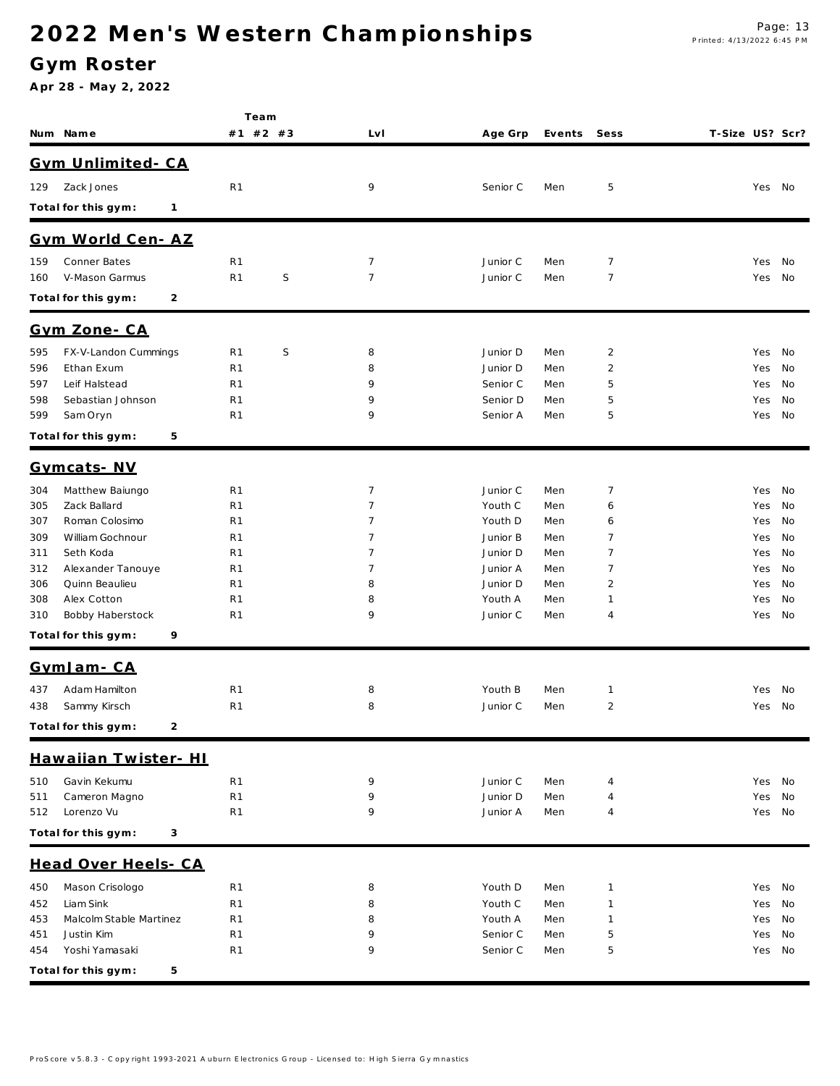### **G ym Roster**

|                                             | Team                             |   |                 |                     |             |                   |                 |            |          |
|---------------------------------------------|----------------------------------|---|-----------------|---------------------|-------------|-------------------|-----------------|------------|----------|
| Num Name                                    | #1 #2 #3                         |   | LvI             | Age Grp             | Events Sess |                   | T-Size US? Scr? |            |          |
| Gym Unlimited-CA                            |                                  |   |                 |                     |             |                   |                 |            |          |
|                                             |                                  |   |                 |                     |             |                   |                 |            |          |
| Zack Jones<br>129                           | R <sub>1</sub>                   |   | 9               | Senior C            | Men         | 5                 |                 | Yes        | No       |
| Total for this gym:<br>1                    |                                  |   |                 |                     |             |                   |                 |            |          |
| Gym World Cen-AZ                            |                                  |   |                 |                     |             |                   |                 |            |          |
| Conner Bates<br>159                         | R <sub>1</sub>                   |   | $\overline{7}$  | Junior C            | Men         | $\overline{7}$    |                 | Yes        | No       |
| V-Mason Garmus<br>160                       | R <sub>1</sub>                   | S | $7\phantom{.0}$ | Junior C            | Men         | $\overline{7}$    |                 | Yes        | No       |
| Total for this gym:<br>2                    |                                  |   |                 |                     |             |                   |                 |            |          |
| Gym Zone-CA                                 |                                  |   |                 |                     |             |                   |                 |            |          |
| FX-V-Landon Cummings<br>595                 | R <sub>1</sub>                   | S | 8               | Junior D            | Men         | $\overline{2}$    |                 | Yes        | No       |
| Ethan Exum<br>596                           | R <sub>1</sub>                   |   | 8               | Junior D            | Men         | $\overline{2}$    |                 | Yes        | No       |
| Leif Halstead<br>597                        | R <sub>1</sub>                   |   | 9               | Senior C            | Men         | 5                 |                 | Yes        | No       |
| 598<br>Sebastian Johnson                    | R <sub>1</sub>                   |   | 9               | Senior D            | Men         | 5                 |                 | Yes        | No       |
| 599<br>Sam Oryn                             | R <sub>1</sub>                   |   | 9               | Senior A            | Men         | 5                 |                 | Yes        | No       |
| Total for this gym:<br>5                    |                                  |   |                 |                     |             |                   |                 |            |          |
| Gymcats-NV                                  |                                  |   |                 |                     |             |                   |                 |            |          |
| Matthew Baiungo<br>304                      | R <sub>1</sub>                   |   | $\overline{7}$  | Junior C            | Men         | $\overline{7}$    |                 | Yes        | No       |
| 305<br>Zack Ballard                         | R <sub>1</sub>                   |   | $\overline{7}$  | Youth C             | Men         | 6                 |                 | Yes        | No       |
| Roman Colosimo<br>307                       | R <sub>1</sub>                   |   | 7               | Youth D             | Men         | 6                 |                 | Yes        | No       |
| 309<br>William Gochnour                     | R <sub>1</sub>                   |   | 7               | Junior B            | Men         | $\overline{7}$    |                 | Yes        | No       |
| Seth Koda<br>311                            | R <sub>1</sub>                   |   | 7               | Junior D            | Men         | $\overline{7}$    |                 | Yes        | No       |
| Alexander Tanouye<br>312                    | R <sub>1</sub>                   |   | 7               | Junior A            | Men         | $\overline{7}$    |                 | Yes        | No       |
| 306<br>Quinn Beaulieu<br>Alex Cotton<br>308 | R <sub>1</sub><br>R <sub>1</sub> |   | 8<br>8          | Junior D<br>Youth A | Men<br>Men  | 2<br>$\mathbf{1}$ |                 | Yes<br>Yes | No<br>No |
| Bobby Haberstock<br>310                     | R <sub>1</sub>                   |   | 9               | Junior C            | Men         | $\overline{4}$    |                 | Yes        | No       |
| Total for this gym:<br>9                    |                                  |   |                 |                     |             |                   |                 |            |          |
| GymJam-CA                                   |                                  |   |                 |                     |             |                   |                 |            |          |
| Adam Hamilton<br>437                        | R <sub>1</sub>                   |   | 8               | Youth B             | Men         | $\mathbf{1}$      |                 | Yes        | No       |
| Sammy Kirsch<br>438                         | R <sub>1</sub>                   |   | 8               | Junior C            | Men         | $\overline{2}$    |                 | Yes        | No       |
| Total for this gym:<br>$\mathcal{P}$        |                                  |   |                 |                     |             |                   |                 |            |          |
| Hawaiian Twister- HI                        |                                  |   |                 |                     |             |                   |                 |            |          |
| Gavin Kekumu<br>510                         | R <sub>1</sub>                   |   | 9               | Junior C            | Men         | 4                 |                 | Yes No     |          |
| Cameron Magno<br>511                        | R <sub>1</sub>                   |   | 9               | Junior D            | Men         | $\overline{4}$    |                 | Yes        | No       |
| Lorenzo Vu<br>512                           | R <sub>1</sub>                   |   | 9               | Junior A            | Men         | $\overline{4}$    |                 | Yes No     |          |
| Total for this gym:<br>3                    |                                  |   |                 |                     |             |                   |                 |            |          |
| Head Over Heels- CA                         |                                  |   |                 |                     |             |                   |                 |            |          |
| Mason Crisologo<br>450                      | R <sub>1</sub>                   |   | 8               | Youth D             | Men         | $\mathbf{1}$      |                 | Yes        | No       |
| Liam Sink<br>452                            | R <sub>1</sub>                   |   | 8               | Youth C             | Men         | $\mathbf{1}$      |                 | Yes        | No       |
| Malcolm Stable Martinez<br>453              | R <sub>1</sub>                   |   | 8               | Youth A             | Men         | $\mathbf{1}$      |                 | Yes        | No       |
| Justin Kim<br>451                           | R <sub>1</sub>                   |   | 9               | Senior C            | Men         | 5                 |                 | Yes        | No       |
| Yoshi Yamasaki<br>454                       | R <sub>1</sub>                   |   | 9               | Senior C            | Men         | 5                 |                 | Yes        | No       |
| Total for this gym:<br>5                    |                                  |   |                 |                     |             |                   |                 |            |          |
|                                             |                                  |   |                 |                     |             |                   |                 |            |          |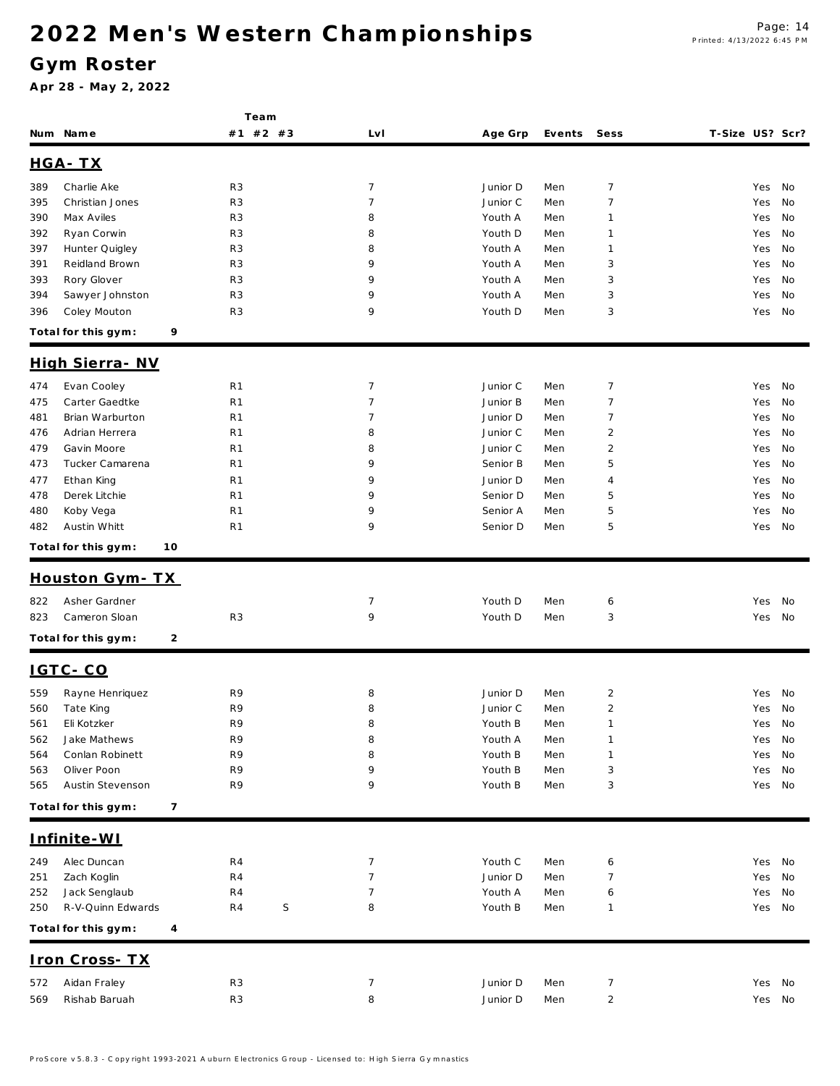### **G ym Roster**

|     |                           | Team           |                  |          |        |                         |                 |        |
|-----|---------------------------|----------------|------------------|----------|--------|-------------------------|-----------------|--------|
|     | Num Name                  | #1 #2 #3       | LvI              | Age Grp  | Events | Sess                    | T-Size US? Scr? |        |
|     | HGA-TX                    |                |                  |          |        |                         |                 |        |
| 389 | Charlie Ake               | R <sub>3</sub> | $\overline{7}$   | Junior D | Men    | $\overline{7}$          | Yes             | No     |
| 395 | Christian Jones           | R <sub>3</sub> | $\overline{7}$   | Junior C | Men    | $\overline{7}$          | Yes             | No     |
| 390 | Max Aviles                | R <sub>3</sub> | 8                | Youth A  | Men    | 1                       | Yes             | No     |
| 392 | Ryan Corwin               | R <sub>3</sub> | 8                | Youth D  | Men    | 1                       | Yes             | No     |
| 397 | Hunter Quigley            | R <sub>3</sub> | 8                | Youth A  | Men    | $\mathbf{1}$            | Yes             | No     |
| 391 | Reidland Brown            | R <sub>3</sub> | 9                | Youth A  | Men    | 3                       | Yes             | No     |
| 393 | Rory Glover               | R <sub>3</sub> | 9                | Youth A  | Men    | 3                       | Yes             | No     |
| 394 | Sawyer Johnston           | R <sub>3</sub> | 9                | Youth A  | Men    | 3                       | Yes             | No     |
| 396 | Coley Mouton              | R <sub>3</sub> | 9                | Youth D  | Men    | 3                       | Yes             | No     |
|     | Total for this gym:       | 9              |                  |          |        |                         |                 |        |
|     | High Sierra - NV          |                |                  |          |        |                         |                 |        |
| 474 | Evan Cooley               | R <sub>1</sub> | $\overline{7}$   | Junior C | Men    | $\overline{7}$          | Yes             | No     |
| 475 | Carter Gaedtke            | R <sub>1</sub> | $\overline{7}$   | Junior B | Men    | $\overline{7}$          | Yes             | No     |
| 481 | Brian Warburton           | R <sub>1</sub> | 7                | Junior D | Men    | $\overline{7}$          | Yes             | No     |
| 476 | Adrian Herrera            | R <sub>1</sub> | 8                | Junior C | Men    | $\overline{2}$          | Yes             | No     |
| 479 | Gavin Moore               | R <sub>1</sub> | 8                | Junior C | Men    | $\overline{2}$          | Yes             | No     |
| 473 | Tucker Camarena           | R <sub>1</sub> | 9                | Senior B | Men    | 5                       | Yes             | No     |
| 477 | Ethan King                | R <sub>1</sub> | 9                | Junior D | Men    | 4                       | Yes             | No     |
| 478 | Derek Litchie             | R <sub>1</sub> | 9                | Senior D | Men    | 5                       | Yes             | No     |
| 480 | Koby Vega                 | R <sub>1</sub> | 9                | Senior A | Men    | 5                       | Yes             | No     |
| 482 | Austin Whitt              | R <sub>1</sub> | 9                | Senior D | Men    | 5                       | Yes             | No     |
|     | Total for this gym:<br>10 |                |                  |          |        |                         |                 |        |
|     | <u>Houston Gym-TX</u>     |                |                  |          |        |                         |                 |        |
| 822 | Asher Gardner             |                | $\overline{7}$   | Youth D  | Men    | 6                       | Yes             | No     |
| 823 | Cameron Sloan             | R <sub>3</sub> | 9                | Youth D  | Men    | 3                       | Yes             | No     |
|     |                           |                |                  |          |        |                         |                 |        |
|     | Total for this gym:       | 2              |                  |          |        |                         |                 |        |
|     | IGTC-CO                   |                |                  |          |        |                         |                 |        |
| 559 | Rayne Henriquez           | R9             | 8                | Junior D | Men    | $\overline{\mathbf{c}}$ | Yes             | No     |
| 560 | Tate King                 | R9             | 8                | Junior C | Men    | $\overline{2}$          |                 | Yes No |
| 561 | Eli Kotzker               | R9             | 8                | Youth B  | Men    | $\mathbf{1}$            |                 | Yes No |
| 562 | Jake Mathews              | R9             | 8                | Youth A  | Men    | $\mathbf{1}$            | Yes             | No     |
| 564 | Conlan Robinett           | R9             | 8                | Youth B  | Men    | 1                       | Yes             | No     |
| 563 | Oliver Poon               | R9             | 9                | Youth B  | Men    | 3                       | Yes             | No     |
| 565 | Austin Stevenson          | R9             | 9                | Youth B  | Men    | 3                       |                 | Yes No |
|     | Total for this gym:       | $\overline{7}$ |                  |          |        |                         |                 |        |
|     | Infinite-WI               |                |                  |          |        |                         |                 |        |
| 249 | Alec Duncan               | R4             | 7                | Youth C  | Men    | 6                       | Yes             | No     |
| 251 | Zach Koglin               | R4             | 7                | Junior D | Men    | 7                       | Yes             | No     |
| 252 | Jack Senglaub             | R4             | 7                | Youth A  | Men    | 6                       | Yes             | No     |
| 250 | R-V-Quinn Edwards         | R4             | $\mathsf S$<br>8 | Youth B  | Men    | $\mathbf{1}$            |                 | Yes No |
|     | Total for this gym:       | 4              |                  |          |        |                         |                 |        |
|     | Iron Cross-TX             |                |                  |          |        |                         |                 |        |
| 572 | Aidan Fraley              | R <sub>3</sub> | 7                | Junior D | Men    | 7                       |                 | Yes No |
| 569 | Rishab Baruah             | R <sub>3</sub> | 8                | Junior D | Men    | $\overline{c}$          |                 | Yes No |
|     |                           |                |                  |          |        |                         |                 |        |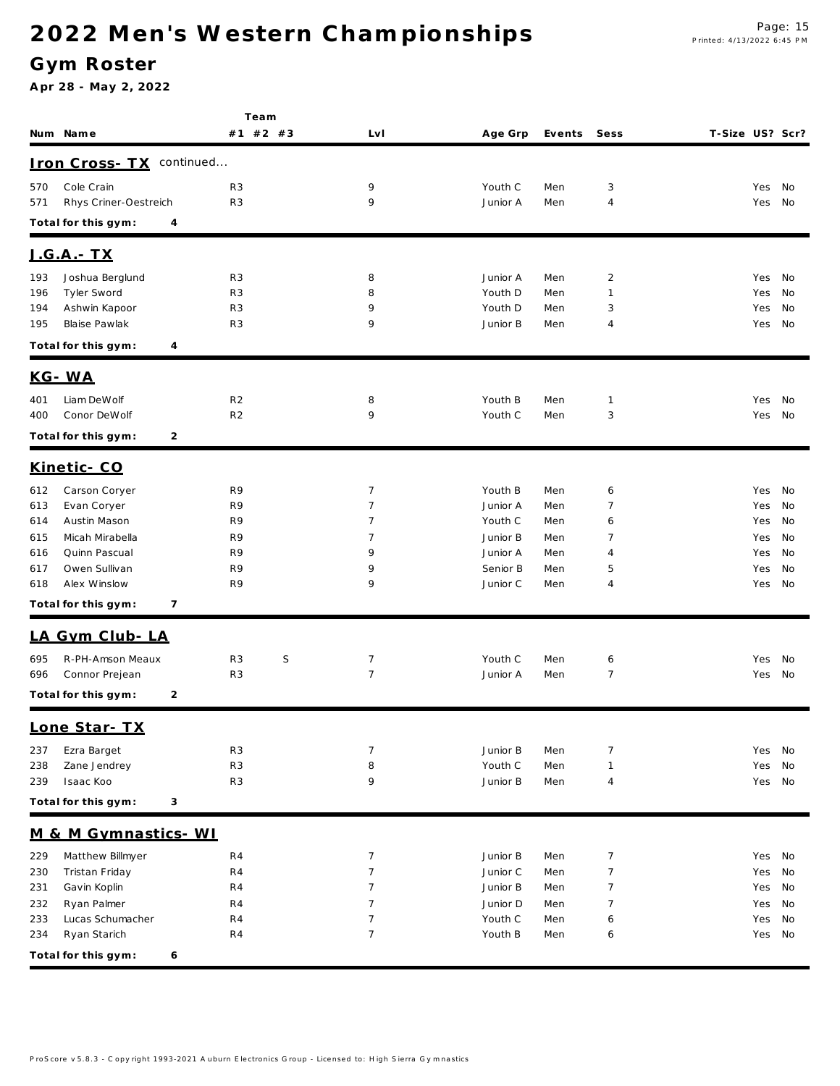### **G ym Roster**

|     |                        | Team                |                |          |        |                |                 |        |
|-----|------------------------|---------------------|----------------|----------|--------|----------------|-----------------|--------|
|     | Num Name               | #1 #2 #3            | Lv I           | Age Grp  | Events | Sess           | T-Size US? Scr? |        |
|     | <u> Iron Cross- TX</u> | continued           |                |          |        |                |                 |        |
| 570 | Cole Crain             | R <sub>3</sub>      | 9              | Youth C  | Men    | 3              | Yes             | No     |
| 571 | Rhys Criner-Oestreich  | R <sub>3</sub>      | 9              | Junior A | Men    | $\overline{4}$ | Yes             | No     |
|     | Total for this gym:    | 4                   |                |          |        |                |                 |        |
|     | <u> J.G.A. - TX</u>    |                     |                |          |        |                |                 |        |
| 193 | Joshua Berglund        | R <sub>3</sub>      | 8              | Junior A | Men    | $\overline{2}$ | Yes             | No     |
| 196 | Tyler Sword            | R <sub>3</sub>      | 8              | Youth D  | Men    | $\mathbf{1}$   | Yes             | No     |
| 194 | Ashwin Kapoor          | R <sub>3</sub>      | 9              | Youth D  | Men    | 3              | Yes             | No     |
| 195 | Blaise Pawlak          | R <sub>3</sub>      | 9              | Junior B | Men    | $\overline{4}$ | Yes             | No     |
|     | Total for this gym:    | 4                   |                |          |        |                |                 |        |
|     | KG-WA                  |                     |                |          |        |                |                 |        |
| 401 | Liam DeWolf            | R <sub>2</sub>      | 8              | Youth B  | Men    | $\mathbf{1}$   | Yes             | No     |
| 400 | Conor DeWolf           | R <sub>2</sub>      | 9              | Youth C  | Men    | 3              | Yes             | No     |
|     | Total for this gym:    | 2                   |                |          |        |                |                 |        |
|     | Kinetic-CO             |                     |                |          |        |                |                 |        |
| 612 | Carson Coryer          | R9                  | $\overline{7}$ | Youth B  | Men    | 6              | Yes             | No     |
| 613 | Evan Coryer            | R9                  | 7              | Junior A | Men    | 7              | Yes             | No     |
| 614 | Austin Mason           | R9                  | 7              | Youth C  | Men    | 6              | Yes             | No     |
| 615 | Micah Mirabella        | R9                  | 7              | Junior B | Men    | 7              | Yes             | No     |
| 616 | Quinn Pascual          | R9                  | 9              | Junior A | Men    | $\overline{4}$ | Yes             | No     |
| 617 | Owen Sullivan          | R9                  | 9              | Senior B | Men    | 5              | Yes             | No     |
| 618 | Alex Winslow           | R9                  | 9              | Junior C | Men    | $\overline{4}$ | Yes             | No     |
|     | Total for this gym:    | 7                   |                |          |        |                |                 |        |
|     | LA Gym Club-LA         |                     |                |          |        |                |                 |        |
| 695 | R-PH-Amson Meaux       | S<br>R <sub>3</sub> | $\overline{7}$ | Youth C  | Men    | 6              | Yes             | No     |
| 696 | Connor Prejean         | R <sub>3</sub>      | $\overline{7}$ | Junior A | Men    | $\overline{7}$ | Yes             | No     |
|     | Total for this gym:    | 2                   |                |          |        |                |                 |        |
|     | Lone Star- TX          |                     |                |          |        |                |                 |        |
| 237 | Ezra Barget            | R <sub>3</sub>      | 7              | Junior B | Men    | $\overline{7}$ | Yes             | No     |
| 238 | Zane Jendrey           | R3                  | 8              | Youth C  | Men    | $\mathbf{1}$   | Yes             | No     |
| 239 | Isaac Koo              | R <sub>3</sub>      | 9              | Junior B | Men    | $\overline{4}$ | Yes             | No     |
|     | Total for this gym:    | 3                   |                |          |        |                |                 |        |
|     | M & M Gymnastics- WI   |                     |                |          |        |                |                 |        |
| 229 | Matthew Billmyer       | R4                  | $\overline{7}$ | Junior B | Men    | $\overline{7}$ | Yes             | No     |
| 230 | Tristan Friday         | R <sub>4</sub>      | $\overline{7}$ | Junior C | Men    | $\overline{7}$ | Yes             | No     |
| 231 | Gavin Koplin           | R <sub>4</sub>      | $\overline{7}$ | Junior B | Men    | $\overline{7}$ | Yes             | No     |
| 232 | Ryan Palmer            | R <sub>4</sub>      | 7              | Junior D | Men    | $\overline{7}$ | Yes             | No     |
| 233 | Lucas Schumacher       | R <sub>4</sub>      | $\overline{7}$ | Youth C  | Men    | 6              | Yes             | No     |
| 234 | Ryan Starich           | R4                  | $\overline{7}$ | Youth B  | Men    | 6              |                 | Yes No |
|     | Total for this gym:    | 6                   |                |          |        |                |                 |        |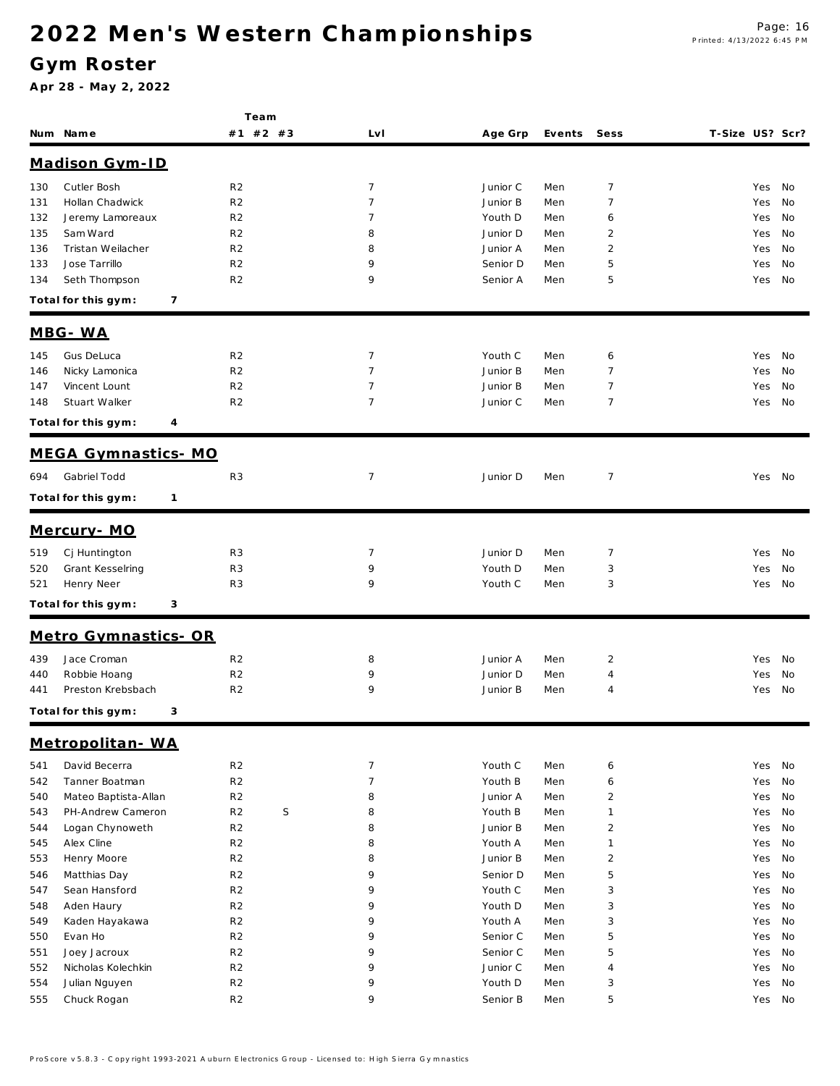### **G ym Roster**

|            |                                     | Team                             |                                  |                      |            |                     |                        |  |
|------------|-------------------------------------|----------------------------------|----------------------------------|----------------------|------------|---------------------|------------------------|--|
|            | Num Name                            | #1 #2 #3                         | LvI                              | Age Grp              | Events     | Sess                | T-Size US? Scr?        |  |
|            | Madison Gym-ID                      |                                  |                                  |                      |            |                     |                        |  |
| 130        | Cutler Bosh                         | R <sub>2</sub>                   | $\overline{7}$                   | Junior C             | Men        | 7                   | Yes<br>No              |  |
| 131        | Hollan Chadwick                     | R <sub>2</sub>                   | $\overline{7}$                   | Junior B             | Men        | $\overline{7}$      | Yes<br>No              |  |
| 132        | Jeremy Lamoreaux                    | R <sub>2</sub>                   | 7                                | Youth D              | Men        | 6                   | No<br>Yes              |  |
| 135        | Sam Ward                            | R <sub>2</sub>                   | 8                                | Junior D             | Men        | $\overline{2}$      | No<br>Yes              |  |
| 136        | Tristan Weilacher                   | R <sub>2</sub>                   | 8                                | Junior A             | Men        | $\overline{2}$      | No<br>Yes              |  |
| 133        | Jose Tarrillo                       | R <sub>2</sub>                   | 9                                | Senior D             | Men        | 5                   | Yes<br>No              |  |
| 134        | Seth Thompson                       | R <sub>2</sub>                   | 9                                | Senior A             | Men        | 5                   | No<br>Yes              |  |
|            | 7<br>Total for this gym:            |                                  |                                  |                      |            |                     |                        |  |
|            | MBG-WA                              |                                  |                                  |                      |            |                     |                        |  |
|            |                                     |                                  |                                  |                      |            |                     |                        |  |
| 145        | Gus DeLuca<br>Nicky Lamonica        | R <sub>2</sub><br>R <sub>2</sub> | $\overline{7}$<br>$\overline{7}$ | Youth C<br>Junior B  | Men<br>Men | 6<br>$\overline{7}$ | Yes<br>No<br>No        |  |
| 146        | Vincent Lount                       | R <sub>2</sub>                   | $\overline{7}$                   | Junior B             | Men        | $\overline{7}$      | Yes<br>No              |  |
| 147<br>148 | Stuart Walker                       | R <sub>2</sub>                   | $\overline{7}$                   | Junior C             | Men        | $\overline{7}$      | Yes<br>No<br>Yes       |  |
|            |                                     |                                  |                                  |                      |            |                     |                        |  |
|            | Total for this gym:<br>4            |                                  |                                  |                      |            |                     |                        |  |
|            | MEGA Gymnastics-MO                  |                                  |                                  |                      |            |                     |                        |  |
| 694        | Gabriel Todd                        | R <sub>3</sub>                   | 7                                | Junior D             | Men        | $\overline{7}$      | Yes No                 |  |
|            | Total for this gym:<br>$\mathbf{1}$ |                                  |                                  |                      |            |                     |                        |  |
|            | Mercury-MO                          |                                  |                                  |                      |            |                     |                        |  |
| 519        | Cj Huntington                       | R <sub>3</sub>                   | 7                                | Junior D             | Men        | $\overline{7}$      | Yes<br>No              |  |
| 520        | Grant Kesselring                    | R <sub>3</sub>                   | 9                                | Youth D              | Men        | 3                   | No<br>Yes              |  |
| 521        | Henry Neer                          | R <sub>3</sub>                   | 9                                | Youth C              | Men        | 3                   | No<br>Yes              |  |
|            | Total for this gym:<br>3            |                                  |                                  |                      |            |                     |                        |  |
|            | Metro Gymnastics-OR                 |                                  |                                  |                      |            |                     |                        |  |
|            |                                     |                                  |                                  |                      |            |                     |                        |  |
| 439        | Jace Croman                         | R <sub>2</sub>                   | 8                                | Junior A             | Men        | $\overline{2}$      | No<br>Yes              |  |
| 440        | Robbie Hoang<br>Preston Krebsbach   | R <sub>2</sub><br>R <sub>2</sub> | 9<br>9                           | Junior D<br>Junior B | Men<br>Men | 4<br>4              | No<br>Yes<br>No<br>Yes |  |
| 441        |                                     |                                  |                                  |                      |            |                     |                        |  |
|            | Total for this gym:<br>3            |                                  |                                  |                      |            |                     |                        |  |
|            | Metropolitan-WA                     |                                  |                                  |                      |            |                     |                        |  |
| 541        | David Becerra                       | R <sub>2</sub>                   | $\overline{7}$                   | Youth C              | Men        | 6                   | Yes<br>No              |  |
| 542        | Tanner Boatman                      | R <sub>2</sub>                   | $\overline{7}$                   | Youth B              | Men        | 6                   | Yes<br>No              |  |
| 540        | Mateo Baptista-Allan                | R <sub>2</sub>                   | 8                                | Junior A             | Men        | $\overline{2}$      | Yes<br>No              |  |
| 543        | PH-Andrew Cameron                   | R <sub>2</sub><br>$\mathsf S$    | 8                                | Youth B              | Men        | $\mathbf{1}$        | No<br>Yes              |  |
| 544        | Logan Chynoweth                     | R <sub>2</sub>                   | 8                                | Junior B             | Men        | $\overline{2}$      | Yes<br>No              |  |
| 545        | Alex Cline                          | R <sub>2</sub>                   | 8                                | Youth A              | Men        | $\mathbf{1}$        | Yes<br>No              |  |
| 553        | Henry Moore                         | R <sub>2</sub>                   | 8                                | Junior B             | Men        | $\overline{2}$      | Yes<br>No              |  |
| 546        | Matthias Day                        | R <sub>2</sub>                   | 9                                | Senior D             | Men        | $5\,$               | Yes<br>No              |  |
| 547        | Sean Hansford                       | R <sub>2</sub>                   | 9                                | Youth C              | Men        | $\sqrt{3}$          | Yes<br>No              |  |
| 548        | Aden Haury                          | R <sub>2</sub>                   | 9                                | Youth D              | Men        | 3                   | Yes<br>No              |  |
| 549        | Kaden Hayakawa                      | R <sub>2</sub>                   | 9                                | Youth A              | Men        | 3                   | Yes<br>No              |  |
| 550        | Evan Ho                             | R <sub>2</sub>                   | 9                                | Senior C             | Men        | 5                   | Yes<br>No              |  |
| 551        | Joey Jacroux                        | R <sub>2</sub>                   | 9                                | Senior C             | Men        | 5                   | Yes<br>No              |  |
| 552        | Nicholas Kolechkin                  | R <sub>2</sub>                   | 9                                | Junior C             | Men        | $\overline{4}$      | Yes<br>No              |  |
| 554        | Julian Nguyen                       | R <sub>2</sub>                   | 9                                | Youth D              | Men        | 3                   | Yes<br>No              |  |
| 555        | Chuck Rogan                         | R <sub>2</sub>                   | 9                                | Senior B             | Men        | 5                   | Yes<br>No              |  |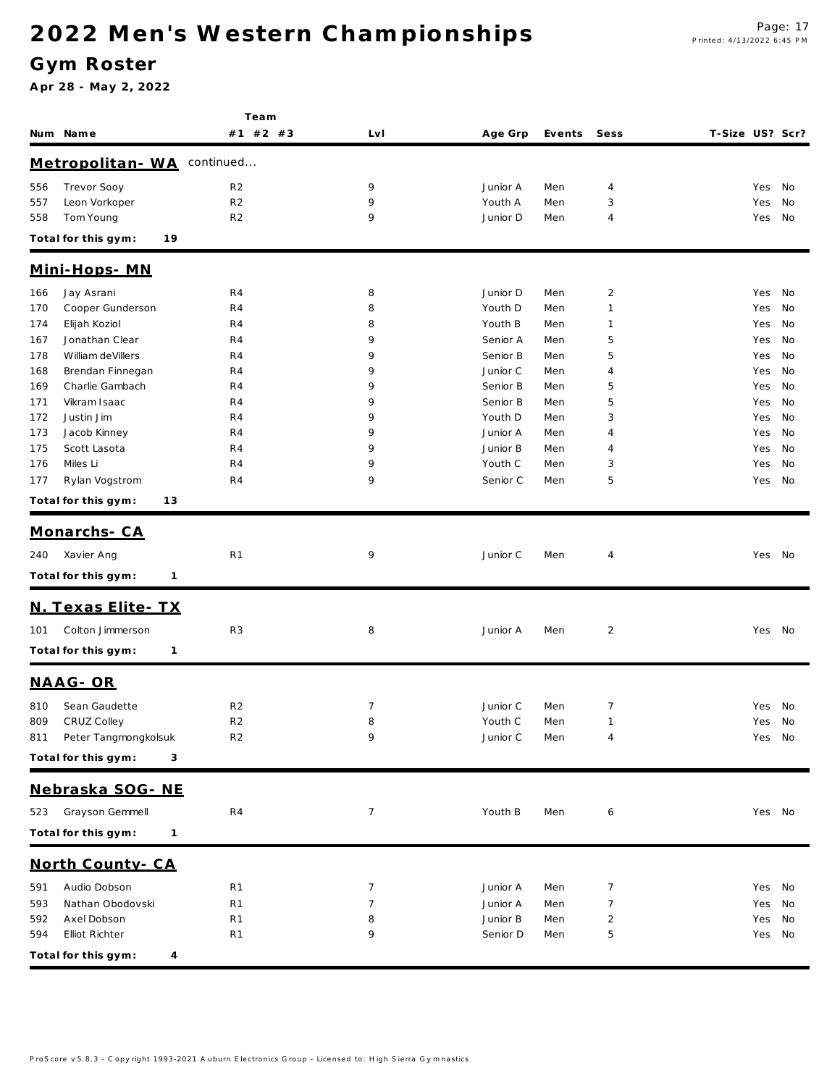### **G ym Roster**

|     |                                     | Team           |     |          |        |                |                 |        |    |
|-----|-------------------------------------|----------------|-----|----------|--------|----------------|-----------------|--------|----|
|     | Num Name                            | #1 #2 #3       | LvI | Age Grp  | Events | Sess           | T-Size US? Scr? |        |    |
|     | Metropolitan-WA                     | continued      |     |          |        |                |                 |        |    |
| 556 | Trevor Sooy                         | R <sub>2</sub> | 9   | Junior A | Men    | 4              |                 | Yes    | No |
| 557 | Leon Vorkoper                       | R <sub>2</sub> | 9   | Youth A  | Men    | 3              |                 | Yes    | No |
| 558 | Tom Young                           | R <sub>2</sub> | 9   | Junior D | Men    | 4              |                 | Yes    | No |
|     | Total for this gym:<br>19           |                |     |          |        |                |                 |        |    |
|     | <u> Mini-Hops-MN</u>                |                |     |          |        |                |                 |        |    |
| 166 | Jay Asrani                          | R4             | 8   | Junior D | Men    | $\overline{2}$ |                 | Yes    | No |
| 170 | Cooper Gunderson                    | R4             | 8   | Youth D  | Men    | $\mathbf{1}$   |                 | Yes    | No |
| 174 | Elijah Koziol                       | R4             | 8   | Youth B  | Men    | $\mathbf{1}$   |                 | Yes    | No |
| 167 | Jonathan Clear                      | R4             | 9   | Senior A | Men    | 5              |                 | Yes    | No |
| 178 | William deVillers                   | R4             | 9   | Senior B | Men    | 5              |                 | Yes    | No |
| 168 | Brendan Finnegan                    | R4             | 9   | Junior C | Men    | 4              |                 | Yes    | No |
| 169 | Charlie Gambach                     | R4             | 9   | Senior B | Men    | 5              |                 | Yes    | No |
| 171 | Vikram Isaac                        | R4             | 9   | Senior B | Men    | 5              |                 | Yes    | No |
| 172 | Justin Jim                          | R4             | 9   | Youth D  | Men    | 3              |                 | Yes    | No |
| 173 | Jacob Kinney                        | R4             | 9   | Junior A | Men    | $\overline{4}$ |                 | Yes    | No |
| 175 | Scott Lasota                        | R4             | 9   | Junior B | Men    | $\overline{4}$ |                 | Yes    | No |
| 176 | Miles Li                            | R4             | 9   | Youth C  | Men    | 3              |                 | Yes    | No |
| 177 | Rylan Vogstrom                      | R4             | 9   | Senior C | Men    | 5              |                 | Yes    | No |
|     | Total for this gym:<br>13           |                |     |          |        |                |                 |        |    |
|     | Monarchs-CA                         |                |     |          |        |                |                 |        |    |
| 240 | Xavier Ang                          | R <sub>1</sub> | 9   | Junior C | Men    | $\overline{4}$ |                 | Yes No |    |
|     |                                     |                |     |          |        |                |                 |        |    |
|     | Total for this gym:<br>1            |                |     |          |        |                |                 |        |    |
|     | N. Texas Elite - TX                 |                |     |          |        |                |                 |        |    |
| 101 | Colton Jimmerson                    | R <sub>3</sub> | 8   | Junior A | Men    | $\overline{2}$ |                 | Yes No |    |
|     | Total for this gym:<br>$\mathbf{1}$ |                |     |          |        |                |                 |        |    |
|     | NAAG-OR                             |                |     |          |        |                |                 |        |    |
| 810 | Sean Gaudette                       | R <sub>2</sub> | 7   | Junior C | Men    | $\overline{7}$ |                 | Yes No |    |
| 809 | CRUZ Colley                         | R <sub>2</sub> | 8   | Youth C  | Men    | 1              |                 | Yes No |    |
|     | 811 Peter Tangmongkolsuk            | R <sub>2</sub> | 9   | Junior C | Men    | $\overline{4}$ |                 | Yes No |    |
|     |                                     |                |     |          |        |                |                 |        |    |
|     | Total for this gym:<br>3            |                |     |          |        |                |                 |        |    |
|     | Nebraska SOG- NE                    |                |     |          |        |                |                 |        |    |
| 523 | Grayson Gemmell                     | R4             | 7   | Youth B  | Men    | 6              |                 | Yes No |    |
|     | Total for this gym:<br>1            |                |     |          |        |                |                 |        |    |
|     | North County-CA                     |                |     |          |        |                |                 |        |    |
| 591 | Audio Dobson                        | R <sub>1</sub> | 7   | Junior A | Men    | $\overline{7}$ |                 | Yes No |    |
| 593 | Nathan Obodovski                    | R <sub>1</sub> | 7   | Junior A | Men    | 7              |                 | Yes    | No |
| 592 | Axel Dobson                         | R <sub>1</sub> | 8   | Junior B | Men    | $\overline{c}$ |                 | Yes    | No |
| 594 | Elliot Richter                      | R <sub>1</sub> | 9   | Senior D | Men    | 5              |                 | Yes No |    |
|     |                                     |                |     |          |        |                |                 |        |    |
|     | Total for this gym:<br>4            |                |     |          |        |                |                 |        |    |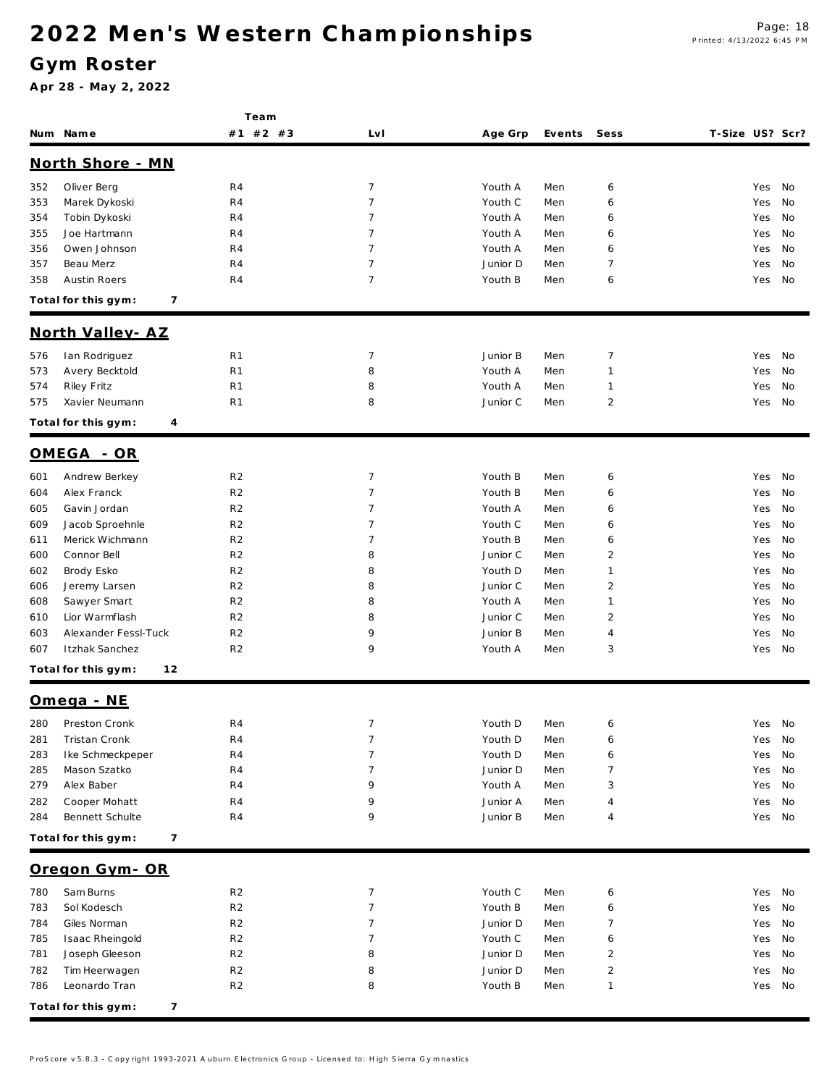#### **G ym Roster**

|     |                           | Team           |                |          |        |                |                 |        |    |
|-----|---------------------------|----------------|----------------|----------|--------|----------------|-----------------|--------|----|
|     | Num Name                  | #1 #2 #3       | Lv I           | Age Grp  | Events | Sess           | T-Size US? Scr? |        |    |
|     | North Shore - MN          |                |                |          |        |                |                 |        |    |
| 352 | Oliver Berg               | R4             | 7              | Youth A  | Men    | 6              |                 | Yes    | No |
| 353 | Marek Dykoski             | R4             | 7              | Youth C  | Men    | 6              |                 | Yes    | No |
| 354 | Tobin Dykoski             | R4             | 7              | Youth A  | Men    | 6              |                 | Yes    | No |
| 355 | Joe Hartmann              | R4             | 7              | Youth A  | Men    | 6              |                 | Yes    | No |
| 356 | Owen Johnson              | R4             | 7              | Youth A  | Men    | 6              |                 | Yes    | No |
| 357 | Beau Merz                 | R4             | 7              | Junior D | Men    | $\overline{7}$ |                 | Yes    | No |
| 358 | Austin Roers              | R4             | $\overline{7}$ | Youth B  | Men    | 6              |                 | Yes    | No |
|     | Total for this gym:<br>7  |                |                |          |        |                |                 |        |    |
|     | North Valley-AZ           |                |                |          |        |                |                 |        |    |
| 576 | Ian Rodriguez             | R <sub>1</sub> | 7              | Junior B | Men    | 7              |                 | Yes    | No |
| 573 | Avery Becktold            | R <sub>1</sub> | 8              | Youth A  | Men    | $\mathbf{1}$   |                 | Yes    | No |
| 574 | Riley Fritz               | R <sub>1</sub> | 8              | Youth A  | Men    | $\mathbf{1}$   |                 | Yes    | No |
| 575 | Xavier Neumann            | R <sub>1</sub> | 8              | Junior C | Men    | $\overline{2}$ |                 | Yes    | No |
|     | Total for this gym:<br>4  |                |                |          |        |                |                 |        |    |
|     | OMEGA - OR                |                |                |          |        |                |                 |        |    |
| 601 | Andrew Berkey             | R <sub>2</sub> | $\overline{7}$ | Youth B  | Men    | 6              |                 | Yes    | No |
| 604 | Alex Franck               | R <sub>2</sub> | 7              | Youth B  | Men    | 6              |                 | Yes    | No |
| 605 | Gavin Jordan              | R <sub>2</sub> | $\overline{7}$ | Youth A  | Men    | 6              |                 | Yes    | No |
| 609 | Jacob Sproehnle           | R <sub>2</sub> | 7              | Youth C  | Men    | 6              |                 | Yes    | No |
| 611 | Merick Wichmann           | R <sub>2</sub> | 7              | Youth B  | Men    | 6              |                 | Yes    | No |
| 600 | Connor Bell               | R <sub>2</sub> | 8              | Junior C | Men    | $\overline{2}$ |                 | Yes    | No |
| 602 | Brody Esko                | R <sub>2</sub> | 8              | Youth D  | Men    | $\mathbf{1}$   |                 | Yes    | No |
| 606 | Jeremy Larsen             | R <sub>2</sub> | 8              | Junior C | Men    | $\overline{2}$ |                 | Yes    | No |
| 608 | Sawyer Smart              | R <sub>2</sub> | 8              | Youth A  | Men    | $\mathbf{1}$   |                 | Yes    | No |
| 610 | Lior Warmflash            | R <sub>2</sub> | 8              | Junior C | Men    | $\overline{2}$ |                 | Yes    | No |
| 603 | Alexander Fessl-Tuck      | R <sub>2</sub> | 9              | Junior B | Men    | $\overline{4}$ |                 | Yes    | No |
| 607 | Itzhak Sanchez            | R <sub>2</sub> | 9              | Youth A  | Men    | 3              |                 | Yes    | No |
|     | Total for this gym:<br>12 |                |                |          |        |                |                 |        |    |
|     | Omega - NE                |                |                |          |        |                |                 |        |    |
|     | 280 Preston Cronk         | R <sub>4</sub> | $\overline{7}$ | Youth D  | Men    | 6              |                 | Yes No |    |
| 281 | Tristan Cronk             | R <sub>4</sub> | 7              | Youth D  | Men    | 6              |                 | Yes    | No |
| 283 | Ike Schmeckpeper          | R <sub>4</sub> | 7              | Youth D  | Men    | 6              |                 | Yes    | No |
| 285 | Mason Szatko              | R4             | 7              | Junior D | Men    | 7              |                 | Yes    | No |
| 279 | Alex Baber                | R4             | 9              | Youth A  | Men    | 3              |                 | Yes    | No |
| 282 | Cooper Mohatt             | R4             | 9              | Junior A | Men    | 4              |                 | Yes    | No |
| 284 | Bennett Schulte           | R4             | 9              | Junior B | Men    | $\overline{4}$ |                 | Yes No |    |
|     | Total for this gym:<br>7  |                |                |          |        |                |                 |        |    |
|     | Oregon Gym-OR             |                |                |          |        |                |                 |        |    |
| 780 | Sam Burns                 | R <sub>2</sub> | 7              | Youth C  | Men    | 6              |                 | Yes    | No |
| 783 | Sol Kodesch               | R <sub>2</sub> | 7              | Youth B  | Men    | 6              |                 | Yes    | No |
| 784 | Giles Norman              | R <sub>2</sub> | 7              | Junior D | Men    | 7              |                 | Yes    | No |
| 785 | Isaac Rheingold           | R <sub>2</sub> | 7              | Youth C  | Men    | 6              |                 | Yes    | No |
| 781 | Joseph Gleeson            | R <sub>2</sub> | 8              | Junior D | Men    | $\overline{2}$ |                 | Yes    | No |
| 782 | Tim Heerwagen             | R <sub>2</sub> | 8              | Junior D | Men    | $\overline{2}$ |                 | Yes    | No |
| 786 | Leonardo Tran             | R <sub>2</sub> | 8              | Youth B  | Men    | $\mathbf{1}$   |                 | Yes    | No |
|     | Total for this gym:<br>7  |                |                |          |        |                |                 |        |    |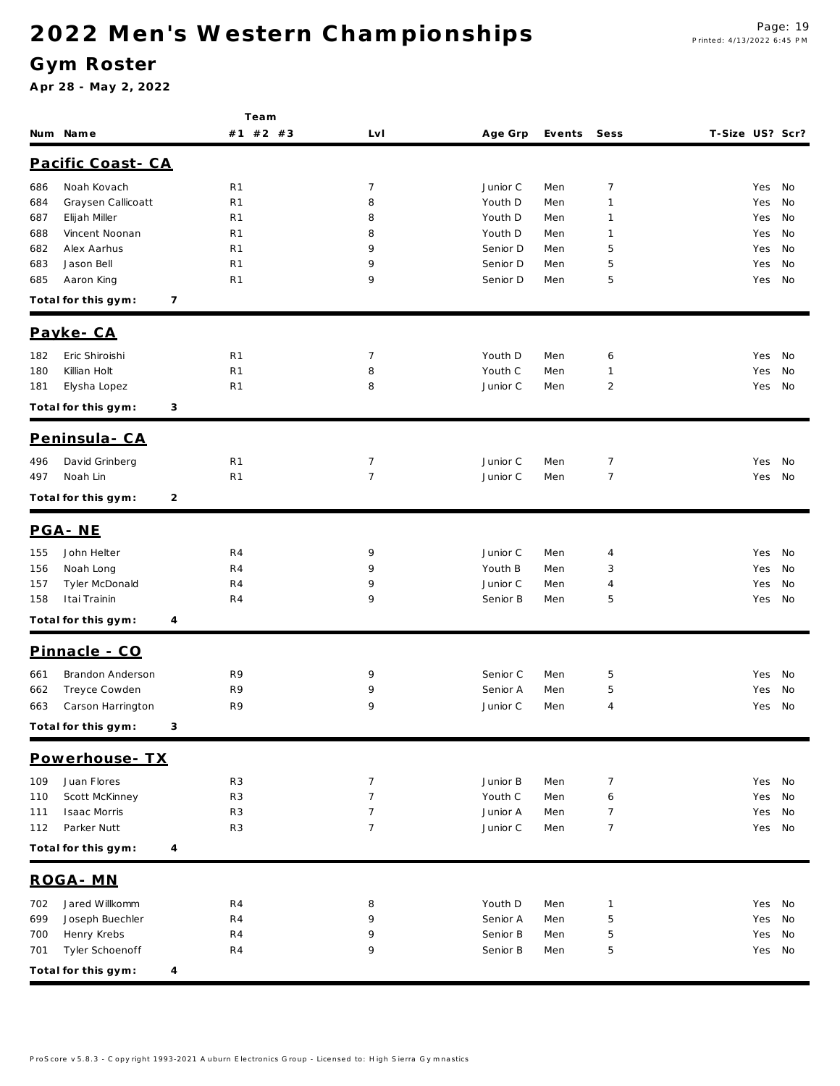### **G ym Roster**

|     |                     |   | Team           |                |          |        |                |                 |        |    |
|-----|---------------------|---|----------------|----------------|----------|--------|----------------|-----------------|--------|----|
|     | Num Name            |   | #1 #2 #3       | LvI            | Age Grp  | Events | Sess           | T-Size US? Scr? |        |    |
|     | Pacific Coast - CA  |   |                |                |          |        |                |                 |        |    |
| 686 | Noah Kovach         |   | R <sub>1</sub> | 7              | Junior C | Men    | $\overline{7}$ |                 | Yes    | No |
| 684 | Graysen Callicoatt  |   | R <sub>1</sub> | 8              | Youth D  | Men    | $\mathbf{1}$   |                 | Yes    | No |
| 687 | Elijah Miller       |   | R <sub>1</sub> | 8              | Youth D  | Men    | 1              |                 | Yes    | No |
| 688 | Vincent Noonan      |   | R1             | 8              | Youth D  | Men    | 1              |                 | Yes    | No |
| 682 | Alex Aarhus         |   | R <sub>1</sub> | 9              | Senior D | Men    | 5              |                 | Yes    | No |
| 683 | Jason Bell          |   | R <sub>1</sub> | 9              | Senior D | Men    | 5              |                 | Yes    | No |
| 685 | Aaron King          |   | R <sub>1</sub> | 9              | Senior D | Men    | 5              |                 | Yes    | No |
|     | Total for this gym: | 7 |                |                |          |        |                |                 |        |    |
|     | Payke-CA            |   |                |                |          |        |                |                 |        |    |
| 182 | Eric Shiroishi      |   | R <sub>1</sub> | $\overline{7}$ | Youth D  | Men    | 6              |                 | Yes    | No |
| 180 | Killian Holt        |   | R <sub>1</sub> | 8              | Youth C  | Men    | $\mathbf{1}$   |                 | Yes    | No |
| 181 | Elysha Lopez        |   | R <sub>1</sub> | 8              | Junior C | Men    | $\overline{2}$ |                 | Yes    | No |
|     | Total for this gym: | 3 |                |                |          |        |                |                 |        |    |
|     | Peninsula - CA      |   |                |                |          |        |                |                 |        |    |
| 496 | David Grinberg      |   | R <sub>1</sub> | $\overline{7}$ | Junior C | Men    | $\overline{7}$ |                 | Yes    | No |
| 497 | Noah Lin            |   | R <sub>1</sub> | $\overline{7}$ | Junior C | Men    | $\overline{7}$ |                 | Yes    | No |
|     | Total for this gym: | 2 |                |                |          |        |                |                 |        |    |
|     |                     |   |                |                |          |        |                |                 |        |    |
|     | PGA-NE              |   |                |                |          |        |                |                 |        |    |
| 155 | John Helter         |   | R4             | 9              | Junior C | Men    | 4              |                 | Yes    | No |
| 156 | Noah Long           |   | R4             | 9              | Youth B  | Men    | 3              |                 | Yes    | No |
| 157 | Tyler McDonald      |   | R4             | 9              | Junior C | Men    | 4              |                 | Yes    | No |
| 158 | Itai Trainin        |   | R4             | 9              | Senior B | Men    | 5              |                 | Yes    | No |
|     | Total for this gym: | 4 |                |                |          |        |                |                 |        |    |
|     | Pinnacle - CO       |   |                |                |          |        |                |                 |        |    |
| 661 | Brandon Anderson    |   | R9             | 9              | Senior C | Men    | 5              |                 | Yes    | No |
| 662 | Treyce Cowden       |   | R9             | 9              | Senior A | Men    | 5              |                 | Yes    | No |
| 663 | Carson Harrington   |   | R9             | 9              | Junior C | Men    | 4              |                 | Yes    | No |
|     | Total for this gym: | 3 |                |                |          |        |                |                 |        |    |
|     | Powerhouse - TX     |   |                |                |          |        |                |                 |        |    |
| 109 | Juan Flores         |   | R <sub>3</sub> | $\overline{7}$ | Junior B | Men    | $\overline{7}$ |                 | Yes    | No |
| 110 | Scott McKinney      |   | R <sub>3</sub> | $\overline{7}$ | Youth C  | Men    | 6              |                 | Yes    | No |
| 111 | <b>Isaac Morris</b> |   | R <sub>3</sub> | $\overline{7}$ | Junior A | Men    | $\overline{7}$ |                 | Yes    | No |
| 112 | Parker Nutt         |   | R <sub>3</sub> | $\overline{7}$ | Junior C | Men    | $\overline{7}$ |                 | Yes    | No |
|     | Total for this gym: | 4 |                |                |          |        |                |                 |        |    |
|     | ROGA - MN           |   |                |                |          |        |                |                 |        |    |
| 702 | Jared Willkomm      |   | R4             | 8              | Youth D  | Men    | $\mathbf{1}$   |                 | Yes    | No |
| 699 | Joseph Buechler     |   | R4             | 9              | Senior A | Men    | 5              |                 | Yes    | No |
| 700 | Henry Krebs         |   | R4             | 9              | Senior B | Men    | 5              |                 | Yes    | No |
| 701 | Tyler Schoenoff     |   | R4             | 9              | Senior B | Men    | 5              |                 | Yes No |    |
|     | Total for this gym: | 4 |                |                |          |        |                |                 |        |    |
|     |                     |   |                |                |          |        |                |                 |        |    |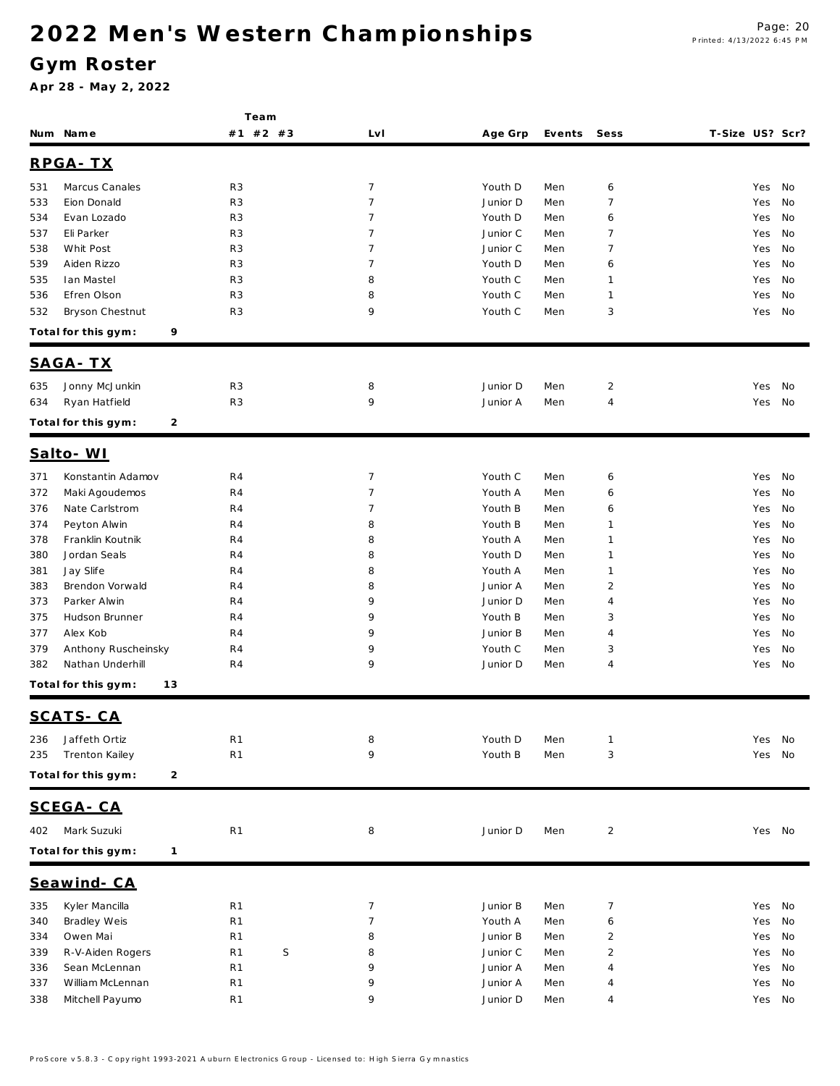### **G ym Roster**

|            |                                     | Team                             |                                  |                     |            |                     |                 |            |          |
|------------|-------------------------------------|----------------------------------|----------------------------------|---------------------|------------|---------------------|-----------------|------------|----------|
|            | Num Name                            | #1 #2 #3                         | Lv I                             | Age Grp             | Events     | Sess                | T-Size US? Scr? |            |          |
|            | RPGA-TX                             |                                  |                                  |                     |            |                     |                 |            |          |
|            |                                     |                                  |                                  |                     |            |                     |                 |            |          |
| 531        | Marcus Canales                      | R <sub>3</sub>                   | $\overline{7}$                   | Youth D             | Men        | 6                   |                 | Yes        | No       |
| 533        | Eion Donald<br>Evan Lozado          | R <sub>3</sub>                   | $\overline{7}$<br>$\overline{7}$ | Junior D<br>Youth D | Men<br>Men | $\overline{7}$<br>6 |                 | Yes        | No<br>No |
| 534<br>537 | Eli Parker                          | R <sub>3</sub><br>R <sub>3</sub> | $\overline{7}$                   | Junior C            | Men        | 7                   |                 | Yes<br>Yes | No       |
| 538        | Whit Post                           | R <sub>3</sub>                   | $\overline{7}$                   | Junior C            | Men        | $\overline{7}$      |                 | Yes        | No       |
| 539        | Aiden Rizzo                         | R <sub>3</sub>                   | $\overline{7}$                   | Youth D             | Men        | 6                   |                 | Yes        | No       |
| 535        | lan Mastel                          | R <sub>3</sub>                   | 8                                | Youth C             | Men        | 1                   |                 | Yes        | No       |
| 536        | Efren Olson                         | R <sub>3</sub>                   | 8                                | Youth C             | Men        | 1                   |                 | Yes        | No       |
| 532        | Bryson Chestnut                     | R <sub>3</sub>                   | 9                                | Youth C             | Men        | 3                   |                 | Yes        | No       |
|            | Total for this gym:<br>9            |                                  |                                  |                     |            |                     |                 |            |          |
|            |                                     |                                  |                                  |                     |            |                     |                 |            |          |
|            | <u>SAGA-TX</u>                      |                                  |                                  |                     |            |                     |                 |            |          |
| 635        | Jonny McJunkin                      | R <sub>3</sub>                   | 8                                | Junior D            | Men        | $\overline{2}$      |                 | Yes        | No       |
| 634        | Ryan Hatfield                       | R <sub>3</sub>                   | 9                                | Junior A            | Men        | 4                   |                 | Yes        | No       |
|            | Total for this gym:<br>2            |                                  |                                  |                     |            |                     |                 |            |          |
|            | Salto-WI                            |                                  |                                  |                     |            |                     |                 |            |          |
| 371        | Konstantin Adamov                   | R4                               | $\overline{7}$                   | Youth C             | Men        | 6                   |                 | Yes        | No       |
| 372        | Maki Agoudemos                      | R4                               | $\overline{7}$                   | Youth A             | Men        | 6                   |                 | Yes        | No       |
| 376        | Nate Carlstrom                      | R4                               | 7                                | Youth B             | Men        | 6                   |                 | Yes        | No       |
| 374        | Peyton Alwin                        | R4                               | 8                                | Youth B             | Men        | 1                   |                 | Yes        | No       |
| 378        | Franklin Koutnik                    | R4                               | 8                                | Youth A             | Men        | 1                   |                 | Yes        | No       |
| 380        | Jordan Seals                        | R4                               | 8                                | Youth D             | Men        | 1                   |                 | Yes        | No       |
| 381        | Jay Slife                           | R4                               | 8                                | Youth A             | Men        | 1                   |                 | Yes        | No       |
| 383        | Brendon Vorwald                     | R4                               | 8                                | Junior A            | Men        | $\overline{2}$      |                 | Yes        | No       |
| 373        | Parker Alwin                        | R4                               | 9                                | Junior D            | Men        | 4                   |                 | Yes        | No       |
| 375        | Hudson Brunner                      | R4                               | 9                                | Youth B             | Men        | 3                   |                 | Yes        | No       |
| 377        | Alex Kob                            | R <sub>4</sub>                   | 9                                | Junior B            | Men        | 4                   |                 | Yes        | No       |
| 379        | Anthony Ruscheinsky                 | R4                               | 9                                | Youth C             | Men        | 3                   |                 | Yes        | No       |
| 382        | Nathan Underhill                    | R4                               | 9                                | Junior D            | Men        | 4                   |                 | Yes        | No       |
|            | 13<br>Total for this gym:           |                                  |                                  |                     |            |                     |                 |            |          |
|            | SCATS-CA                            |                                  |                                  |                     |            |                     |                 |            |          |
|            |                                     |                                  |                                  |                     |            |                     |                 |            |          |
| 236        | Jaffeth Ortiz                       | R <sub>1</sub>                   | 8                                | Youth D             | Men        | 1                   |                 | Yes        | No       |
| 235        | Trenton Kailey                      | R <sub>1</sub>                   | 9                                | Youth B             | Men        | 3                   |                 | Yes        | No       |
|            | Total for this gym:<br>2            |                                  |                                  |                     |            |                     |                 |            |          |
|            | SCEGA-CA                            |                                  |                                  |                     |            |                     |                 |            |          |
| 402        | Mark Suzuki                         | R <sub>1</sub>                   | 8                                | Junior D            | Men        | $\overline{2}$      |                 | Yes No     |          |
|            | Total for this gym:<br>$\mathbf{1}$ |                                  |                                  |                     |            |                     |                 |            |          |
|            | Seawind-CA                          |                                  |                                  |                     |            |                     |                 |            |          |
| 335        | Kyler Mancilla                      | R1                               | $\overline{7}$                   | Junior B            | Men        | 7                   |                 | Yes        | No       |
| 340        | Bradley Weis                        | R <sub>1</sub>                   | $\overline{7}$                   | Youth A             | Men        | 6                   |                 | Yes        | No       |
| 334        | Owen Mai                            | R1                               | 8                                | Junior B            | Men        | $\overline{c}$      |                 | Yes        | No       |
| 339        | R-V-Aiden Rogers                    | S<br>R1                          | 8                                | Junior C            | Men        | $\overline{2}$      |                 | Yes        | No       |
| 336        | Sean McLennan                       | R1                               | 9                                | Junior A            | Men        | 4                   |                 | Yes        | No       |
| 337        | William McLennan                    | R1                               | 9                                | Junior A            | Men        | 4                   |                 | Yes        | No       |
| 338        | Mitchell Payumo                     | R1                               | 9                                | Junior D            | Men        | 4                   |                 | Yes No     |          |
|            |                                     |                                  |                                  |                     |            |                     |                 |            |          |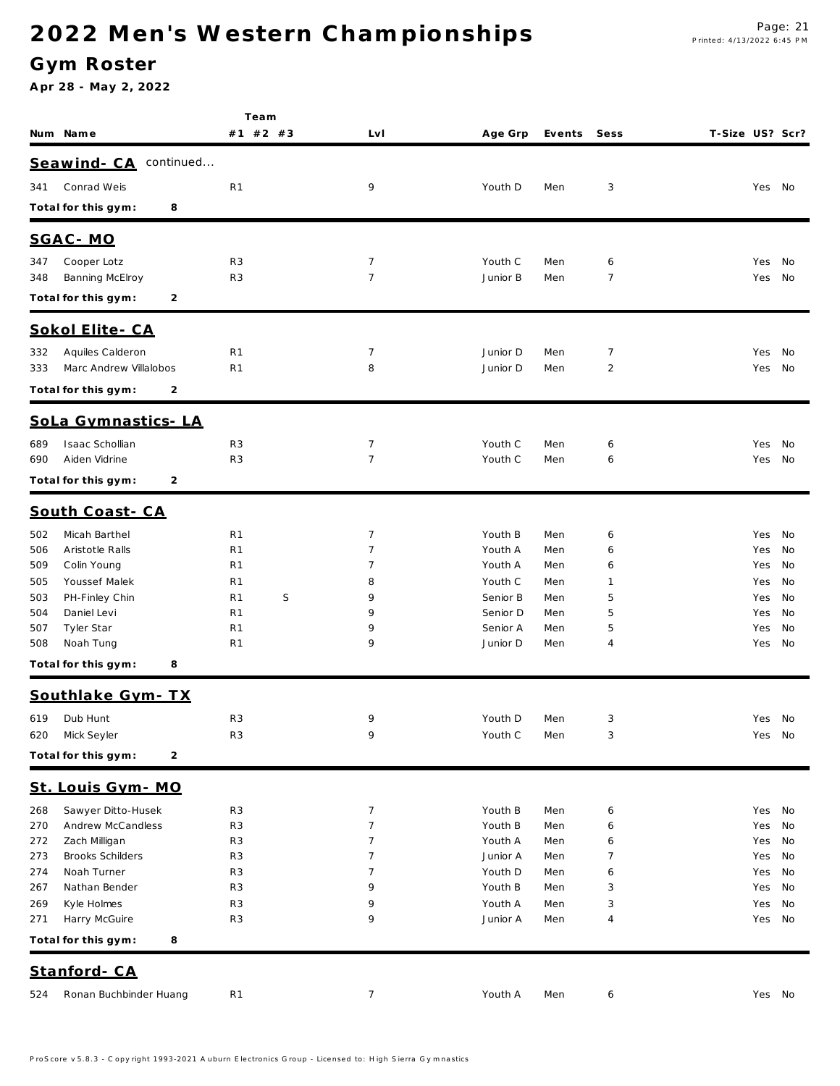### **G ym Roster**

|                                                      | Team                             |                     |                      |            |                     |                 |            |          |
|------------------------------------------------------|----------------------------------|---------------------|----------------------|------------|---------------------|-----------------|------------|----------|
| Num Name                                             | #1 #2 #3                         | LvI                 | Age Grp              | Events     | Sess                | T-Size US? Scr? |            |          |
| Seawind-CA continued                                 |                                  |                     |                      |            |                     |                 |            |          |
| Conrad Weis<br>341                                   | R <sub>1</sub>                   | 9                   | Youth D              | Men        | 3                   |                 | Yes No     |          |
| Total for this gym:<br>8                             |                                  |                     |                      |            |                     |                 |            |          |
|                                                      |                                  |                     |                      |            |                     |                 |            |          |
| SGAC-MO                                              |                                  |                     |                      |            |                     |                 |            |          |
| Cooper Lotz<br>347                                   | R <sub>3</sub>                   | 7                   | Youth C              | Men        | 6                   |                 | Yes        | No       |
| Banning McElroy<br>348                               | R <sub>3</sub>                   | $\overline{7}$      | Junior B             | Men        | $\overline{7}$      |                 | Yes        | No       |
| 2<br>Total for this gym:                             |                                  |                     |                      |            |                     |                 |            |          |
| Sokol Elite - CA                                     |                                  |                     |                      |            |                     |                 |            |          |
| Aquiles Calderon<br>332                              | R <sub>1</sub>                   | 7                   | Junior D             | Men        | 7                   |                 | Yes        | No       |
| Marc Andrew Villalobos<br>333                        | R <sub>1</sub>                   | 8                   | Junior D             | Men        | $\overline{2}$      |                 | Yes        | No       |
| Total for this gym:<br>2                             |                                  |                     |                      |            |                     |                 |            |          |
| SoLa Gymnastics-LA                                   |                                  |                     |                      |            |                     |                 |            |          |
| Isaac Schollian<br>689                               | R <sub>3</sub>                   | 7                   | Youth C              | Men        | 6                   |                 | Yes        | No       |
| Aiden Vidrine<br>690                                 | R <sub>3</sub>                   | $\overline{7}$      | Youth C              | Men        | 6                   |                 | Yes        | No       |
| 2<br>Total for this gym:                             |                                  |                     |                      |            |                     |                 |            |          |
| South Coast-CA                                       |                                  |                     |                      |            |                     |                 |            |          |
| Micah Barthel<br>502                                 | R <sub>1</sub>                   | 7                   | Youth B              | Men        | 6                   |                 | Yes        | No       |
| 506<br>Aristotle Ralls                               | R <sub>1</sub>                   | 7                   | Youth A              | Men        | 6                   |                 | Yes        | No       |
| 509<br>Colin Young                                   | R <sub>1</sub>                   | 7                   | Youth A              | Men        | 6                   |                 | Yes        | No       |
| Youssef Malek<br>505                                 | R <sub>1</sub>                   | 8                   | Youth C              | Men        | $\mathbf 1$         |                 | Yes        | No       |
| PH-Finley Chin<br>503                                | S<br>R <sub>1</sub>              | 9                   | Senior B             | Men        | 5                   |                 | Yes        | No       |
| Daniel Levi<br>504                                   | R <sub>1</sub>                   | 9                   | Senior D             | Men        | 5                   |                 | Yes        | No       |
| Tyler Star<br>507<br>Noah Tung<br>508                | R <sub>1</sub><br>R <sub>1</sub> | 9<br>9              | Senior A<br>Junior D | Men<br>Men | 5<br>4              |                 | Yes<br>Yes | No<br>No |
| Total for this gym:<br>8                             |                                  |                     |                      |            |                     |                 |            |          |
|                                                      |                                  |                     |                      |            |                     |                 |            |          |
| Southlake Gym-TX                                     |                                  |                     |                      |            |                     |                 |            |          |
| Dub Hunt<br>619                                      | R <sub>3</sub>                   | 9                   | Youth D              | Men        | 3                   |                 | Yes        | No       |
| Mick Seyler<br>620                                   | R <sub>3</sub>                   | 9                   | Youth C              | Men        | 3                   |                 | Yes No     |          |
| Total for this gym:<br>$\overline{c}$                |                                  |                     |                      |            |                     |                 |            |          |
| Louis Gym - MO<br><u>St.</u>                         |                                  |                     |                      |            |                     |                 |            |          |
| Sawyer Ditto-Husek<br>268                            | R <sub>3</sub>                   | $\overline{7}$      | Youth B              | Men        | 6                   |                 | Yes        | No       |
| Andrew McCandless<br>270                             | R <sub>3</sub>                   | $\overline{7}$      | Youth B              | Men        | 6                   |                 | Yes        | No       |
| Zach Milligan<br>272                                 | R <sub>3</sub>                   | $\overline{7}$      | Youth A              | Men        | 6                   |                 | Yes        | No       |
| <b>Brooks Schilders</b><br>273<br>Noah Turner<br>274 | R <sub>3</sub><br>R <sub>3</sub> | $\overline{7}$<br>7 | Junior A<br>Youth D  | Men<br>Men | $\overline{7}$<br>6 |                 | Yes<br>Yes | No<br>No |
| Nathan Bender<br>267                                 | R <sub>3</sub>                   | 9                   | Youth B              | Men        | 3                   |                 | Yes        | No       |
| Kyle Holmes<br>269                                   | R <sub>3</sub>                   | 9                   | Youth A              | Men        | 3                   |                 | Yes        | No       |
| Harry McGuire<br>271                                 | R <sub>3</sub>                   | 9                   | Junior A             | Men        | 4                   |                 | Yes        | No       |
| Total for this gym:<br>8                             |                                  |                     |                      |            |                     |                 |            |          |
| Stanford-CA                                          |                                  |                     |                      |            |                     |                 |            |          |
| Ronan Buchbinder Huang<br>524                        | R <sub>1</sub>                   | $\overline{7}$      | Youth A              | Men        | 6                   |                 | Yes        | No       |
|                                                      |                                  |                     |                      |            |                     |                 |            |          |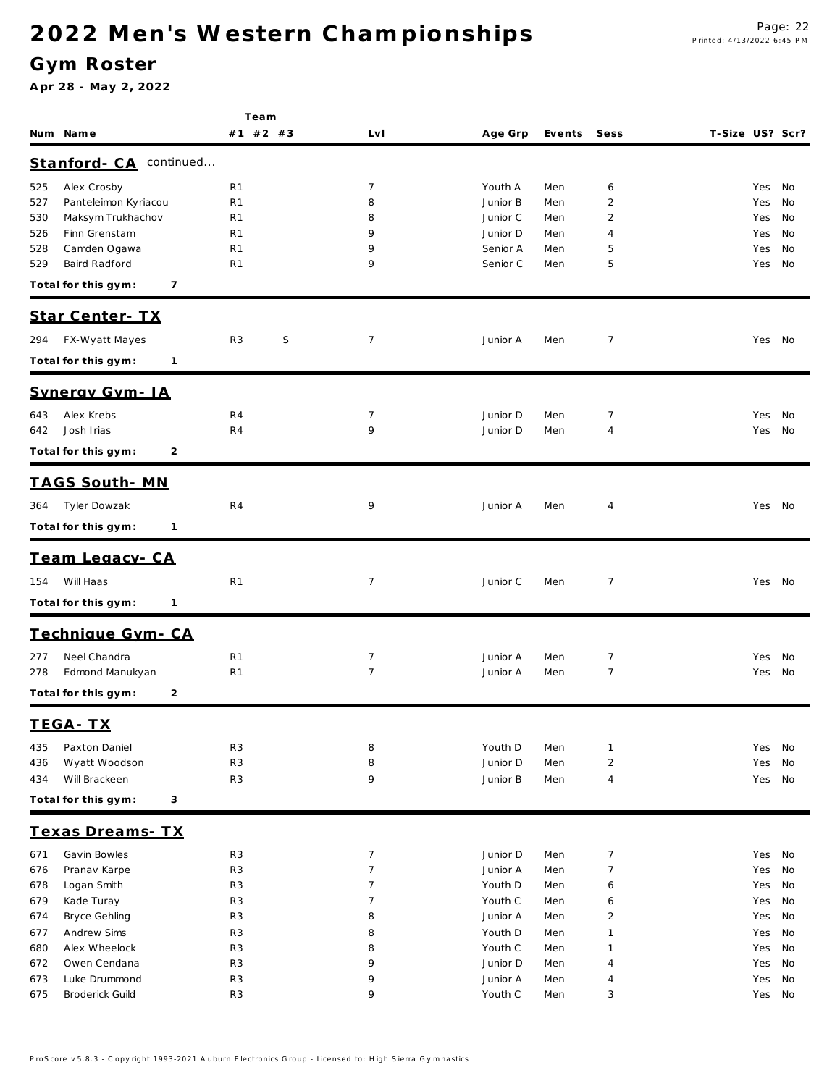### **G ym Roster**

|                                     | Team                |                |                     |        |                |                 |  |
|-------------------------------------|---------------------|----------------|---------------------|--------|----------------|-----------------|--|
| Num Name                            | #1 #2 #3            | LvI            | Age Grp             | Events | Sess           | T-Size US? Scr? |  |
| continued<br>Stanford-CA            |                     |                |                     |        |                |                 |  |
|                                     |                     | 7              |                     |        |                |                 |  |
| Alex Crosby<br>525                  | R <sub>1</sub>      |                | Youth A<br>Junior B | Men    | 6              | Yes No          |  |
| Panteleimon Kyriacou<br>527         | R <sub>1</sub>      | 8              |                     | Men    | 2              | No<br>Yes       |  |
| Maksym Trukhachov<br>530            | R <sub>1</sub>      | 8              | Junior C            | Men    | $\overline{2}$ | Yes<br>No       |  |
| Finn Grenstam<br>526                | R <sub>1</sub>      | 9              | Junior D            | Men    | $\overline{4}$ | No<br>Yes       |  |
| Camden Ogawa<br>528                 | R <sub>1</sub>      | 9              | Senior A            | Men    | 5              | No<br>Yes       |  |
| Baird Radford<br>529                | R <sub>1</sub>      | 9              | Senior C            | Men    | 5              | No<br>Yes       |  |
| Total for this gym:<br>7            |                     |                |                     |        |                |                 |  |
| Star Center- TX                     |                     |                |                     |        |                |                 |  |
| FX-Wyatt Mayes<br>294               | S<br>R <sub>3</sub> | $\overline{7}$ | Junior A            | Men    | 7              | Yes No          |  |
|                                     |                     |                |                     |        |                |                 |  |
| Total for this gym:<br>$\mathbf{1}$ |                     |                |                     |        |                |                 |  |
| Synergy Gym-IA                      |                     |                |                     |        |                |                 |  |
| Alex Krebs<br>643                   | R4                  | 7              | Junior D            | Men    | 7              | Yes<br>No       |  |
| Josh Irias<br>642                   | R <sub>4</sub>      | 9              | Junior D            | Men    | $\overline{4}$ | Yes No          |  |
| Total for this gym:<br>2            |                     |                |                     |        |                |                 |  |
| <u>TAGS South-MN</u>                |                     |                |                     |        |                |                 |  |
|                                     |                     |                |                     |        |                |                 |  |
| Tyler Dowzak<br>364                 | R4                  | 9              | Junior A            | Men    | $\overline{4}$ | Yes No          |  |
| Total for this gym:<br>$\mathbf{1}$ |                     |                |                     |        |                |                 |  |
|                                     |                     |                |                     |        |                |                 |  |
| Team Legacy-CA                      |                     |                |                     |        |                |                 |  |
| Will Haas<br>154                    | R <sub>1</sub>      | $\overline{7}$ | Junior C            | Men    | $\overline{7}$ | Yes No          |  |
| Total for this gym:<br>1            |                     |                |                     |        |                |                 |  |
| Technique Gym-CA                    |                     |                |                     |        |                |                 |  |
| Neel Chandra<br>277                 | R <sub>1</sub>      | 7              | Junior A            | Men    | 7              | No<br>Yes       |  |
| Edmond Manukyan<br>278              | R <sub>1</sub>      | $\overline{7}$ | Junior A            | Men    | $\overline{7}$ | Yes No          |  |
|                                     |                     |                |                     |        |                |                 |  |
| Total for this gym:<br>2            |                     |                |                     |        |                |                 |  |
| TEGA-TX                             |                     |                |                     |        |                |                 |  |
| Paxton Daniel<br>435                | R <sub>3</sub>      | 8              | Youth D             | Men    | $\mathbf{1}$   | No<br>Yes       |  |
| Wyatt Woodson<br>436                | R <sub>3</sub>      | 8              | Junior D            | Men    | $\overline{2}$ | No<br>Yes       |  |
| Will Brackeen<br>434                | R <sub>3</sub>      | 9              | Junior B            | Men    | $\overline{4}$ | Yes<br>No       |  |
| Total for this gym:<br>3            |                     |                |                     |        |                |                 |  |
| Texas Dreams-TX                     |                     |                |                     |        |                |                 |  |
| Gavin Bowles<br>671                 | R <sub>3</sub>      | 7              | Junior D            | Men    | $\overline{7}$ | Yes<br>No       |  |
| Pranav Karpe<br>676                 | R <sub>3</sub>      | $\overline{7}$ | Junior A            | Men    | $\overline{7}$ | Yes<br>No       |  |
| Logan Smith<br>678                  | R <sub>3</sub>      | 7              | Youth D             | Men    | 6              | Yes<br>No       |  |
| Kade Turay<br>679                   | R <sub>3</sub>      | 7              | Youth C             | Men    | 6              | Yes<br>No       |  |
| <b>Bryce Gehling</b><br>674         | R <sub>3</sub>      | 8              | Junior A            | Men    | $\overline{2}$ | Yes<br>No       |  |
| Andrew Sims<br>677                  | R <sub>3</sub>      | 8              | Youth D             | Men    | $\mathbf{1}$   | No<br>Yes       |  |
| Alex Wheelock<br>680                | R <sub>3</sub>      | 8              | Youth C             | Men    | $\mathbf{1}$   | Yes<br>No       |  |
| Owen Cendana<br>672                 | R <sub>3</sub>      | 9              | Junior D            | Men    | $\overline{4}$ | Yes<br>No       |  |
| Luke Drummond<br>673                | R <sub>3</sub>      | 9              | Junior A            | Men    | $\overline{4}$ | Yes<br>No       |  |
| <b>Broderick Guild</b><br>675       | R <sub>3</sub>      | 9              | Youth C             | Men    | 3              | No<br>Yes       |  |
|                                     |                     |                |                     |        |                |                 |  |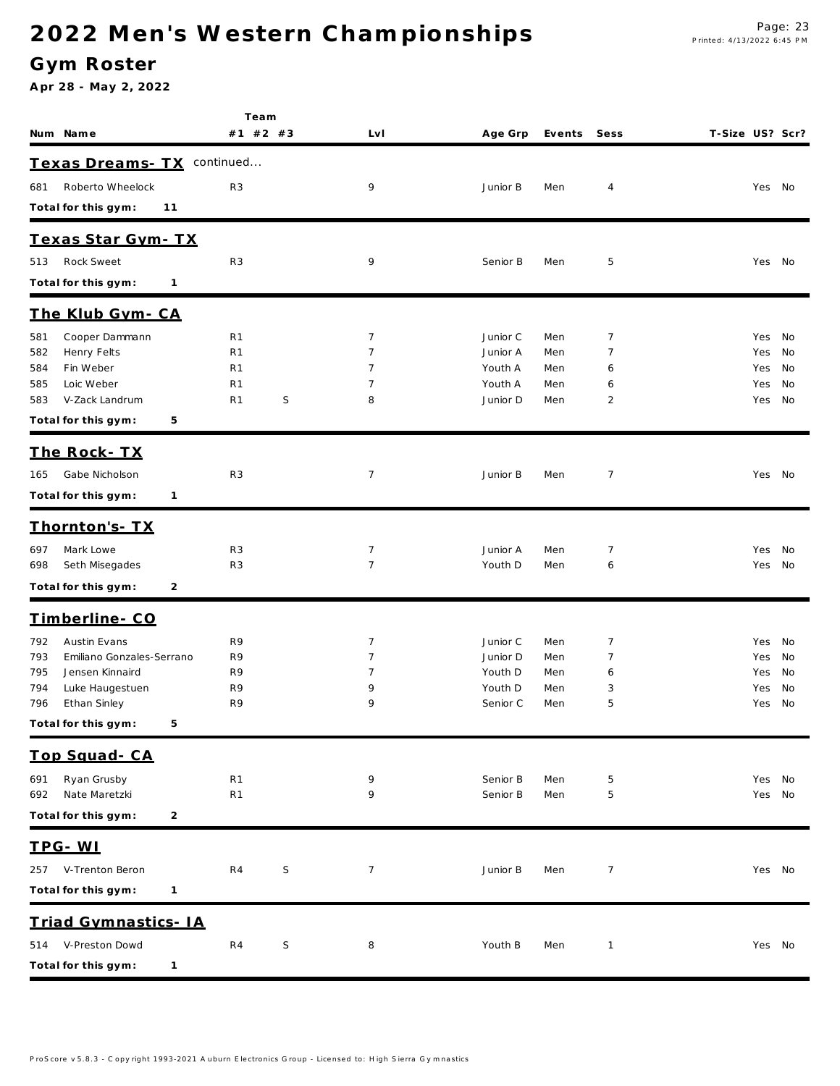### **G ym Roster**

| #1 #2 #3<br>T-Size US? Scr?<br>Num Name<br>LvI<br>Age Grp<br>Events<br>Sess<br>Texas Dreams- TX continued<br>Roberto Wheelock<br>R <sub>3</sub><br>9<br>Junior B<br>Men<br>4<br>Yes No<br>681<br>Total for this gym:<br>11<br>Texas Star Gym-TX<br>Rock Sweet<br>R <sub>3</sub><br>9<br>5<br>513<br>Senior B<br>Men<br>Yes No<br>Total for this gym:<br>$\mathbf{1}$<br>The Klub Gym-CA<br>Cooper Dammann<br>$\overline{7}$<br>R <sub>1</sub><br>Junior C<br>7<br>581<br>Men<br>Yes No<br>Henry Felts<br>R <sub>1</sub><br>7<br>Junior A<br>7<br>582<br>Men<br>Yes<br>No<br>Fin Weber<br>R <sub>1</sub><br>7<br>Youth A<br>584<br>Men<br>No<br>6<br>Yes<br>Loic Weber<br>585<br>R <sub>1</sub><br>7<br>Youth A<br>Men<br>No<br>6<br>Yes<br>S<br>V-Zack Landrum<br>R <sub>1</sub><br>8<br>Junior D<br>2<br>583<br>Men<br>Yes No<br>Total for this gym:<br>5<br>The Rock-TX<br>Gabe Nicholson<br>R <sub>3</sub><br>7<br>Junior B<br>Men<br>7<br>Yes No<br>165<br>Total for this gym:<br>$\mathbf{1}$<br><u>Thornton's-TX</u><br>Mark Lowe<br>R <sub>3</sub><br>7<br>Junior A<br>7<br>697<br>Men<br>Yes<br>No<br>R <sub>3</sub><br>$\overline{7}$<br>698<br>Seth Misegades<br>Youth D<br>Men<br>No<br>6<br>Yes<br>Total for this gym:<br>2<br>Timberline-CO<br>Austin Evans<br>$\overline{7}$<br>792<br>R9<br>7<br>Junior C<br>Men<br>Yes<br>No<br>Emiliano Gonzales-Serrano<br>793<br>R9<br>7<br>Junior D<br>7<br>Men<br>No<br>Yes<br>Jensen Kinnaird<br>R9<br>795<br>Youth D<br>Men<br>7<br>No<br>6<br>Yes<br>Luke Haugestuen<br>R9<br>Youth D<br>794<br>9<br>Men<br>3<br>Yes<br>No<br>796<br>Ethan Sinley<br>R9<br>9<br>Senior C<br>5<br>Men<br>Yes<br>No<br>Total for this gym: 5<br>Top Squad-CA<br>Ryan Grusby<br>R <sub>1</sub><br>9<br>Senior B<br>5<br>691<br>Men<br>Yes No<br>Nate Maretzki<br>R <sub>1</sub><br>9<br>5<br>692<br>Senior B<br>Men<br>Yes No<br>Total for this gym:<br>2<br>TPG-WI<br>V-Trenton Beron<br>R4<br>S<br>$\overline{7}$<br>Junior B<br>$\overline{7}$<br>257<br>Men<br>Yes No<br>Total for this gym:<br>$\mathbf{1}$<br>Triad Gymnastics- IA<br>V-Preston Dowd<br>S<br>R <sub>4</sub><br>8<br>Youth B<br>Men<br>$\mathbf{1}$<br>Yes No<br>514<br>Total for this gym:<br>$\mathbf{1}$ | Team |  |  |  |  |
|-----------------------------------------------------------------------------------------------------------------------------------------------------------------------------------------------------------------------------------------------------------------------------------------------------------------------------------------------------------------------------------------------------------------------------------------------------------------------------------------------------------------------------------------------------------------------------------------------------------------------------------------------------------------------------------------------------------------------------------------------------------------------------------------------------------------------------------------------------------------------------------------------------------------------------------------------------------------------------------------------------------------------------------------------------------------------------------------------------------------------------------------------------------------------------------------------------------------------------------------------------------------------------------------------------------------------------------------------------------------------------------------------------------------------------------------------------------------------------------------------------------------------------------------------------------------------------------------------------------------------------------------------------------------------------------------------------------------------------------------------------------------------------------------------------------------------------------------------------------------------------------------------------------------------------------------------------------------------------------------------------------------------------------------------------------------------------------------------------------------------------------------------------------------------------------------------------------------------|------|--|--|--|--|
|                                                                                                                                                                                                                                                                                                                                                                                                                                                                                                                                                                                                                                                                                                                                                                                                                                                                                                                                                                                                                                                                                                                                                                                                                                                                                                                                                                                                                                                                                                                                                                                                                                                                                                                                                                                                                                                                                                                                                                                                                                                                                                                                                                                                                       |      |  |  |  |  |
|                                                                                                                                                                                                                                                                                                                                                                                                                                                                                                                                                                                                                                                                                                                                                                                                                                                                                                                                                                                                                                                                                                                                                                                                                                                                                                                                                                                                                                                                                                                                                                                                                                                                                                                                                                                                                                                                                                                                                                                                                                                                                                                                                                                                                       |      |  |  |  |  |
|                                                                                                                                                                                                                                                                                                                                                                                                                                                                                                                                                                                                                                                                                                                                                                                                                                                                                                                                                                                                                                                                                                                                                                                                                                                                                                                                                                                                                                                                                                                                                                                                                                                                                                                                                                                                                                                                                                                                                                                                                                                                                                                                                                                                                       |      |  |  |  |  |
|                                                                                                                                                                                                                                                                                                                                                                                                                                                                                                                                                                                                                                                                                                                                                                                                                                                                                                                                                                                                                                                                                                                                                                                                                                                                                                                                                                                                                                                                                                                                                                                                                                                                                                                                                                                                                                                                                                                                                                                                                                                                                                                                                                                                                       |      |  |  |  |  |
|                                                                                                                                                                                                                                                                                                                                                                                                                                                                                                                                                                                                                                                                                                                                                                                                                                                                                                                                                                                                                                                                                                                                                                                                                                                                                                                                                                                                                                                                                                                                                                                                                                                                                                                                                                                                                                                                                                                                                                                                                                                                                                                                                                                                                       |      |  |  |  |  |
|                                                                                                                                                                                                                                                                                                                                                                                                                                                                                                                                                                                                                                                                                                                                                                                                                                                                                                                                                                                                                                                                                                                                                                                                                                                                                                                                                                                                                                                                                                                                                                                                                                                                                                                                                                                                                                                                                                                                                                                                                                                                                                                                                                                                                       |      |  |  |  |  |
|                                                                                                                                                                                                                                                                                                                                                                                                                                                                                                                                                                                                                                                                                                                                                                                                                                                                                                                                                                                                                                                                                                                                                                                                                                                                                                                                                                                                                                                                                                                                                                                                                                                                                                                                                                                                                                                                                                                                                                                                                                                                                                                                                                                                                       |      |  |  |  |  |
|                                                                                                                                                                                                                                                                                                                                                                                                                                                                                                                                                                                                                                                                                                                                                                                                                                                                                                                                                                                                                                                                                                                                                                                                                                                                                                                                                                                                                                                                                                                                                                                                                                                                                                                                                                                                                                                                                                                                                                                                                                                                                                                                                                                                                       |      |  |  |  |  |
|                                                                                                                                                                                                                                                                                                                                                                                                                                                                                                                                                                                                                                                                                                                                                                                                                                                                                                                                                                                                                                                                                                                                                                                                                                                                                                                                                                                                                                                                                                                                                                                                                                                                                                                                                                                                                                                                                                                                                                                                                                                                                                                                                                                                                       |      |  |  |  |  |
|                                                                                                                                                                                                                                                                                                                                                                                                                                                                                                                                                                                                                                                                                                                                                                                                                                                                                                                                                                                                                                                                                                                                                                                                                                                                                                                                                                                                                                                                                                                                                                                                                                                                                                                                                                                                                                                                                                                                                                                                                                                                                                                                                                                                                       |      |  |  |  |  |
|                                                                                                                                                                                                                                                                                                                                                                                                                                                                                                                                                                                                                                                                                                                                                                                                                                                                                                                                                                                                                                                                                                                                                                                                                                                                                                                                                                                                                                                                                                                                                                                                                                                                                                                                                                                                                                                                                                                                                                                                                                                                                                                                                                                                                       |      |  |  |  |  |
|                                                                                                                                                                                                                                                                                                                                                                                                                                                                                                                                                                                                                                                                                                                                                                                                                                                                                                                                                                                                                                                                                                                                                                                                                                                                                                                                                                                                                                                                                                                                                                                                                                                                                                                                                                                                                                                                                                                                                                                                                                                                                                                                                                                                                       |      |  |  |  |  |
|                                                                                                                                                                                                                                                                                                                                                                                                                                                                                                                                                                                                                                                                                                                                                                                                                                                                                                                                                                                                                                                                                                                                                                                                                                                                                                                                                                                                                                                                                                                                                                                                                                                                                                                                                                                                                                                                                                                                                                                                                                                                                                                                                                                                                       |      |  |  |  |  |
|                                                                                                                                                                                                                                                                                                                                                                                                                                                                                                                                                                                                                                                                                                                                                                                                                                                                                                                                                                                                                                                                                                                                                                                                                                                                                                                                                                                                                                                                                                                                                                                                                                                                                                                                                                                                                                                                                                                                                                                                                                                                                                                                                                                                                       |      |  |  |  |  |
|                                                                                                                                                                                                                                                                                                                                                                                                                                                                                                                                                                                                                                                                                                                                                                                                                                                                                                                                                                                                                                                                                                                                                                                                                                                                                                                                                                                                                                                                                                                                                                                                                                                                                                                                                                                                                                                                                                                                                                                                                                                                                                                                                                                                                       |      |  |  |  |  |
|                                                                                                                                                                                                                                                                                                                                                                                                                                                                                                                                                                                                                                                                                                                                                                                                                                                                                                                                                                                                                                                                                                                                                                                                                                                                                                                                                                                                                                                                                                                                                                                                                                                                                                                                                                                                                                                                                                                                                                                                                                                                                                                                                                                                                       |      |  |  |  |  |
|                                                                                                                                                                                                                                                                                                                                                                                                                                                                                                                                                                                                                                                                                                                                                                                                                                                                                                                                                                                                                                                                                                                                                                                                                                                                                                                                                                                                                                                                                                                                                                                                                                                                                                                                                                                                                                                                                                                                                                                                                                                                                                                                                                                                                       |      |  |  |  |  |
|                                                                                                                                                                                                                                                                                                                                                                                                                                                                                                                                                                                                                                                                                                                                                                                                                                                                                                                                                                                                                                                                                                                                                                                                                                                                                                                                                                                                                                                                                                                                                                                                                                                                                                                                                                                                                                                                                                                                                                                                                                                                                                                                                                                                                       |      |  |  |  |  |
|                                                                                                                                                                                                                                                                                                                                                                                                                                                                                                                                                                                                                                                                                                                                                                                                                                                                                                                                                                                                                                                                                                                                                                                                                                                                                                                                                                                                                                                                                                                                                                                                                                                                                                                                                                                                                                                                                                                                                                                                                                                                                                                                                                                                                       |      |  |  |  |  |
|                                                                                                                                                                                                                                                                                                                                                                                                                                                                                                                                                                                                                                                                                                                                                                                                                                                                                                                                                                                                                                                                                                                                                                                                                                                                                                                                                                                                                                                                                                                                                                                                                                                                                                                                                                                                                                                                                                                                                                                                                                                                                                                                                                                                                       |      |  |  |  |  |
|                                                                                                                                                                                                                                                                                                                                                                                                                                                                                                                                                                                                                                                                                                                                                                                                                                                                                                                                                                                                                                                                                                                                                                                                                                                                                                                                                                                                                                                                                                                                                                                                                                                                                                                                                                                                                                                                                                                                                                                                                                                                                                                                                                                                                       |      |  |  |  |  |
|                                                                                                                                                                                                                                                                                                                                                                                                                                                                                                                                                                                                                                                                                                                                                                                                                                                                                                                                                                                                                                                                                                                                                                                                                                                                                                                                                                                                                                                                                                                                                                                                                                                                                                                                                                                                                                                                                                                                                                                                                                                                                                                                                                                                                       |      |  |  |  |  |
|                                                                                                                                                                                                                                                                                                                                                                                                                                                                                                                                                                                                                                                                                                                                                                                                                                                                                                                                                                                                                                                                                                                                                                                                                                                                                                                                                                                                                                                                                                                                                                                                                                                                                                                                                                                                                                                                                                                                                                                                                                                                                                                                                                                                                       |      |  |  |  |  |
|                                                                                                                                                                                                                                                                                                                                                                                                                                                                                                                                                                                                                                                                                                                                                                                                                                                                                                                                                                                                                                                                                                                                                                                                                                                                                                                                                                                                                                                                                                                                                                                                                                                                                                                                                                                                                                                                                                                                                                                                                                                                                                                                                                                                                       |      |  |  |  |  |
|                                                                                                                                                                                                                                                                                                                                                                                                                                                                                                                                                                                                                                                                                                                                                                                                                                                                                                                                                                                                                                                                                                                                                                                                                                                                                                                                                                                                                                                                                                                                                                                                                                                                                                                                                                                                                                                                                                                                                                                                                                                                                                                                                                                                                       |      |  |  |  |  |
|                                                                                                                                                                                                                                                                                                                                                                                                                                                                                                                                                                                                                                                                                                                                                                                                                                                                                                                                                                                                                                                                                                                                                                                                                                                                                                                                                                                                                                                                                                                                                                                                                                                                                                                                                                                                                                                                                                                                                                                                                                                                                                                                                                                                                       |      |  |  |  |  |
|                                                                                                                                                                                                                                                                                                                                                                                                                                                                                                                                                                                                                                                                                                                                                                                                                                                                                                                                                                                                                                                                                                                                                                                                                                                                                                                                                                                                                                                                                                                                                                                                                                                                                                                                                                                                                                                                                                                                                                                                                                                                                                                                                                                                                       |      |  |  |  |  |
|                                                                                                                                                                                                                                                                                                                                                                                                                                                                                                                                                                                                                                                                                                                                                                                                                                                                                                                                                                                                                                                                                                                                                                                                                                                                                                                                                                                                                                                                                                                                                                                                                                                                                                                                                                                                                                                                                                                                                                                                                                                                                                                                                                                                                       |      |  |  |  |  |
|                                                                                                                                                                                                                                                                                                                                                                                                                                                                                                                                                                                                                                                                                                                                                                                                                                                                                                                                                                                                                                                                                                                                                                                                                                                                                                                                                                                                                                                                                                                                                                                                                                                                                                                                                                                                                                                                                                                                                                                                                                                                                                                                                                                                                       |      |  |  |  |  |
|                                                                                                                                                                                                                                                                                                                                                                                                                                                                                                                                                                                                                                                                                                                                                                                                                                                                                                                                                                                                                                                                                                                                                                                                                                                                                                                                                                                                                                                                                                                                                                                                                                                                                                                                                                                                                                                                                                                                                                                                                                                                                                                                                                                                                       |      |  |  |  |  |
|                                                                                                                                                                                                                                                                                                                                                                                                                                                                                                                                                                                                                                                                                                                                                                                                                                                                                                                                                                                                                                                                                                                                                                                                                                                                                                                                                                                                                                                                                                                                                                                                                                                                                                                                                                                                                                                                                                                                                                                                                                                                                                                                                                                                                       |      |  |  |  |  |
|                                                                                                                                                                                                                                                                                                                                                                                                                                                                                                                                                                                                                                                                                                                                                                                                                                                                                                                                                                                                                                                                                                                                                                                                                                                                                                                                                                                                                                                                                                                                                                                                                                                                                                                                                                                                                                                                                                                                                                                                                                                                                                                                                                                                                       |      |  |  |  |  |
|                                                                                                                                                                                                                                                                                                                                                                                                                                                                                                                                                                                                                                                                                                                                                                                                                                                                                                                                                                                                                                                                                                                                                                                                                                                                                                                                                                                                                                                                                                                                                                                                                                                                                                                                                                                                                                                                                                                                                                                                                                                                                                                                                                                                                       |      |  |  |  |  |
|                                                                                                                                                                                                                                                                                                                                                                                                                                                                                                                                                                                                                                                                                                                                                                                                                                                                                                                                                                                                                                                                                                                                                                                                                                                                                                                                                                                                                                                                                                                                                                                                                                                                                                                                                                                                                                                                                                                                                                                                                                                                                                                                                                                                                       |      |  |  |  |  |
|                                                                                                                                                                                                                                                                                                                                                                                                                                                                                                                                                                                                                                                                                                                                                                                                                                                                                                                                                                                                                                                                                                                                                                                                                                                                                                                                                                                                                                                                                                                                                                                                                                                                                                                                                                                                                                                                                                                                                                                                                                                                                                                                                                                                                       |      |  |  |  |  |
|                                                                                                                                                                                                                                                                                                                                                                                                                                                                                                                                                                                                                                                                                                                                                                                                                                                                                                                                                                                                                                                                                                                                                                                                                                                                                                                                                                                                                                                                                                                                                                                                                                                                                                                                                                                                                                                                                                                                                                                                                                                                                                                                                                                                                       |      |  |  |  |  |
|                                                                                                                                                                                                                                                                                                                                                                                                                                                                                                                                                                                                                                                                                                                                                                                                                                                                                                                                                                                                                                                                                                                                                                                                                                                                                                                                                                                                                                                                                                                                                                                                                                                                                                                                                                                                                                                                                                                                                                                                                                                                                                                                                                                                                       |      |  |  |  |  |
|                                                                                                                                                                                                                                                                                                                                                                                                                                                                                                                                                                                                                                                                                                                                                                                                                                                                                                                                                                                                                                                                                                                                                                                                                                                                                                                                                                                                                                                                                                                                                                                                                                                                                                                                                                                                                                                                                                                                                                                                                                                                                                                                                                                                                       |      |  |  |  |  |
|                                                                                                                                                                                                                                                                                                                                                                                                                                                                                                                                                                                                                                                                                                                                                                                                                                                                                                                                                                                                                                                                                                                                                                                                                                                                                                                                                                                                                                                                                                                                                                                                                                                                                                                                                                                                                                                                                                                                                                                                                                                                                                                                                                                                                       |      |  |  |  |  |
|                                                                                                                                                                                                                                                                                                                                                                                                                                                                                                                                                                                                                                                                                                                                                                                                                                                                                                                                                                                                                                                                                                                                                                                                                                                                                                                                                                                                                                                                                                                                                                                                                                                                                                                                                                                                                                                                                                                                                                                                                                                                                                                                                                                                                       |      |  |  |  |  |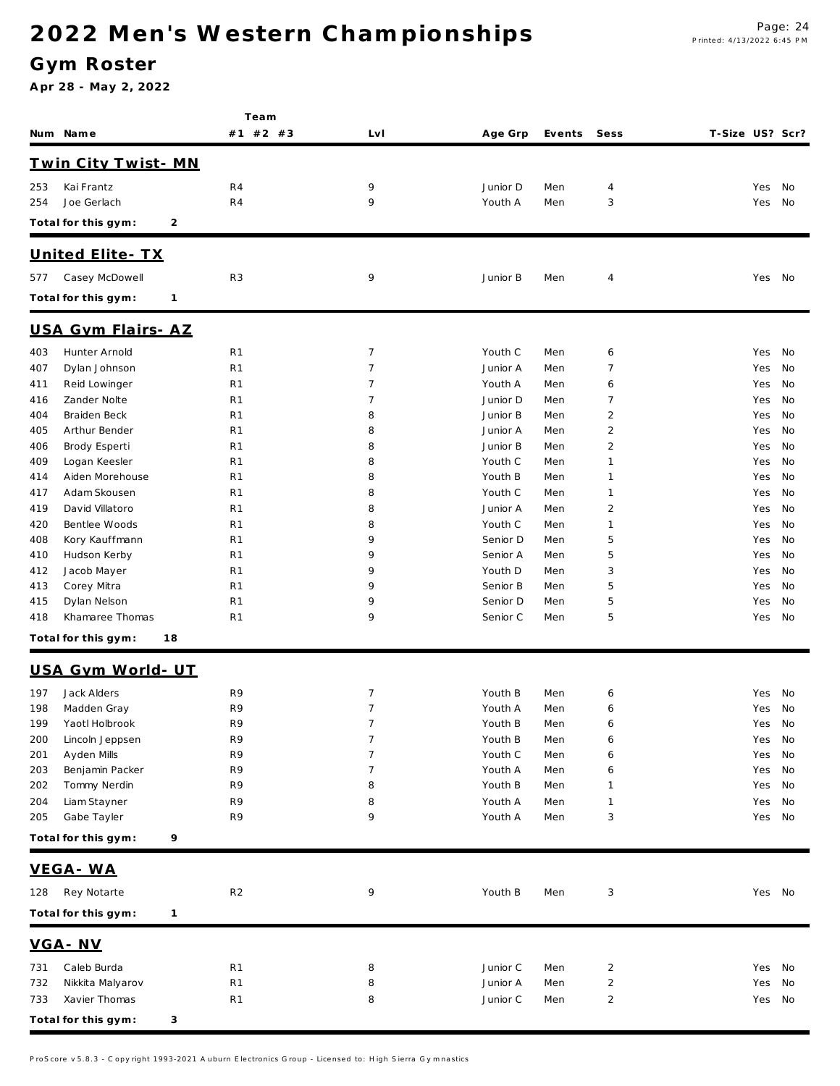### **G ym Roster**

|            | Num Name                            | Team<br>#1 #2 #3                 | LvI                              | Age Grp             | Events     | Sess           | T-Size US? Scr? |            |          |
|------------|-------------------------------------|----------------------------------|----------------------------------|---------------------|------------|----------------|-----------------|------------|----------|
|            | Twin City Twist-MN                  |                                  |                                  |                     |            |                |                 |            |          |
| 253        | Kai Frantz                          | R4                               | 9                                | Junior D            | Men        | 4              |                 | Yes No     |          |
| 254        | Joe Gerlach                         | R <sub>4</sub>                   | 9                                | Youth A             | Men        | 3              |                 | Yes        | No       |
|            | Total for this gym:<br>2            |                                  |                                  |                     |            |                |                 |            |          |
|            |                                     |                                  |                                  |                     |            |                |                 |            |          |
| 577        | United Elite - TX<br>Casey McDowell | R3                               | 9                                | Junior B            | Men        | 4              |                 | Yes No     |          |
|            | Total for this gym:<br>$\mathbf{1}$ |                                  |                                  |                     |            |                |                 |            |          |
|            |                                     |                                  |                                  |                     |            |                |                 |            |          |
|            | USA Gym Flairs-AZ                   |                                  |                                  |                     |            |                |                 |            |          |
| 403        | Hunter Arnold                       | R <sub>1</sub>                   | $\overline{7}$<br>$\overline{7}$ | Youth C             | Men        | 6<br>7         |                 | Yes        | No<br>No |
| 407        | Dylan Johnson                       | R <sub>1</sub>                   |                                  | Junior A            | Men        |                |                 | Yes        |          |
| 411<br>416 | Reid Lowinger<br>Zander Nolte       | R <sub>1</sub><br>R <sub>1</sub> | 7<br>7                           | Youth A<br>Junior D | Men<br>Men | 6<br>7         |                 | Yes        | No<br>No |
| 404        | Braiden Beck                        | R <sub>1</sub>                   | 8                                | Junior B            | Men        | $\overline{c}$ |                 | Yes<br>Yes | No       |
| 405        | Arthur Bender                       | R <sub>1</sub>                   | 8                                | Junior A            | Men        | $\overline{2}$ |                 | Yes        | No       |
|            |                                     | R <sub>1</sub>                   | 8                                | Junior B            | Men        | $\overline{c}$ |                 |            | No       |
| 406<br>409 | Brody Esperti                       | R <sub>1</sub>                   | 8                                | Youth C             | Men        | $\mathbf{1}$   |                 | Yes<br>Yes | No       |
|            | Logan Keesler<br>Aiden Morehouse    |                                  | 8                                | Youth B             |            | 1              |                 |            |          |
| 414        | Adam Skousen                        | R <sub>1</sub><br>R <sub>1</sub> | 8                                | Youth C             | Men<br>Men | $\mathbf{1}$   |                 | Yes        | No<br>No |
| 417        |                                     |                                  |                                  |                     |            |                |                 | Yes        |          |
| 419        | David Villatoro                     | R <sub>1</sub>                   | 8                                | Junior A            | Men        | $\overline{c}$ |                 | Yes        | No       |
| 420        | Bentlee Woods                       | R <sub>1</sub>                   | 8                                | Youth C             | Men        | 1              |                 | Yes        | No       |
| 408        | Kory Kauffmann                      | R <sub>1</sub>                   | 9                                | Senior D            | Men        | 5              |                 | Yes        | No       |
| 410        | Hudson Kerby                        | R <sub>1</sub>                   | 9                                | Senior A            | Men        | 5              |                 | Yes        | No       |
| 412        | Jacob Mayer                         | R <sub>1</sub>                   | 9                                | Youth D             | Men        | 3              |                 | Yes        | No       |
| 413        | Corey Mitra                         | R <sub>1</sub>                   | 9                                | Senior B            | Men        | 5              |                 | Yes        | No       |
| 415        | Dylan Nelson                        | R <sub>1</sub>                   | 9                                | Senior D            | Men        | 5              |                 | Yes        | No       |
| 418        | Khamaree Thomas                     | R <sub>1</sub>                   | 9                                | Senior C            | Men        | 5              |                 | Yes        | No       |
|            | Total for this gym:<br>18           |                                  |                                  |                     |            |                |                 |            |          |
|            | USA Gym World- UT                   |                                  |                                  |                     |            |                |                 |            |          |
| 197        | Jack Alders                         | R9                               | $\overline{7}$                   | Youth B             | Men        | 6              |                 | Yes        | No       |
| 198        | Madden Gray                         | R9                               | $7\phantom{.0}$                  | Youth A             | Men        | 6              |                 | Yes No     |          |
| 199        | Yaotl Holbrook                      | R9                               | $\overline{7}$                   | Youth B             | Men        | 6              |                 | Yes No     |          |
| 200        | Lincoln Jeppsen                     | R9                               | $\overline{7}$                   | Youth B             | Men        | 6              |                 | Yes No     |          |
| 201        | Ayden Mills                         | R9                               | 7                                | Youth C             | Men        | 6              |                 | Yes        | No       |
| 203        | Benjamin Packer                     | R9                               | 7                                | Youth A             | Men        | 6              |                 | Yes        | No       |
| 202        | Tommy Nerdin                        | R9                               | 8                                | Youth B             | Men        | 1              |                 | Yes        | No       |
| 204        | Liam Stayner                        | R9                               | 8                                | Youth A             | Men        | 1              |                 | Yes        | No       |
| 205        | Gabe Tayler                         | R9                               | 9                                | Youth A             | Men        | 3              |                 | Yes No     |          |
|            | 9<br>Total for this gym:            |                                  |                                  |                     |            |                |                 |            |          |
|            |                                     |                                  |                                  |                     |            |                |                 |            |          |
|            | VEGA-WA                             |                                  |                                  |                     |            |                |                 |            |          |
| 128        | Rey Notarte                         | R <sub>2</sub>                   | 9                                | Youth B             | Men        | 3              |                 | Yes No     |          |
|            | Total for this gym:<br>$\mathbf{1}$ |                                  |                                  |                     |            |                |                 |            |          |
|            | VGA-NV                              |                                  |                                  |                     |            |                |                 |            |          |
| 731        | Caleb Burda                         | R <sub>1</sub>                   | 8                                | Junior C            | Men        | 2              |                 | Yes No     |          |
| 732        | Nikkita Malyarov                    | R <sub>1</sub>                   | 8                                | Junior A            | Men        | 2              |                 | Yes        | No       |
| 733        | Xavier Thomas                       | R1                               | 8                                | Junior C            | Men        | 2              |                 | Yes No     |          |
|            | Total for this gym:<br>3            |                                  |                                  |                     |            |                |                 |            |          |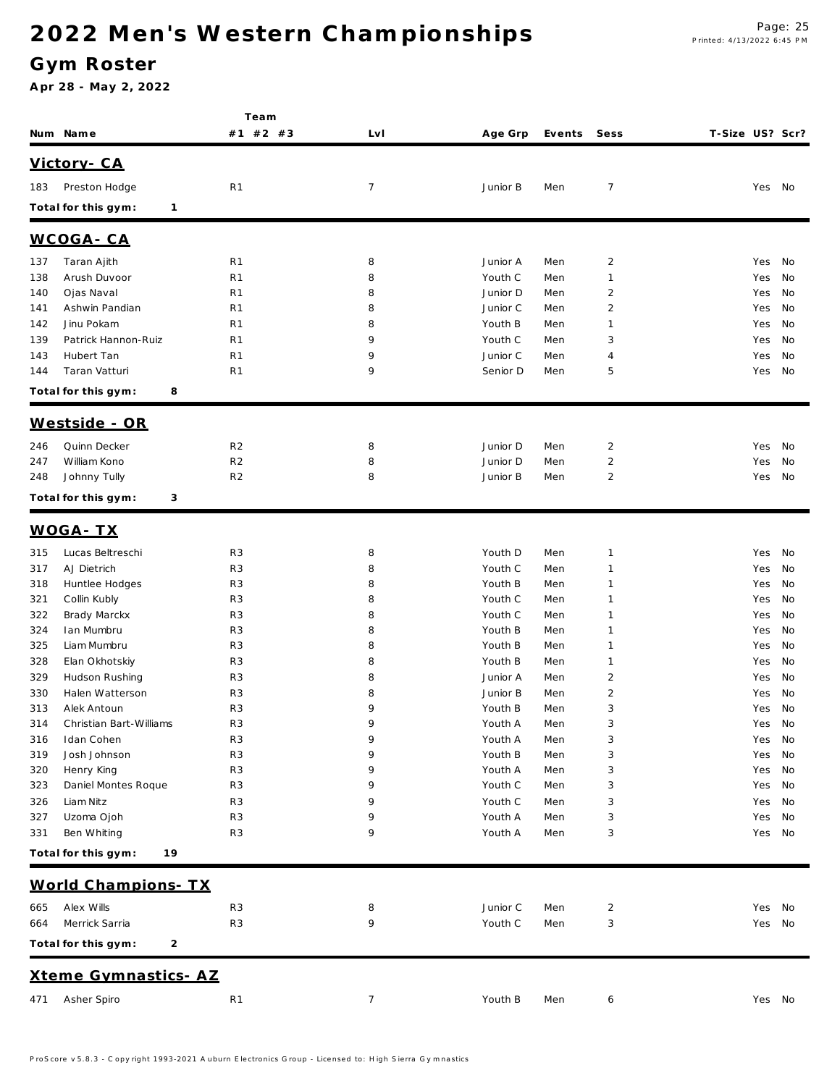### **G ym Roster**

|            |                                     | Team                             |                |                      |            |                                  |                 |               |          |
|------------|-------------------------------------|----------------------------------|----------------|----------------------|------------|----------------------------------|-----------------|---------------|----------|
|            | Num Name                            | #1 #2 #3                         | Lv I           | Age Grp              | Events     | Sess                             | T-Size US? Scr? |               |          |
|            | Victory - CA                        |                                  |                |                      |            |                                  |                 |               |          |
| 183        | Preston Hodge                       | R <sub>1</sub>                   | $\overline{7}$ | Junior B             | Men        | 7                                |                 | Yes No        |          |
|            | Total for this gym:<br>$\mathbf{1}$ |                                  |                |                      |            |                                  |                 |               |          |
|            |                                     |                                  |                |                      |            |                                  |                 |               |          |
|            | WCOGA-CA                            |                                  |                |                      |            |                                  |                 |               |          |
| 137        | Taran Ajith                         | R <sub>1</sub>                   | 8              | Junior A             | Men        | $\overline{2}$                   |                 | Yes           | No       |
| 138        | Arush Duvoor                        | R <sub>1</sub>                   | 8              | Youth C              | Men        | 1                                |                 | Yes           | No       |
| 140        | Ojas Naval<br>Ashwin Pandian        | R1<br>R1                         | 8<br>8         | Junior D<br>Junior C | Men<br>Men | $\overline{2}$<br>$\overline{2}$ |                 | Yes           | No<br>No |
| 141<br>142 | Jinu Pokam                          | R1                               | 8              | Youth B              | Men        | 1                                |                 | Yes<br>Yes    | No       |
| 139        | Patrick Hannon-Ruiz                 | R1                               | 9              | Youth C              | Men        | 3                                |                 | Yes           | No       |
| 143        | Hubert Tan                          | R <sub>1</sub>                   | 9              | Junior C             | Men        | 4                                |                 | Yes           | No       |
| 144        | Taran Vatturi                       | R1                               | 9              | Senior D             | Men        | 5                                |                 | Yes           | No       |
|            | Total for this gym:<br>8            |                                  |                |                      |            |                                  |                 |               |          |
|            |                                     |                                  |                |                      |            |                                  |                 |               |          |
|            | Westside - OR                       |                                  |                |                      |            |                                  |                 |               |          |
| 246        | Quinn Decker                        | R <sub>2</sub>                   | 8              | Junior D             | Men        | $\overline{2}$                   |                 | Yes           | No       |
| 247        | William Kono                        | R <sub>2</sub>                   | 8              | Junior D             | Men        | $\overline{2}$                   |                 | Yes           | No       |
| 248        | Johnny Tully                        | R <sub>2</sub>                   | 8              | Junior B             | Men        | $\overline{2}$                   |                 | Yes           | No       |
|            | Total for this gym:<br>3            |                                  |                |                      |            |                                  |                 |               |          |
|            | <u>WOGA-TX</u>                      |                                  |                |                      |            |                                  |                 |               |          |
| 315        | Lucas Beltreschi                    | R <sub>3</sub>                   | 8              | Youth D              | Men        | 1                                |                 | Yes           | No       |
| 317        | AJ Dietrich                         | R <sub>3</sub>                   | 8              | Youth C              | Men        | $\mathbf{1}$                     |                 | Yes           | No       |
| 318        | Huntlee Hodges                      | R <sub>3</sub>                   | 8              | Youth B              | Men        | $\mathbf{1}$                     |                 | Yes           | No       |
| 321        | Collin Kubly                        | R <sub>3</sub>                   | 8              | Youth C              | Men        | 1                                |                 | Yes           | No       |
| 322        | Brady Marckx                        | R <sub>3</sub>                   | 8              | Youth C              | Men        | 1                                |                 | Yes           | No       |
| 324        | Ian Mumbru                          | R <sub>3</sub>                   | 8              | Youth B              | Men        | 1                                |                 | Yes           | No       |
| 325        | Liam Mumbru                         | R <sub>3</sub>                   | 8              | Youth B              | Men        | 1                                |                 | Yes           | No       |
| 328        | Elan Okhotskiy                      | R <sub>3</sub>                   | 8              | Youth B              | Men        | $\mathbf{1}$                     |                 | Yes           | No       |
| 329        | Hudson Rushing                      | R <sub>3</sub>                   | 8              | Junior A             | Men        | $\overline{2}$                   |                 | Yes           | No       |
| 330        | Halen Watterson                     | R <sub>3</sub>                   | 8              | Junior B             | Men        | $\sqrt{2}$                       |                 | Yes           | No       |
| 313        | Alek Antoun                         | R <sub>3</sub>                   | 9              | Youth B              | Men        | 3                                |                 | Yes           | No       |
| 314        | Christian Bart-Williams             | $\mathsf{R}3$                    | 9              | Youth A              | Men        | 3                                |                 | Yes No        |          |
| 316        | Idan Cohen                          | R <sub>3</sub>                   | 9              | Youth A              | Men        | 3                                |                 | Yes           | No       |
| 319        | Josh Johnson                        | R <sub>3</sub>                   | 9              | Youth B              | Men        | 3                                |                 | Yes           | No       |
| 320        | Henry King                          | R <sub>3</sub>                   | 9              | Youth A              | Men        | 3                                |                 | Yes           | No       |
| 323        | Daniel Montes Roque                 | R <sub>3</sub>                   | 9              | Youth C              | Men        | 3                                |                 | Yes           | No       |
| 326        | Liam Nitz                           | R <sub>3</sub>                   | 9              | Youth C              | Men        | 3                                |                 | Yes           | No       |
| 327<br>331 | Uzoma Ojoh<br>Ben Whiting           | R <sub>3</sub><br>R <sub>3</sub> | 9<br>9         | Youth A<br>Youth A   | Men<br>Men | 3<br>3                           |                 | Yes<br>Yes No | No       |
|            | Total for this gym:<br>19           |                                  |                |                      |            |                                  |                 |               |          |
|            |                                     |                                  |                |                      |            |                                  |                 |               |          |
|            | World Champions- TX                 |                                  |                |                      |            |                                  |                 |               |          |
| 665        | Alex Wills                          | R <sub>3</sub>                   | 8              | Junior C             | Men        | 2                                |                 | Yes No        |          |
| 664        | Merrick Sarria                      | R <sub>3</sub>                   | 9              | Youth C              | Men        | 3                                |                 | Yes No        |          |
|            | Total for this gym:<br>2            |                                  |                |                      |            |                                  |                 |               |          |
|            | Xteme Gymnastics-AZ                 |                                  |                |                      |            |                                  |                 |               |          |
| 471        | Asher Spiro                         | R <sub>1</sub>                   | $\overline{7}$ | Youth B              | Men        | 6                                |                 | Yes No        |          |
|            |                                     |                                  |                |                      |            |                                  |                 |               |          |